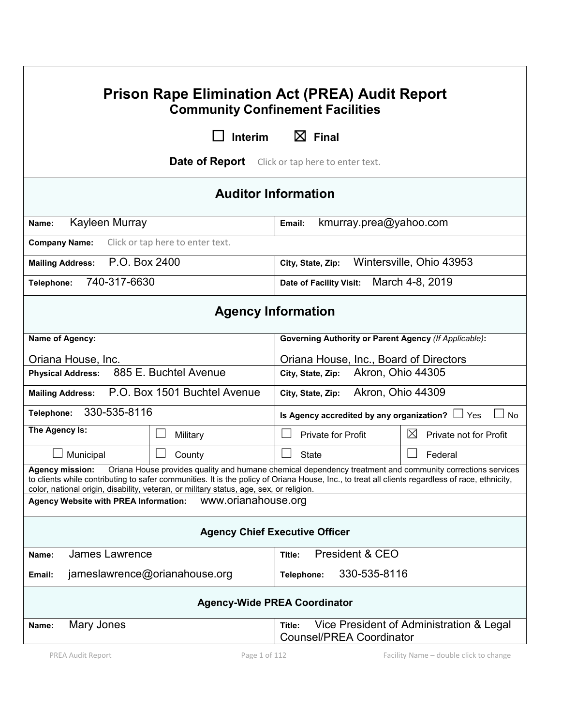| <b>Prison Rape Elimination Act (PREA) Audit Report</b><br><b>Community Confinement Facilities</b>                                                                                                                                                                                                                                                                          |                                                                                       |  |  |
|----------------------------------------------------------------------------------------------------------------------------------------------------------------------------------------------------------------------------------------------------------------------------------------------------------------------------------------------------------------------------|---------------------------------------------------------------------------------------|--|--|
| Interim                                                                                                                                                                                                                                                                                                                                                                    | $\boxtimes$ Final                                                                     |  |  |
| Date of Report                                                                                                                                                                                                                                                                                                                                                             | Click or tap here to enter text.                                                      |  |  |
|                                                                                                                                                                                                                                                                                                                                                                            | <b>Auditor Information</b>                                                            |  |  |
| Kayleen Murray<br>Name:                                                                                                                                                                                                                                                                                                                                                    | kmurray.prea@yahoo.com<br>Email:                                                      |  |  |
| Click or tap here to enter text.<br><b>Company Name:</b>                                                                                                                                                                                                                                                                                                                   |                                                                                       |  |  |
| P.O. Box 2400<br><b>Mailing Address:</b>                                                                                                                                                                                                                                                                                                                                   | Wintersville, Ohio 43953<br>City, State, Zip:                                         |  |  |
| 740-317-6630<br>Telephone:                                                                                                                                                                                                                                                                                                                                                 | March 4-8, 2019<br>Date of Facility Visit:                                            |  |  |
| <b>Agency Information</b>                                                                                                                                                                                                                                                                                                                                                  |                                                                                       |  |  |
| Name of Agency:                                                                                                                                                                                                                                                                                                                                                            | <b>Governing Authority or Parent Agency (If Applicable):</b>                          |  |  |
| Oriana House, Inc.                                                                                                                                                                                                                                                                                                                                                         | Oriana House, Inc., Board of Directors                                                |  |  |
| 885 E. Buchtel Avenue<br><b>Physical Address:</b>                                                                                                                                                                                                                                                                                                                          | Akron, Ohio 44305<br>City, State, Zip:                                                |  |  |
| P.O. Box 1501 Buchtel Avenue<br>Akron, Ohio 44309<br><b>Mailing Address:</b><br>City, State, Zip:                                                                                                                                                                                                                                                                          |                                                                                       |  |  |
| 330-535-8116<br>Telephone:                                                                                                                                                                                                                                                                                                                                                 | Is Agency accredited by any organization? $\Box$<br>No<br>Yes                         |  |  |
| The Agency Is:<br>Military                                                                                                                                                                                                                                                                                                                                                 | $\boxtimes$<br><b>Private for Profit</b><br>Private not for Profit                    |  |  |
| Municipal<br>County                                                                                                                                                                                                                                                                                                                                                        | <b>State</b><br>Federal                                                               |  |  |
| Oriana House provides quality and humane chemical dependency treatment and community corrections services<br>Agency mission:<br>to clients while contributing to safer communities. It is the policy of Oriana House, Inc., to treat all clients regardless of race, ethnicity,<br>color, national origin, disability, veteran, or military status, age, sex, or religion. |                                                                                       |  |  |
| www.orianahouse.org<br><b>Agency Website with PREA Information:</b>                                                                                                                                                                                                                                                                                                        |                                                                                       |  |  |
| <b>Agency Chief Executive Officer</b>                                                                                                                                                                                                                                                                                                                                      |                                                                                       |  |  |
| <b>James Lawrence</b><br>Name:                                                                                                                                                                                                                                                                                                                                             | President & CEO<br>Title:                                                             |  |  |
| 330-535-8116<br>jameslawrence@orianahouse.org<br>Telephone:<br>Email:                                                                                                                                                                                                                                                                                                      |                                                                                       |  |  |
| <b>Agency-Wide PREA Coordinator</b>                                                                                                                                                                                                                                                                                                                                        |                                                                                       |  |  |
| Mary Jones<br>Name:                                                                                                                                                                                                                                                                                                                                                        | Vice President of Administration & Legal<br>Title:<br><b>Counsel/PREA Coordinator</b> |  |  |
| PREA Audit Report<br>Page 1 of 112                                                                                                                                                                                                                                                                                                                                         | Facility Name - double click to change                                                |  |  |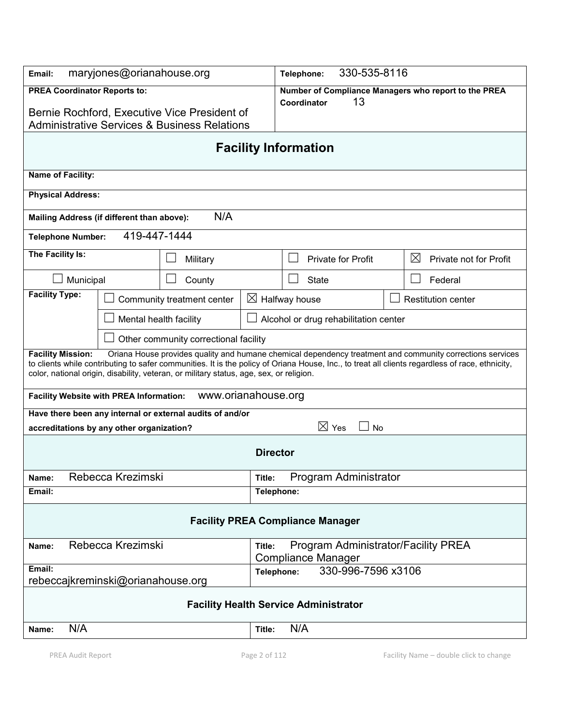| maryjones@orianahouse.org<br>Email:                                                                                                                                                                                                                                                                                                                                                 |                                       | 330-535-8116<br>Telephone: |                                              |                       |                                                      |
|-------------------------------------------------------------------------------------------------------------------------------------------------------------------------------------------------------------------------------------------------------------------------------------------------------------------------------------------------------------------------------------|---------------------------------------|----------------------------|----------------------------------------------|-----------------------|------------------------------------------------------|
| <b>PREA Coordinator Reports to:</b><br>Bernie Rochford, Executive Vice President of<br><b>Administrative Services &amp; Business Relations</b>                                                                                                                                                                                                                                      |                                       |                            | Coordinator                                  | 13                    | Number of Compliance Managers who report to the PREA |
|                                                                                                                                                                                                                                                                                                                                                                                     |                                       |                            | <b>Facility Information</b>                  |                       |                                                      |
| Name of Facility:                                                                                                                                                                                                                                                                                                                                                                   |                                       |                            |                                              |                       |                                                      |
| <b>Physical Address:</b>                                                                                                                                                                                                                                                                                                                                                            |                                       |                            |                                              |                       |                                                      |
| Mailing Address (if different than above):                                                                                                                                                                                                                                                                                                                                          | N/A                                   |                            |                                              |                       |                                                      |
| 419-447-1444<br><b>Telephone Number:</b>                                                                                                                                                                                                                                                                                                                                            |                                       |                            |                                              |                       |                                                      |
| The Facility Is:                                                                                                                                                                                                                                                                                                                                                                    | Military                              |                            | <b>Private for Profit</b>                    |                       | $\boxtimes$<br>Private not for Profit                |
| Municipal                                                                                                                                                                                                                                                                                                                                                                           | County                                |                            | <b>State</b>                                 |                       | Federal                                              |
| <b>Facility Type:</b>                                                                                                                                                                                                                                                                                                                                                               | Community treatment center            |                            | $\boxtimes$ Halfway house                    |                       | <b>Restitution center</b>                            |
| Mental health facility                                                                                                                                                                                                                                                                                                                                                              |                                       |                            | Alcohol or drug rehabilitation center        |                       |                                                      |
|                                                                                                                                                                                                                                                                                                                                                                                     | Other community correctional facility |                            |                                              |                       |                                                      |
| Oriana House provides quality and humane chemical dependency treatment and community corrections services<br><b>Facility Mission:</b><br>to clients while contributing to safer communities. It is the policy of Oriana House, Inc., to treat all clients regardless of race, ethnicity,<br>color, national origin, disability, veteran, or military status, age, sex, or religion. |                                       |                            |                                              |                       |                                                      |
| www.orianahouse.org<br><b>Facility Website with PREA Information:</b>                                                                                                                                                                                                                                                                                                               |                                       |                            |                                              |                       |                                                      |
| Have there been any internal or external audits of and/or<br>$\boxtimes$ Yes                                                                                                                                                                                                                                                                                                        |                                       |                            |                                              |                       |                                                      |
| accreditations by any other organization?                                                                                                                                                                                                                                                                                                                                           |                                       |                            |                                              | <b>No</b>             |                                                      |
|                                                                                                                                                                                                                                                                                                                                                                                     |                                       | <b>Director</b>            |                                              |                       |                                                      |
| Rebecca Krezimski<br>Name:<br>Title:                                                                                                                                                                                                                                                                                                                                                |                                       |                            |                                              | Program Administrator |                                                      |
| Email:                                                                                                                                                                                                                                                                                                                                                                              |                                       | Telephone:                 |                                              |                       |                                                      |
| <b>Facility PREA Compliance Manager</b>                                                                                                                                                                                                                                                                                                                                             |                                       |                            |                                              |                       |                                                      |
| Rebecca Krezimski<br>Program Administrator/Facility PREA<br>Title:<br>Name:<br><b>Compliance Manager</b>                                                                                                                                                                                                                                                                            |                                       |                            |                                              |                       |                                                      |
| Email:<br>330-996-7596 x3106<br>Telephone:<br>rebeccajkreminski@orianahouse.org                                                                                                                                                                                                                                                                                                     |                                       |                            |                                              |                       |                                                      |
|                                                                                                                                                                                                                                                                                                                                                                                     |                                       |                            |                                              |                       |                                                      |
|                                                                                                                                                                                                                                                                                                                                                                                     |                                       |                            | <b>Facility Health Service Administrator</b> |                       |                                                      |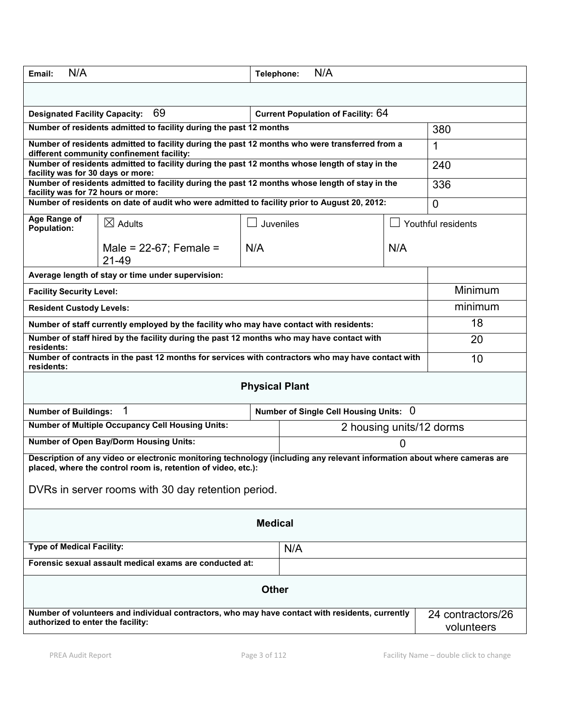| N/A<br>Email:                                                                                                                                                                                                                                   |                                                                                                                                             | Telephone: | N/A                                    |     |                                 |
|-------------------------------------------------------------------------------------------------------------------------------------------------------------------------------------------------------------------------------------------------|---------------------------------------------------------------------------------------------------------------------------------------------|------------|----------------------------------------|-----|---------------------------------|
|                                                                                                                                                                                                                                                 |                                                                                                                                             |            |                                        |     |                                 |
| 69<br><b>Current Population of Facility: 64</b><br><b>Designated Facility Capacity:</b>                                                                                                                                                         |                                                                                                                                             |            |                                        |     |                                 |
| Number of residents admitted to facility during the past 12 months                                                                                                                                                                              |                                                                                                                                             |            | 380                                    |     |                                 |
|                                                                                                                                                                                                                                                 | Number of residents admitted to facility during the past 12 months who were transferred from a<br>different community confinement facility: |            |                                        |     | 1                               |
| Number of residents admitted to facility during the past 12 months whose length of stay in the<br>facility was for 30 days or more:                                                                                                             |                                                                                                                                             |            |                                        | 240 |                                 |
| Number of residents admitted to facility during the past 12 months whose length of stay in the<br>facility was for 72 hours or more:                                                                                                            |                                                                                                                                             |            |                                        | 336 |                                 |
|                                                                                                                                                                                                                                                 | Number of residents on date of audit who were admitted to facility prior to August 20, 2012:                                                |            |                                        |     | $\overline{0}$                  |
| Age Range of<br><b>Population:</b>                                                                                                                                                                                                              | $\boxtimes$ Adults                                                                                                                          | Juveniles  |                                        |     | Youthful residents              |
|                                                                                                                                                                                                                                                 | Male = $22-67$ ; Female =<br>21-49                                                                                                          | N/A        |                                        | N/A |                                 |
|                                                                                                                                                                                                                                                 | Average length of stay or time under supervision:                                                                                           |            |                                        |     |                                 |
| <b>Facility Security Level:</b>                                                                                                                                                                                                                 |                                                                                                                                             |            |                                        |     | Minimum                         |
| <b>Resident Custody Levels:</b>                                                                                                                                                                                                                 |                                                                                                                                             |            |                                        |     | minimum                         |
|                                                                                                                                                                                                                                                 | Number of staff currently employed by the facility who may have contact with residents:                                                     |            |                                        |     | 18                              |
| Number of staff hired by the facility during the past 12 months who may have contact with<br>residents:                                                                                                                                         |                                                                                                                                             |            | 20                                     |     |                                 |
| Number of contracts in the past 12 months for services with contractors who may have contact with<br>residents:                                                                                                                                 |                                                                                                                                             |            | 10                                     |     |                                 |
| <b>Physical Plant</b>                                                                                                                                                                                                                           |                                                                                                                                             |            |                                        |     |                                 |
| <b>Number of Buildings:</b>                                                                                                                                                                                                                     | 1                                                                                                                                           |            | Number of Single Cell Housing Units: 0 |     |                                 |
| <b>Number of Multiple Occupancy Cell Housing Units:</b><br>2 housing units/12 dorms                                                                                                                                                             |                                                                                                                                             |            |                                        |     |                                 |
| <b>Number of Open Bay/Dorm Housing Units:</b><br>0                                                                                                                                                                                              |                                                                                                                                             |            |                                        |     |                                 |
| Description of any video or electronic monitoring technology (including any relevant information about where cameras are<br>placed, where the control room is, retention of video, etc.):<br>DVRs in server rooms with 30 day retention period. |                                                                                                                                             |            |                                        |     |                                 |
|                                                                                                                                                                                                                                                 |                                                                                                                                             |            |                                        |     |                                 |
| <b>Medical</b>                                                                                                                                                                                                                                  |                                                                                                                                             |            |                                        |     |                                 |
| <b>Type of Medical Facility:</b>                                                                                                                                                                                                                |                                                                                                                                             |            | N/A                                    |     |                                 |
| Forensic sexual assault medical exams are conducted at:                                                                                                                                                                                         |                                                                                                                                             |            |                                        |     |                                 |
| <b>Other</b>                                                                                                                                                                                                                                    |                                                                                                                                             |            |                                        |     |                                 |
| authorized to enter the facility:                                                                                                                                                                                                               | Number of volunteers and individual contractors, who may have contact with residents, currently                                             |            |                                        |     | 24 contractors/26<br>volunteers |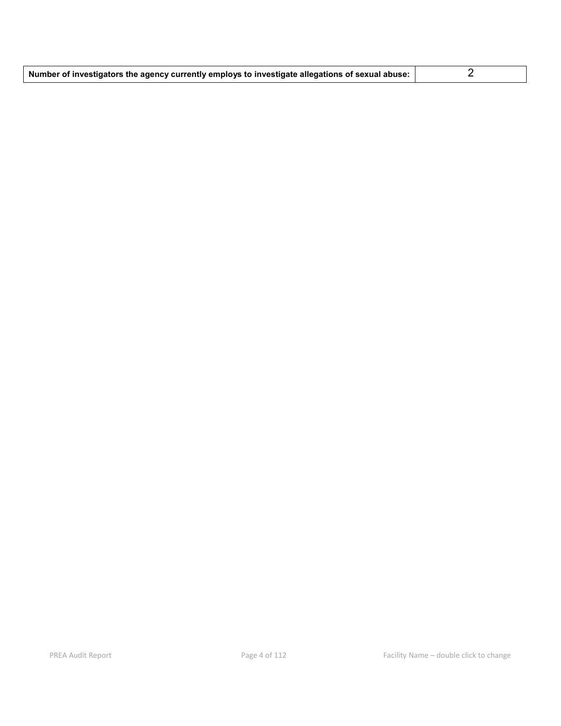| Number of investigators the agency currently employs to investigate allegations of sexual abuse: |  |
|--------------------------------------------------------------------------------------------------|--|
|--------------------------------------------------------------------------------------------------|--|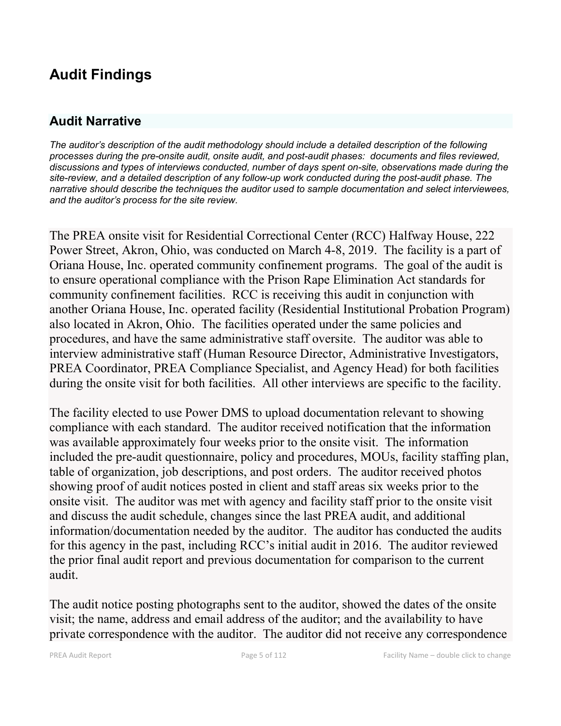# **Audit Findings**

## **Audit Narrative**

*The auditor's description of the audit methodology should include a detailed description of the following processes during the pre-onsite audit, onsite audit, and post-audit phases: documents and files reviewed, discussions and types of interviews conducted, number of days spent on-site, observations made during the site-review, and a detailed description of any follow-up work conducted during the post-audit phase. The narrative should describe the techniques the auditor used to sample documentation and select interviewees, and the auditor's process for the site review.*

The PREA onsite visit for Residential Correctional Center (RCC) Halfway House, 222 Power Street, Akron, Ohio, was conducted on March 4-8, 2019. The facility is a part of Oriana House, Inc. operated community confinement programs. The goal of the audit is to ensure operational compliance with the Prison Rape Elimination Act standards for community confinement facilities. RCC is receiving this audit in conjunction with another Oriana House, Inc. operated facility (Residential Institutional Probation Program) also located in Akron, Ohio. The facilities operated under the same policies and procedures, and have the same administrative staff oversite. The auditor was able to interview administrative staff (Human Resource Director, Administrative Investigators, PREA Coordinator, PREA Compliance Specialist, and Agency Head) for both facilities during the onsite visit for both facilities. All other interviews are specific to the facility.

The facility elected to use Power DMS to upload documentation relevant to showing compliance with each standard. The auditor received notification that the information was available approximately four weeks prior to the onsite visit. The information included the pre-audit questionnaire, policy and procedures, MOUs, facility staffing plan, table of organization, job descriptions, and post orders. The auditor received photos showing proof of audit notices posted in client and staff areas six weeks prior to the onsite visit. The auditor was met with agency and facility staff prior to the onsite visit and discuss the audit schedule, changes since the last PREA audit, and additional information/documentation needed by the auditor. The auditor has conducted the audits for this agency in the past, including RCC's initial audit in 2016. The auditor reviewed the prior final audit report and previous documentation for comparison to the current audit.

The audit notice posting photographs sent to the auditor, showed the dates of the onsite visit; the name, address and email address of the auditor; and the availability to have private correspondence with the auditor. The auditor did not receive any correspondence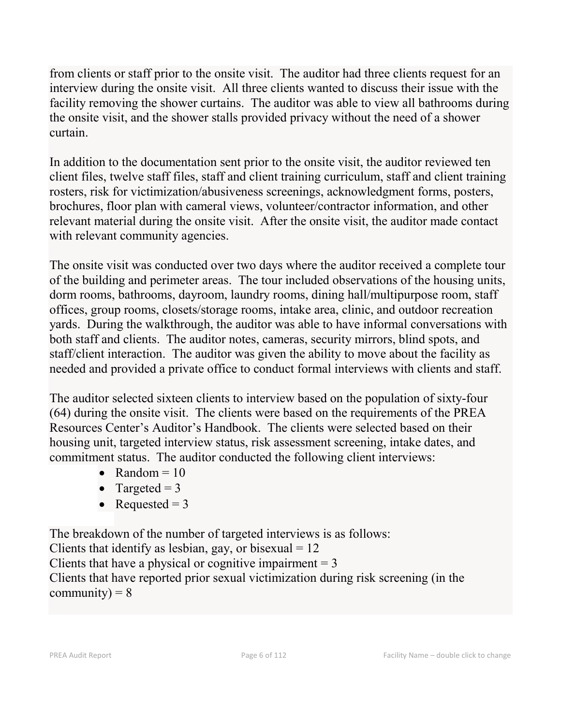from clients or staff prior to the onsite visit. The auditor had three clients request for an interview during the onsite visit. All three clients wanted to discuss their issue with the facility removing the shower curtains. The auditor was able to view all bathrooms during the onsite visit, and the shower stalls provided privacy without the need of a shower curtain.

In addition to the documentation sent prior to the onsite visit, the auditor reviewed ten client files, twelve staff files, staff and client training curriculum, staff and client training rosters, risk for victimization/abusiveness screenings, acknowledgment forms, posters, brochures, floor plan with cameral views, volunteer/contractor information, and other relevant material during the onsite visit. After the onsite visit, the auditor made contact with relevant community agencies.

The onsite visit was conducted over two days where the auditor received a complete tour of the building and perimeter areas. The tour included observations of the housing units, dorm rooms, bathrooms, dayroom, laundry rooms, dining hall/multipurpose room, staff offices, group rooms, closets/storage rooms, intake area, clinic, and outdoor recreation yards. During the walkthrough, the auditor was able to have informal conversations with both staff and clients. The auditor notes, cameras, security mirrors, blind spots, and staff/client interaction. The auditor was given the ability to move about the facility as needed and provided a private office to conduct formal interviews with clients and staff.

The auditor selected sixteen clients to interview based on the population of sixty-four (64) during the onsite visit. The clients were based on the requirements of the PREA Resources Center's Auditor's Handbook. The clients were selected based on their housing unit, targeted interview status, risk assessment screening, intake dates, and commitment status. The auditor conducted the following client interviews:

- Random  $= 10$
- Targeted  $= 3$
- Requested  $= 3$

The breakdown of the number of targeted interviews is as follows:

Clients that identify as lesbian, gay, or bisexual  $= 12$ 

Clients that have a physical or cognitive impairment  $= 3$ 

Clients that have reported prior sexual victimization during risk screening (in the community) =  $8$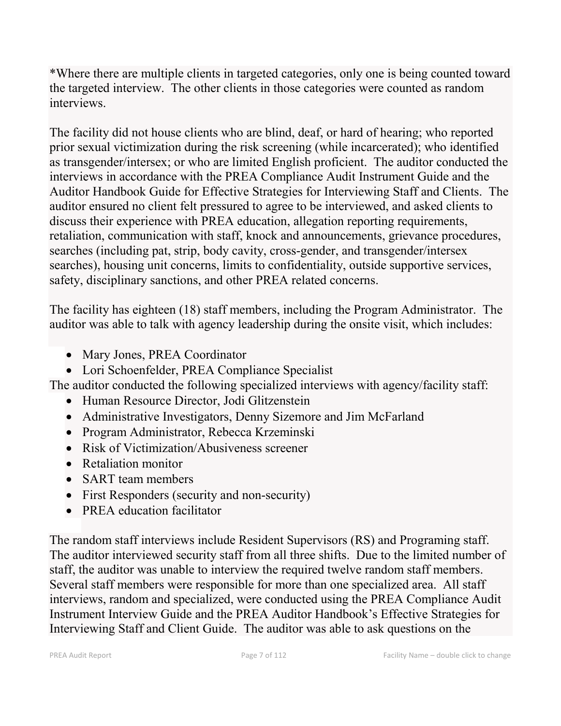\*Where there are multiple clients in targeted categories, only one is being counted toward the targeted interview. The other clients in those categories were counted as random interviews.

The facility did not house clients who are blind, deaf, or hard of hearing; who reported prior sexual victimization during the risk screening (while incarcerated); who identified as transgender/intersex; or who are limited English proficient. The auditor conducted the interviews in accordance with the PREA Compliance Audit Instrument Guide and the Auditor Handbook Guide for Effective Strategies for Interviewing Staff and Clients. The auditor ensured no client felt pressured to agree to be interviewed, and asked clients to discuss their experience with PREA education, allegation reporting requirements, retaliation, communication with staff, knock and announcements, grievance procedures, searches (including pat, strip, body cavity, cross-gender, and transgender/intersex searches), housing unit concerns, limits to confidentiality, outside supportive services, safety, disciplinary sanctions, and other PREA related concerns.

The facility has eighteen (18) staff members, including the Program Administrator. The auditor was able to talk with agency leadership during the onsite visit, which includes:

- Mary Jones, PREA Coordinator
- Lori Schoenfelder, PREA Compliance Specialist

The auditor conducted the following specialized interviews with agency/facility staff:

- Human Resource Director, Jodi Glitzenstein
- Administrative Investigators, Denny Sizemore and Jim McFarland
- Program Administrator, Rebecca Krzeminski
- Risk of Victimization/Abusiveness screener
- Retaliation monitor
- SART team members
- First Responders (security and non-security)
- PREA education facilitator

The random staff interviews include Resident Supervisors (RS) and Programing staff. The auditor interviewed security staff from all three shifts. Due to the limited number of staff, the auditor was unable to interview the required twelve random staff members. Several staff members were responsible for more than one specialized area. All staff interviews, random and specialized, were conducted using the PREA Compliance Audit Instrument Interview Guide and the PREA Auditor Handbook's Effective Strategies for Interviewing Staff and Client Guide. The auditor was able to ask questions on the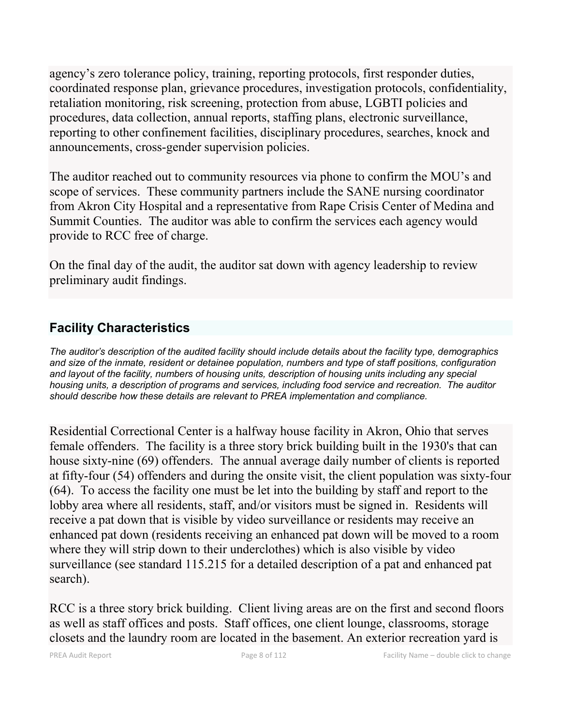agency's zero tolerance policy, training, reporting protocols, first responder duties, coordinated response plan, grievance procedures, investigation protocols, confidentiality, retaliation monitoring, risk screening, protection from abuse, LGBTI policies and procedures, data collection, annual reports, staffing plans, electronic surveillance, reporting to other confinement facilities, disciplinary procedures, searches, knock and announcements, cross-gender supervision policies.

The auditor reached out to community resources via phone to confirm the MOU's and scope of services. These community partners include the SANE nursing coordinator from Akron City Hospital and a representative from Rape Crisis Center of Medina and Summit Counties. The auditor was able to confirm the services each agency would provide to RCC free of charge.

On the final day of the audit, the auditor sat down with agency leadership to review preliminary audit findings.

## **Facility Characteristics**

*The auditor's description of the audited facility should include details about the facility type, demographics and size of the inmate, resident or detainee population, numbers and type of staff positions, configuration and layout of the facility, numbers of housing units, description of housing units including any special housing units, a description of programs and services, including food service and recreation. The auditor should describe how these details are relevant to PREA implementation and compliance.*

Residential Correctional Center is a halfway house facility in Akron, Ohio that serves female offenders. The facility is a three story brick building built in the 1930's that can house sixty-nine (69) offenders. The annual average daily number of clients is reported at fifty-four (54) offenders and during the onsite visit, the client population was sixty-four (64). To access the facility one must be let into the building by staff and report to the lobby area where all residents, staff, and/or visitors must be signed in. Residents will receive a pat down that is visible by video surveillance or residents may receive an enhanced pat down (residents receiving an enhanced pat down will be moved to a room where they will strip down to their underclothes) which is also visible by video surveillance (see standard 115.215 for a detailed description of a pat and enhanced pat search).

RCC is a three story brick building. Client living areas are on the first and second floors as well as staff offices and posts. Staff offices, one client lounge, classrooms, storage closets and the laundry room are located in the basement. An exterior recreation yard is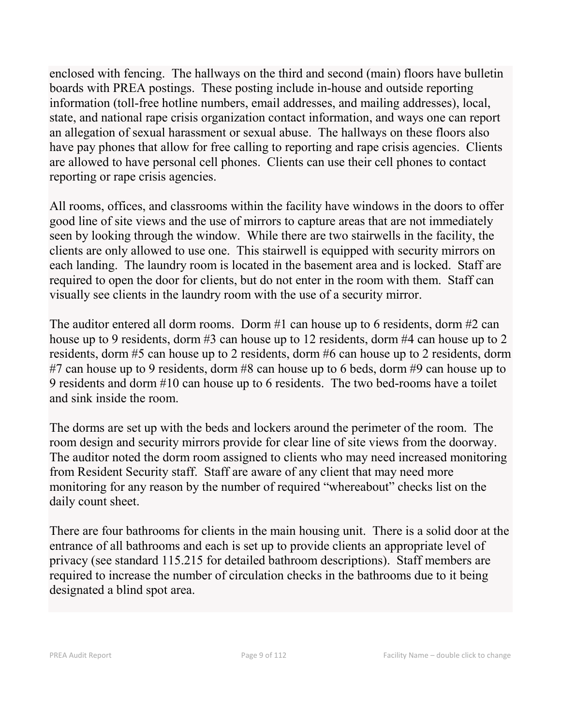enclosed with fencing. The hallways on the third and second (main) floors have bulletin boards with PREA postings. These posting include in-house and outside reporting information (toll-free hotline numbers, email addresses, and mailing addresses), local, state, and national rape crisis organization contact information, and ways one can report an allegation of sexual harassment or sexual abuse. The hallways on these floors also have pay phones that allow for free calling to reporting and rape crisis agencies. Clients are allowed to have personal cell phones. Clients can use their cell phones to contact reporting or rape crisis agencies.

All rooms, offices, and classrooms within the facility have windows in the doors to offer good line of site views and the use of mirrors to capture areas that are not immediately seen by looking through the window. While there are two stairwells in the facility, the clients are only allowed to use one. This stairwell is equipped with security mirrors on each landing. The laundry room is located in the basement area and is locked. Staff are required to open the door for clients, but do not enter in the room with them. Staff can visually see clients in the laundry room with the use of a security mirror.

The auditor entered all dorm rooms. Dorm #1 can house up to 6 residents, dorm #2 can house up to 9 residents, dorm #3 can house up to 12 residents, dorm #4 can house up to 2 residents, dorm #5 can house up to 2 residents, dorm #6 can house up to 2 residents, dorm #7 can house up to 9 residents, dorm #8 can house up to 6 beds, dorm #9 can house up to 9 residents and dorm #10 can house up to 6 residents. The two bed-rooms have a toilet and sink inside the room.

The dorms are set up with the beds and lockers around the perimeter of the room. The room design and security mirrors provide for clear line of site views from the doorway. The auditor noted the dorm room assigned to clients who may need increased monitoring from Resident Security staff. Staff are aware of any client that may need more monitoring for any reason by the number of required "whereabout" checks list on the daily count sheet.

There are four bathrooms for clients in the main housing unit. There is a solid door at the entrance of all bathrooms and each is set up to provide clients an appropriate level of privacy (see standard 115.215 for detailed bathroom descriptions). Staff members are required to increase the number of circulation checks in the bathrooms due to it being designated a blind spot area.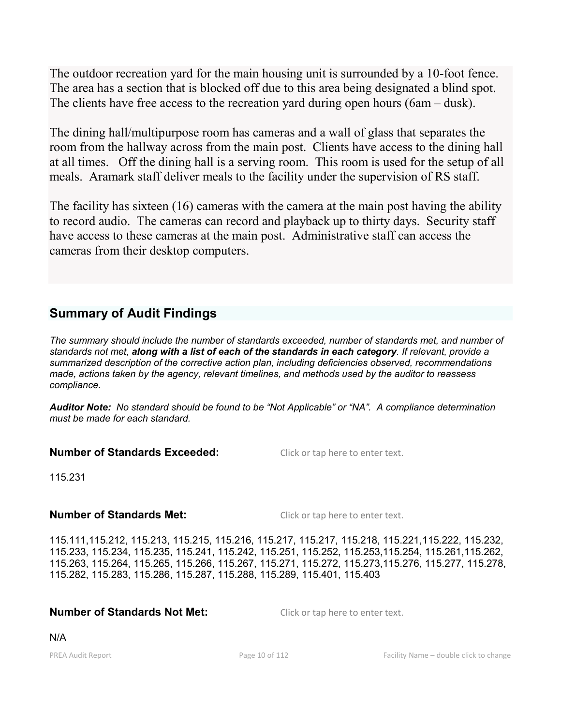The outdoor recreation yard for the main housing unit is surrounded by a 10-foot fence. The area has a section that is blocked off due to this area being designated a blind spot. The clients have free access to the recreation yard during open hours (6am – dusk).

The dining hall/multipurpose room has cameras and a wall of glass that separates the room from the hallway across from the main post. Clients have access to the dining hall at all times. Off the dining hall is a serving room. This room is used for the setup of all meals. Aramark staff deliver meals to the facility under the supervision of RS staff.

The facility has sixteen (16) cameras with the camera at the main post having the ability to record audio. The cameras can record and playback up to thirty days. Security staff have access to these cameras at the main post. Administrative staff can access the cameras from their desktop computers.

## **Summary of Audit Findings**

*The summary should include the number of standards exceeded, number of standards met, and number of standards not met, along with a list of each of the standards in each category. If relevant, provide a summarized description of the corrective action plan, including deficiencies observed, recommendations made, actions taken by the agency, relevant timelines, and methods used by the auditor to reassess compliance.*

*Auditor Note: No standard should be found to be "Not Applicable" or "NA". A compliance determination must be made for each standard.*

### **Number of Standards Exceeded:** Click or tap here to enter text.

115.231

### **Number of Standards Met:** Click or tap here to enter text.

115.111,115.212, 115.213, 115.215, 115.216, 115.217, 115.217, 115.218, 115.221,115.222, 115.232, 115.233, 115.234, 115.235, 115.241, 115.242, 115.251, 115.252, 115.253,115.254, 115.261,115.262, 115.263, 115.264, 115.265, 115.266, 115.267, 115.271, 115.272, 115.273,115.276, 115.277, 115.278, 115.282, 115.283, 115.286, 115.287, 115.288, 115.289, 115.401, 115.403

### **Number of Standards Not Met:** Click or tap here to enter text.

N/A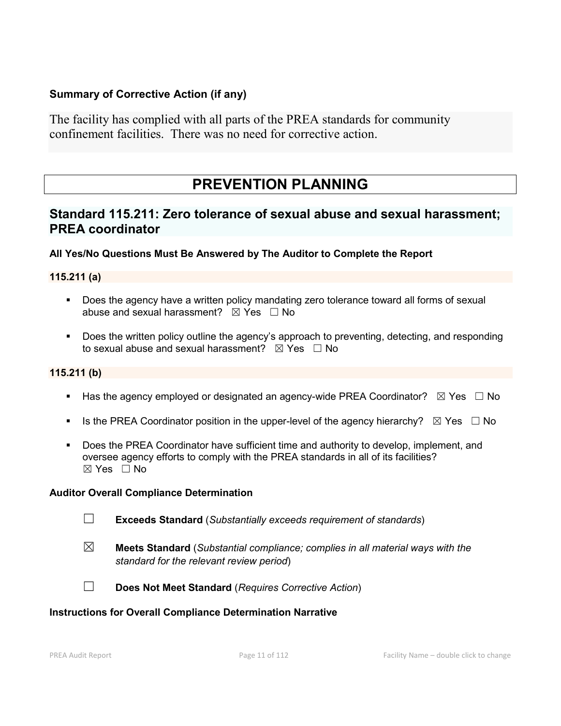### **Summary of Corrective Action (if any)**

The facility has complied with all parts of the PREA standards for community confinement facilities. There was no need for corrective action.

# **PREVENTION PLANNING**

## **Standard 115.211: Zero tolerance of sexual abuse and sexual harassment; PREA coordinator**

### **All Yes/No Questions Must Be Answered by The Auditor to Complete the Report**

### **115.211 (a)**

- **Does the agency have a written policy mandating zero tolerance toward all forms of sexual** abuse and sexual harassment?  $\boxtimes$  Yes  $\Box$  No
- Does the written policy outline the agency's approach to preventing, detecting, and responding to sexual abuse and sexual harassment?  $\boxtimes$  Yes  $\Box$  No

### **115.211 (b)**

- Has the agency employed or designated an agency-wide PREA Coordinator?  $\boxtimes$  Yes  $\Box$  No
- Is the PREA Coordinator position in the upper-level of the agency hierarchy?  $\boxtimes$  Yes  $\Box$  No
- **Does the PREA Coordinator have sufficient time and authority to develop, implement, and** oversee agency efforts to comply with the PREA standards in all of its facilities?  $\boxtimes$  Yes  $\Box$  No

#### **Auditor Overall Compliance Determination**

- ☐ **Exceeds Standard** (*Substantially exceeds requirement of standards*)
- ☒ **Meets Standard** (*Substantial compliance; complies in all material ways with the standard for the relevant review period*)
- 
- ☐ **Does Not Meet Standard** (*Requires Corrective Action*)

#### **Instructions for Overall Compliance Determination Narrative**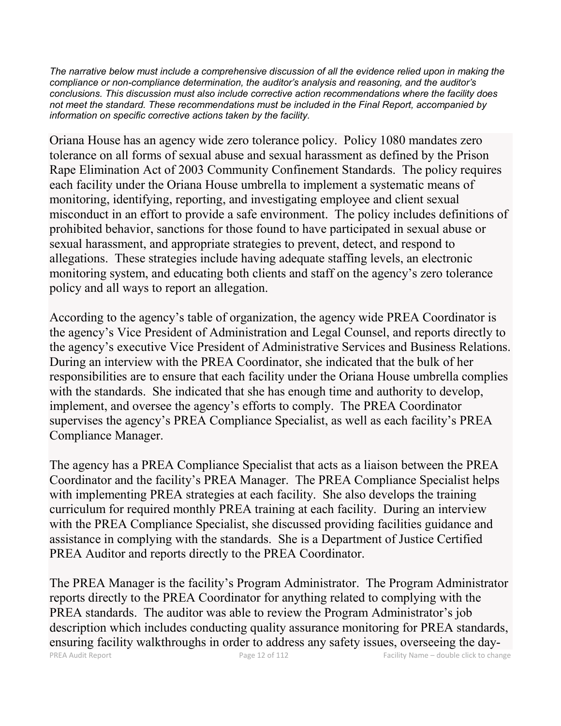*The narrative below must include a comprehensive discussion of all the evidence relied upon in making the compliance or non-compliance determination, the auditor's analysis and reasoning, and the auditor's conclusions. This discussion must also include corrective action recommendations where the facility does not meet the standard. These recommendations must be included in the Final Report, accompanied by information on specific corrective actions taken by the facility.*

Oriana House has an agency wide zero tolerance policy. Policy 1080 mandates zero tolerance on all forms of sexual abuse and sexual harassment as defined by the Prison Rape Elimination Act of 2003 Community Confinement Standards. The policy requires each facility under the Oriana House umbrella to implement a systematic means of monitoring, identifying, reporting, and investigating employee and client sexual misconduct in an effort to provide a safe environment. The policy includes definitions of prohibited behavior, sanctions for those found to have participated in sexual abuse or sexual harassment, and appropriate strategies to prevent, detect, and respond to allegations. These strategies include having adequate staffing levels, an electronic monitoring system, and educating both clients and staff on the agency's zero tolerance policy and all ways to report an allegation.

According to the agency's table of organization, the agency wide PREA Coordinator is the agency's Vice President of Administration and Legal Counsel, and reports directly to the agency's executive Vice President of Administrative Services and Business Relations. During an interview with the PREA Coordinator, she indicated that the bulk of her responsibilities are to ensure that each facility under the Oriana House umbrella complies with the standards. She indicated that she has enough time and authority to develop, implement, and oversee the agency's efforts to comply. The PREA Coordinator supervises the agency's PREA Compliance Specialist, as well as each facility's PREA Compliance Manager.

The agency has a PREA Compliance Specialist that acts as a liaison between the PREA Coordinator and the facility's PREA Manager. The PREA Compliance Specialist helps with implementing PREA strategies at each facility. She also develops the training curriculum for required monthly PREA training at each facility. During an interview with the PREA Compliance Specialist, she discussed providing facilities guidance and assistance in complying with the standards. She is a Department of Justice Certified PREA Auditor and reports directly to the PREA Coordinator.

PREA Audit Report Page 12 of 112 Facility Name – double click to change The PREA Manager is the facility's Program Administrator. The Program Administrator reports directly to the PREA Coordinator for anything related to complying with the PREA standards. The auditor was able to review the Program Administrator's job description which includes conducting quality assurance monitoring for PREA standards, ensuring facility walkthroughs in order to address any safety issues, overseeing the day-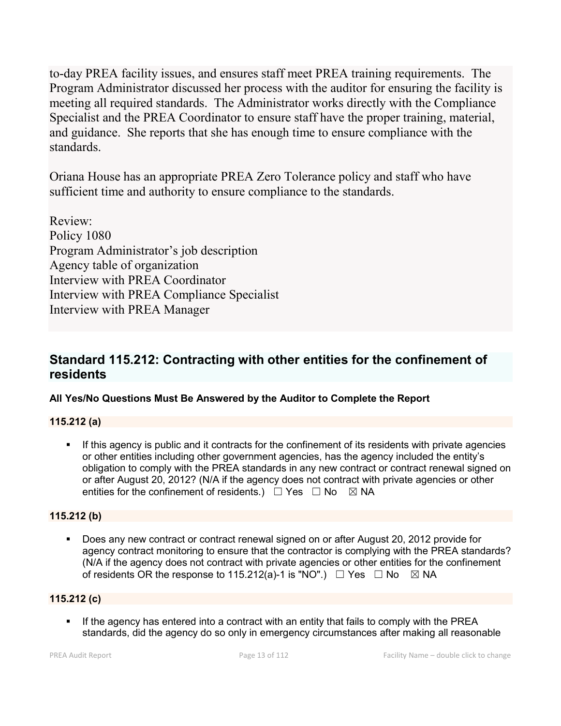to-day PREA facility issues, and ensures staff meet PREA training requirements. The Program Administrator discussed her process with the auditor for ensuring the facility is meeting all required standards. The Administrator works directly with the Compliance Specialist and the PREA Coordinator to ensure staff have the proper training, material, and guidance. She reports that she has enough time to ensure compliance with the standards.

Oriana House has an appropriate PREA Zero Tolerance policy and staff who have sufficient time and authority to ensure compliance to the standards.

Review: Policy 1080 Program Administrator's job description Agency table of organization Interview with PREA Coordinator Interview with PREA Compliance Specialist Interview with PREA Manager

## **Standard 115.212: Contracting with other entities for the confinement of residents**

### **All Yes/No Questions Must Be Answered by the Auditor to Complete the Report**

### **115.212 (a)**

 If this agency is public and it contracts for the confinement of its residents with private agencies or other entities including other government agencies, has the agency included the entity's obligation to comply with the PREA standards in any new contract or contract renewal signed on or after August 20, 2012? (N/A if the agency does not contract with private agencies or other entities for the confinement of residents.)  $\Box$  Yes  $\Box$  No  $\boxtimes$  NA

### **115.212 (b)**

 Does any new contract or contract renewal signed on or after August 20, 2012 provide for agency contract monitoring to ensure that the contractor is complying with the PREA standards? (N/A if the agency does not contract with private agencies or other entities for the confinement of residents OR the response to 115.212(a)-1 is "NO".)  $\Box$  Yes  $\Box$  No  $\boxtimes$  NA

### **115.212 (c)**

If the agency has entered into a contract with an entity that fails to comply with the PREA standards, did the agency do so only in emergency circumstances after making all reasonable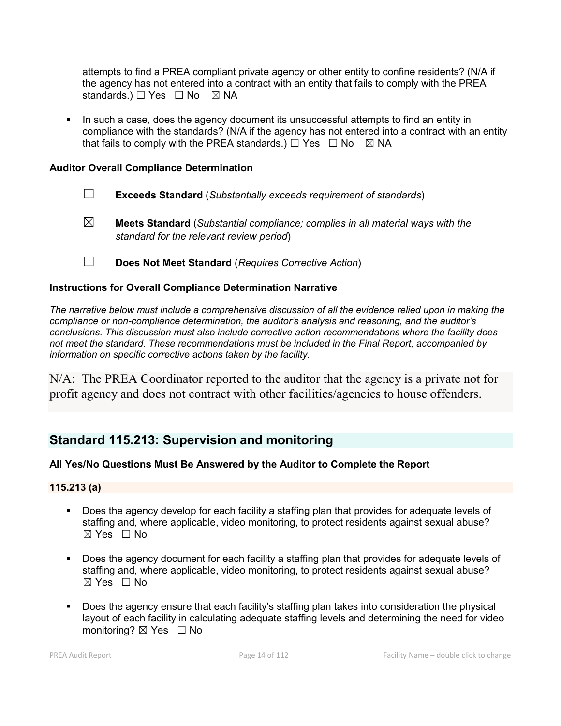attempts to find a PREA compliant private agency or other entity to confine residents? (N/A if the agency has not entered into a contract with an entity that fails to comply with the PREA standards.) □ Yes □ No ⊠ NA

 In such a case, does the agency document its unsuccessful attempts to find an entity in compliance with the standards? (N/A if the agency has not entered into a contract with an entity that fails to comply with the PREA standards.)  $\Box$  Yes  $\Box$  No  $\boxtimes$  NA

### **Auditor Overall Compliance Determination**

- ☐ **Exceeds Standard** (*Substantially exceeds requirement of standards*)
- ☒ **Meets Standard** (*Substantial compliance; complies in all material ways with the standard for the relevant review period*)
- ☐ **Does Not Meet Standard** (*Requires Corrective Action*)

### **Instructions for Overall Compliance Determination Narrative**

*The narrative below must include a comprehensive discussion of all the evidence relied upon in making the compliance or non-compliance determination, the auditor's analysis and reasoning, and the auditor's conclusions. This discussion must also include corrective action recommendations where the facility does not meet the standard. These recommendations must be included in the Final Report, accompanied by information on specific corrective actions taken by the facility.*

N/A: The PREA Coordinator reported to the auditor that the agency is a private not for profit agency and does not contract with other facilities/agencies to house offenders.

## **Standard 115.213: Supervision and monitoring**

### **All Yes/No Questions Must Be Answered by the Auditor to Complete the Report**

### **115.213 (a)**

- Does the agency develop for each facility a staffing plan that provides for adequate levels of staffing and, where applicable, video monitoring, to protect residents against sexual abuse?  $\boxtimes$  Yes  $\Box$  No
- Does the agency document for each facility a staffing plan that provides for adequate levels of staffing and, where applicable, video monitoring, to protect residents against sexual abuse?  $\boxtimes$  Yes  $\Box$  No
- Does the agency ensure that each facility's staffing plan takes into consideration the physical layout of each facility in calculating adequate staffing levels and determining the need for video monitoring? ⊠ Yes □ No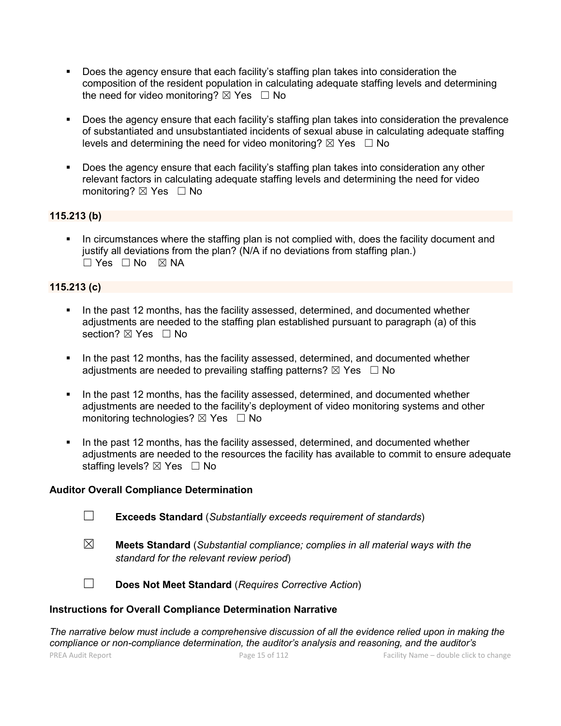- Does the agency ensure that each facility's staffing plan takes into consideration the composition of the resident population in calculating adequate staffing levels and determining the need for video monitoring?  $\boxtimes$  Yes  $\Box$  No
- Does the agency ensure that each facility's staffing plan takes into consideration the prevalence of substantiated and unsubstantiated incidents of sexual abuse in calculating adequate staffing levels and determining the need for video monitoring?  $\boxtimes$  Yes  $\Box$  No
- Does the agency ensure that each facility's staffing plan takes into consideration any other relevant factors in calculating adequate staffing levels and determining the need for video monitoring?  $\boxtimes$  Yes  $\Box$  No

### **115.213 (b)**

 In circumstances where the staffing plan is not complied with, does the facility document and justify all deviations from the plan? (N/A if no deviations from staffing plan.) ☐ Yes ☐ No ☒ NA

### **115.213 (c)**

- In the past 12 months, has the facility assessed, determined, and documented whether adjustments are needed to the staffing plan established pursuant to paragraph (a) of this section? ⊠ Yes □ No
- In the past 12 months, has the facility assessed, determined, and documented whether adjustments are needed to prevailing staffing patterns?  $\boxtimes$  Yes  $\Box$  No
- In the past 12 months, has the facility assessed, determined, and documented whether adjustments are needed to the facility's deployment of video monitoring systems and other monitoring technologies?  $\boxtimes$  Yes  $\Box$  No
- In the past 12 months, has the facility assessed, determined, and documented whether adjustments are needed to the resources the facility has available to commit to ensure adequate staffing levels?  $\boxtimes$  Yes  $\Box$  No

### **Auditor Overall Compliance Determination**

- ☐ **Exceeds Standard** (*Substantially exceeds requirement of standards*)
- ☒ **Meets Standard** (*Substantial compliance; complies in all material ways with the standard for the relevant review period*)
- 
- ☐ **Does Not Meet Standard** (*Requires Corrective Action*)

### **Instructions for Overall Compliance Determination Narrative**

*The narrative below must include a comprehensive discussion of all the evidence relied upon in making the compliance or non-compliance determination, the auditor's analysis and reasoning, and the auditor's*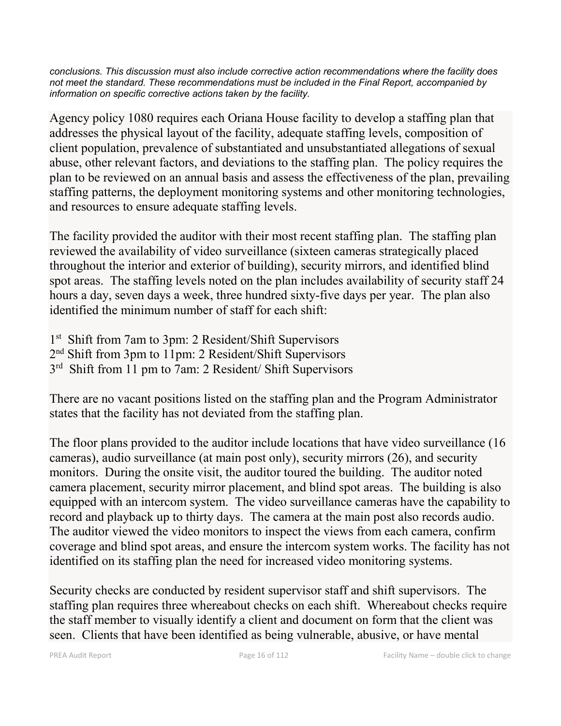*conclusions. This discussion must also include corrective action recommendations where the facility does not meet the standard. These recommendations must be included in the Final Report, accompanied by information on specific corrective actions taken by the facility.*

Agency policy 1080 requires each Oriana House facility to develop a staffing plan that addresses the physical layout of the facility, adequate staffing levels, composition of client population, prevalence of substantiated and unsubstantiated allegations of sexual abuse, other relevant factors, and deviations to the staffing plan. The policy requires the plan to be reviewed on an annual basis and assess the effectiveness of the plan, prevailing staffing patterns, the deployment monitoring systems and other monitoring technologies, and resources to ensure adequate staffing levels.

The facility provided the auditor with their most recent staffing plan. The staffing plan reviewed the availability of video surveillance (sixteen cameras strategically placed throughout the interior and exterior of building), security mirrors, and identified blind spot areas. The staffing levels noted on the plan includes availability of security staff 24 hours a day, seven days a week, three hundred sixty-five days per year. The plan also identified the minimum number of staff for each shift:

1<sup>st</sup> Shift from 7am to 3pm: 2 Resident/Shift Supervisors 2nd Shift from 3pm to 11pm: 2 Resident/Shift Supervisors 3rd Shift from 11 pm to 7am: 2 Resident/ Shift Supervisors

There are no vacant positions listed on the staffing plan and the Program Administrator states that the facility has not deviated from the staffing plan.

The floor plans provided to the auditor include locations that have video surveillance (16 cameras), audio surveillance (at main post only), security mirrors (26), and security monitors. During the onsite visit, the auditor toured the building. The auditor noted camera placement, security mirror placement, and blind spot areas. The building is also equipped with an intercom system. The video surveillance cameras have the capability to record and playback up to thirty days. The camera at the main post also records audio. The auditor viewed the video monitors to inspect the views from each camera, confirm coverage and blind spot areas, and ensure the intercom system works. The facility has not identified on its staffing plan the need for increased video monitoring systems.

Security checks are conducted by resident supervisor staff and shift supervisors. The staffing plan requires three whereabout checks on each shift. Whereabout checks require the staff member to visually identify a client and document on form that the client was seen. Clients that have been identified as being vulnerable, abusive, or have mental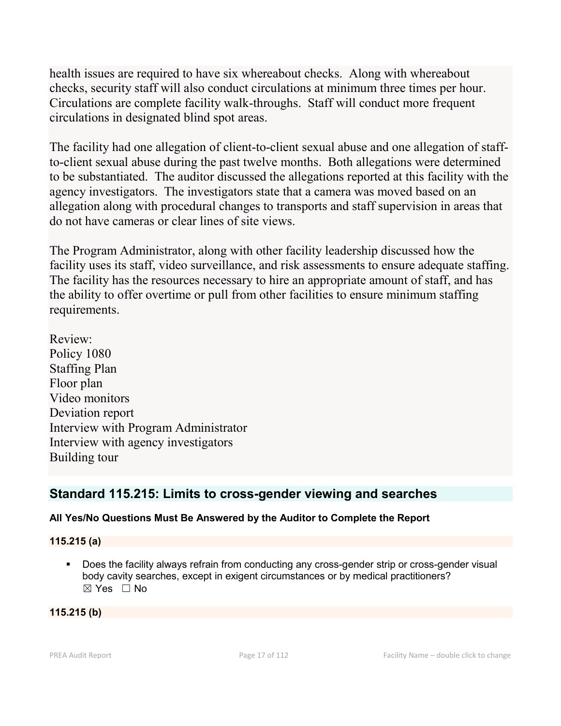health issues are required to have six whereabout checks. Along with whereabout checks, security staff will also conduct circulations at minimum three times per hour. Circulations are complete facility walk-throughs. Staff will conduct more frequent circulations in designated blind spot areas.

The facility had one allegation of client-to-client sexual abuse and one allegation of staffto-client sexual abuse during the past twelve months. Both allegations were determined to be substantiated. The auditor discussed the allegations reported at this facility with the agency investigators. The investigators state that a camera was moved based on an allegation along with procedural changes to transports and staff supervision in areas that do not have cameras or clear lines of site views.

The Program Administrator, along with other facility leadership discussed how the facility uses its staff, video surveillance, and risk assessments to ensure adequate staffing. The facility has the resources necessary to hire an appropriate amount of staff, and has the ability to offer overtime or pull from other facilities to ensure minimum staffing requirements.

Review: Policy 1080 Staffing Plan Floor plan Video monitors Deviation report Interview with Program Administrator Interview with agency investigators Building tour

## **Standard 115.215: Limits to cross-gender viewing and searches**

### **All Yes/No Questions Must Be Answered by the Auditor to Complete the Report**

### **115.215 (a)**

Does the facility always refrain from conducting any cross-gender strip or cross-gender visual body cavity searches, except in exigent circumstances or by medical practitioners?  $\boxtimes$  Yes  $\Box$  No

### **115.215 (b)**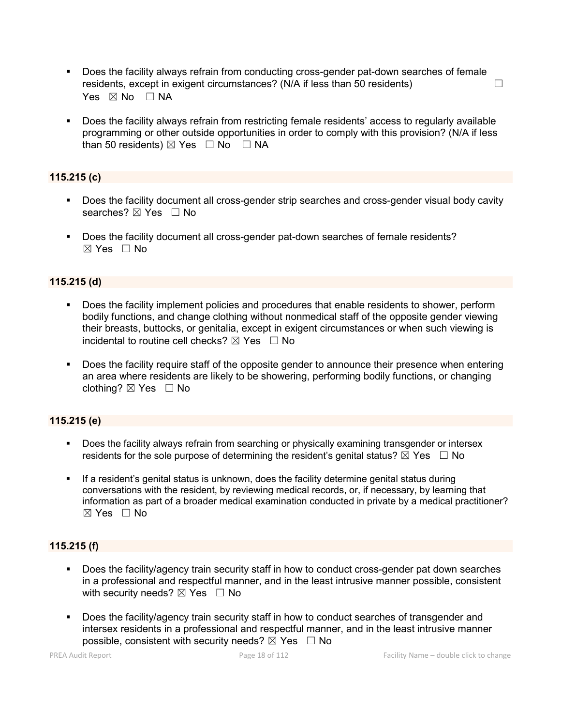- Does the facility always refrain from conducting cross-gender pat-down searches of female residents, except in exigent circumstances? (N/A if less than 50 residents)  $\Box$ Yes  $\boxtimes$  No  $\Box$  NA
- Does the facility always refrain from restricting female residents' access to regularly available programming or other outside opportunities in order to comply with this provision? (N/A if less than 50 residents)  $\boxtimes$  Yes  $\Box$  No  $\Box$  NA

#### **115.215 (c)**

- Does the facility document all cross-gender strip searches and cross-gender visual body cavity searches? ⊠ Yes □ No
- Does the facility document all cross-gender pat-down searches of female residents?  $\boxtimes$  Yes  $\Box$  No

#### **115.215 (d)**

- Does the facility implement policies and procedures that enable residents to shower, perform bodily functions, and change clothing without nonmedical staff of the opposite gender viewing their breasts, buttocks, or genitalia, except in exigent circumstances or when such viewing is incidental to routine cell checks?  $\boxtimes$  Yes  $\Box$  No
- Does the facility require staff of the opposite gender to announce their presence when entering an area where residents are likely to be showering, performing bodily functions, or changing clothing?  $\boxtimes$  Yes  $\Box$  No

#### **115.215 (e)**

- **Does the facility always refrain from searching or physically examining transgender or intersex** residents for the sole purpose of determining the resident's genital status?  $\boxtimes$  Yes  $\Box$  No
- If a resident's genital status is unknown, does the facility determine genital status during conversations with the resident, by reviewing medical records, or, if necessary, by learning that information as part of a broader medical examination conducted in private by a medical practitioner?  $\boxtimes$  Yes  $\Box$  No

### **115.215 (f)**

- Does the facility/agency train security staff in how to conduct cross-gender pat down searches in a professional and respectful manner, and in the least intrusive manner possible, consistent with security needs?  $\boxtimes$  Yes  $\Box$  No
- Does the facility/agency train security staff in how to conduct searches of transgender and intersex residents in a professional and respectful manner, and in the least intrusive manner possible, consistent with security needs?  $\boxtimes$  Yes  $\Box$  No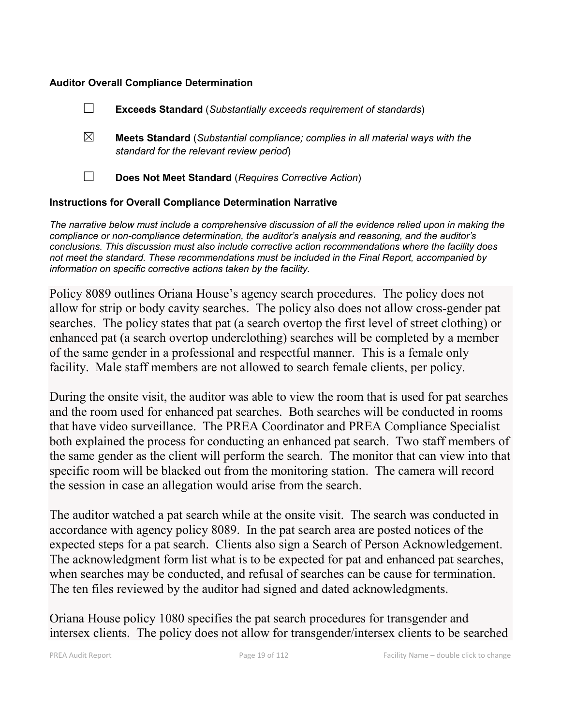### **Auditor Overall Compliance Determination**

|                                                                    |   | <b>Exceeds Standard (Substantially exceeds requirement of standards)</b>                                                          |  |
|--------------------------------------------------------------------|---|-----------------------------------------------------------------------------------------------------------------------------------|--|
|                                                                    | ⊠ | <b>Meets Standard</b> (Substantial compliance; complies in all material ways with the<br>standard for the relevant review period) |  |
|                                                                    |   | Does Not Meet Standard (Requires Corrective Action)                                                                               |  |
| <b>Instructions for Overall Compliance Determination Narrative</b> |   |                                                                                                                                   |  |

*The narrative below must include a comprehensive discussion of all the evidence relied upon in making the compliance or non-compliance determination, the auditor's analysis and reasoning, and the auditor's conclusions. This discussion must also include corrective action recommendations where the facility does not meet the standard. These recommendations must be included in the Final Report, accompanied by information on specific corrective actions taken by the facility.*

Policy 8089 outlines Oriana House's agency search procedures. The policy does not allow for strip or body cavity searches. The policy also does not allow cross-gender pat searches. The policy states that pat (a search overtop the first level of street clothing) or enhanced pat (a search overtop underclothing) searches will be completed by a member of the same gender in a professional and respectful manner. This is a female only facility. Male staff members are not allowed to search female clients, per policy.

During the onsite visit, the auditor was able to view the room that is used for pat searches and the room used for enhanced pat searches. Both searches will be conducted in rooms that have video surveillance. The PREA Coordinator and PREA Compliance Specialist both explained the process for conducting an enhanced pat search. Two staff members of the same gender as the client will perform the search. The monitor that can view into that specific room will be blacked out from the monitoring station. The camera will record the session in case an allegation would arise from the search.

The auditor watched a pat search while at the onsite visit. The search was conducted in accordance with agency policy 8089. In the pat search area are posted notices of the expected steps for a pat search. Clients also sign a Search of Person Acknowledgement. The acknowledgment form list what is to be expected for pat and enhanced pat searches, when searches may be conducted, and refusal of searches can be cause for termination. The ten files reviewed by the auditor had signed and dated acknowledgments.

Oriana House policy 1080 specifies the pat search procedures for transgender and intersex clients. The policy does not allow for transgender/intersex clients to be searched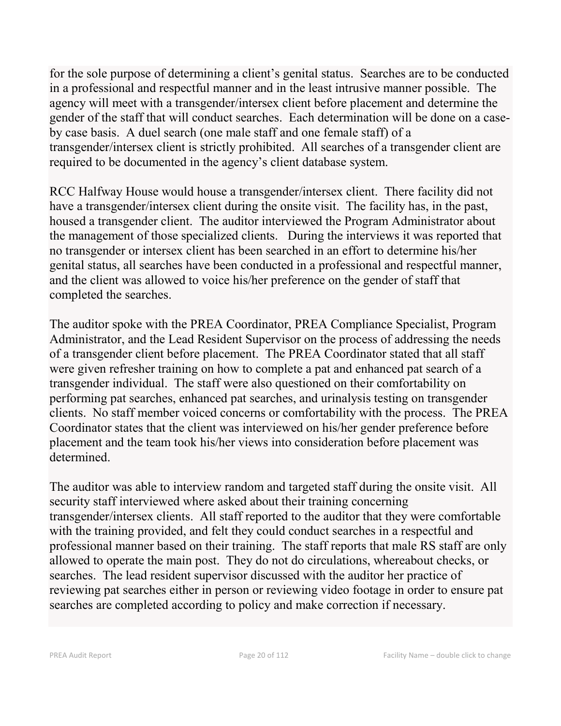for the sole purpose of determining a client's genital status. Searches are to be conducted in a professional and respectful manner and in the least intrusive manner possible. The agency will meet with a transgender/intersex client before placement and determine the gender of the staff that will conduct searches. Each determination will be done on a caseby case basis. A duel search (one male staff and one female staff) of a transgender/intersex client is strictly prohibited. All searches of a transgender client are required to be documented in the agency's client database system.

RCC Halfway House would house a transgender/intersex client. There facility did not have a transgender/intersex client during the onsite visit. The facility has, in the past, housed a transgender client. The auditor interviewed the Program Administrator about the management of those specialized clients. During the interviews it was reported that no transgender or intersex client has been searched in an effort to determine his/her genital status, all searches have been conducted in a professional and respectful manner, and the client was allowed to voice his/her preference on the gender of staff that completed the searches.

The auditor spoke with the PREA Coordinator, PREA Compliance Specialist, Program Administrator, and the Lead Resident Supervisor on the process of addressing the needs of a transgender client before placement. The PREA Coordinator stated that all staff were given refresher training on how to complete a pat and enhanced pat search of a transgender individual. The staff were also questioned on their comfortability on performing pat searches, enhanced pat searches, and urinalysis testing on transgender clients. No staff member voiced concerns or comfortability with the process. The PREA Coordinator states that the client was interviewed on his/her gender preference before placement and the team took his/her views into consideration before placement was determined.

The auditor was able to interview random and targeted staff during the onsite visit. All security staff interviewed where asked about their training concerning transgender/intersex clients. All staff reported to the auditor that they were comfortable with the training provided, and felt they could conduct searches in a respectful and professional manner based on their training. The staff reports that male RS staff are only allowed to operate the main post. They do not do circulations, whereabout checks, or searches. The lead resident supervisor discussed with the auditor her practice of reviewing pat searches either in person or reviewing video footage in order to ensure pat searches are completed according to policy and make correction if necessary.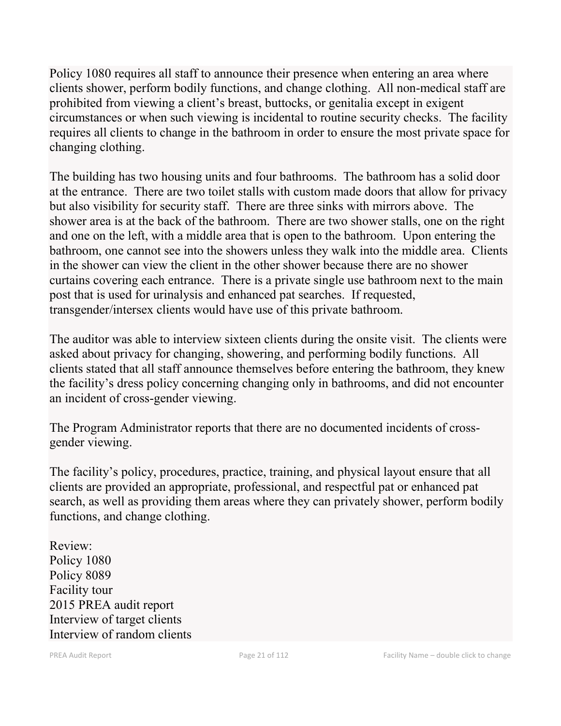Policy 1080 requires all staff to announce their presence when entering an area where clients shower, perform bodily functions, and change clothing. All non-medical staff are prohibited from viewing a client's breast, buttocks, or genitalia except in exigent circumstances or when such viewing is incidental to routine security checks. The facility requires all clients to change in the bathroom in order to ensure the most private space for changing clothing.

The building has two housing units and four bathrooms. The bathroom has a solid door at the entrance. There are two toilet stalls with custom made doors that allow for privacy but also visibility for security staff. There are three sinks with mirrors above. The shower area is at the back of the bathroom. There are two shower stalls, one on the right and one on the left, with a middle area that is open to the bathroom. Upon entering the bathroom, one cannot see into the showers unless they walk into the middle area. Clients in the shower can view the client in the other shower because there are no shower curtains covering each entrance. There is a private single use bathroom next to the main post that is used for urinalysis and enhanced pat searches. If requested, transgender/intersex clients would have use of this private bathroom.

The auditor was able to interview sixteen clients during the onsite visit. The clients were asked about privacy for changing, showering, and performing bodily functions. All clients stated that all staff announce themselves before entering the bathroom, they knew the facility's dress policy concerning changing only in bathrooms, and did not encounter an incident of cross-gender viewing.

The Program Administrator reports that there are no documented incidents of crossgender viewing.

The facility's policy, procedures, practice, training, and physical layout ensure that all clients are provided an appropriate, professional, and respectful pat or enhanced pat search, as well as providing them areas where they can privately shower, perform bodily functions, and change clothing.

Review: Policy 1080 Policy 8089 Facility tour 2015 PREA audit report Interview of target clients Interview of random clients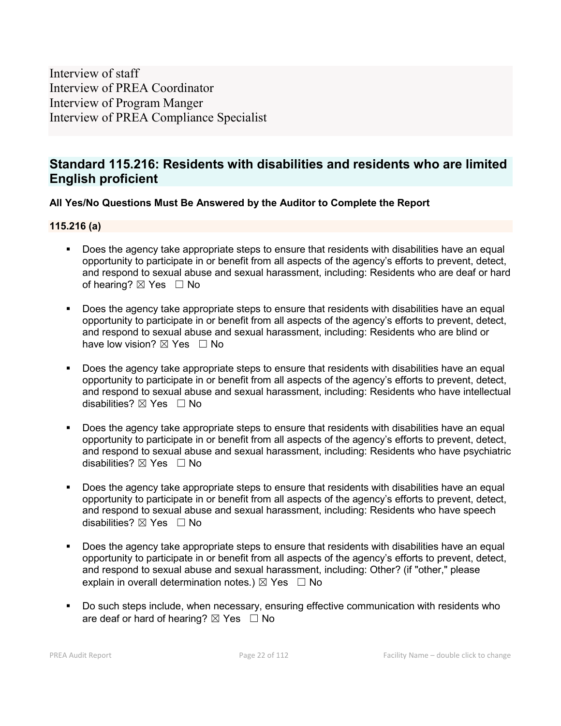Interview of staff Interview of PREA Coordinator Interview of Program Manger Interview of PREA Compliance Specialist

## **Standard 115.216: Residents with disabilities and residents who are limited English proficient**

### **All Yes/No Questions Must Be Answered by the Auditor to Complete the Report**

#### **115.216 (a)**

- Does the agency take appropriate steps to ensure that residents with disabilities have an equal opportunity to participate in or benefit from all aspects of the agency's efforts to prevent, detect, and respond to sexual abuse and sexual harassment, including: Residents who are deaf or hard of hearing?  $\boxtimes$  Yes  $\Box$  No
- Does the agency take appropriate steps to ensure that residents with disabilities have an equal opportunity to participate in or benefit from all aspects of the agency's efforts to prevent, detect, and respond to sexual abuse and sexual harassment, including: Residents who are blind or have low vision?  $\boxtimes$  Yes  $\Box$  No
- Does the agency take appropriate steps to ensure that residents with disabilities have an equal opportunity to participate in or benefit from all aspects of the agency's efforts to prevent, detect, and respond to sexual abuse and sexual harassment, including: Residents who have intellectual disabilities?  $\boxtimes$  Yes  $\Box$  No
- Does the agency take appropriate steps to ensure that residents with disabilities have an equal opportunity to participate in or benefit from all aspects of the agency's efforts to prevent, detect, and respond to sexual abuse and sexual harassment, including: Residents who have psychiatric disabilities?  $\boxtimes$  Yes  $\Box$  No
- Does the agency take appropriate steps to ensure that residents with disabilities have an equal opportunity to participate in or benefit from all aspects of the agency's efforts to prevent, detect, and respond to sexual abuse and sexual harassment, including: Residents who have speech disabilities?  $\boxtimes$  Yes  $\Box$  No
- Does the agency take appropriate steps to ensure that residents with disabilities have an equal opportunity to participate in or benefit from all aspects of the agency's efforts to prevent, detect, and respond to sexual abuse and sexual harassment, including: Other? (if "other," please explain in overall determination notes.)  $\boxtimes$  Yes  $\Box$  No
- Do such steps include, when necessary, ensuring effective communication with residents who are deaf or hard of hearing?  $\boxtimes$  Yes  $\Box$  No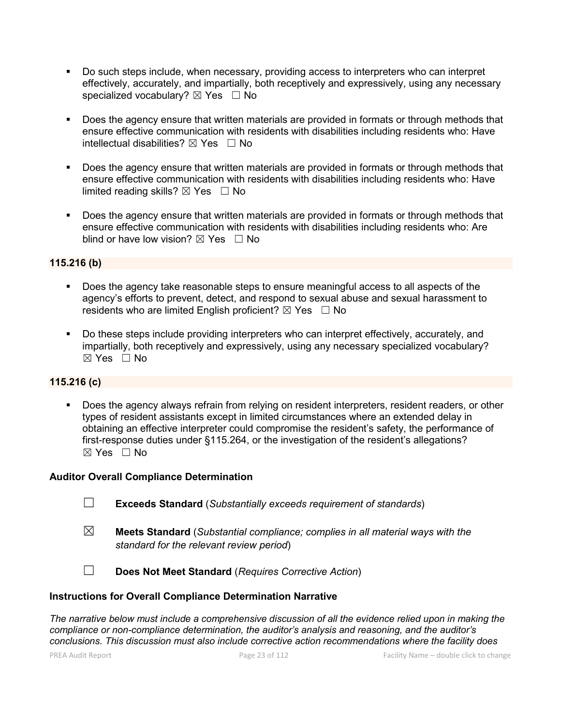- Do such steps include, when necessary, providing access to interpreters who can interpret effectively, accurately, and impartially, both receptively and expressively, using any necessary specialized vocabulary?  $\boxtimes$  Yes  $\Box$  No
- Does the agency ensure that written materials are provided in formats or through methods that ensure effective communication with residents with disabilities including residents who: Have intellectual disabilities?  $\boxtimes$  Yes  $\Box$  No
- Does the agency ensure that written materials are provided in formats or through methods that ensure effective communication with residents with disabilities including residents who: Have limited reading skills?  $\boxtimes$  Yes  $\Box$  No
- Does the agency ensure that written materials are provided in formats or through methods that ensure effective communication with residents with disabilities including residents who: Are blind or have low vision?  $\boxtimes$  Yes  $\Box$  No

### **115.216 (b)**

- Does the agency take reasonable steps to ensure meaningful access to all aspects of the agency's efforts to prevent, detect, and respond to sexual abuse and sexual harassment to residents who are limited English proficient?  $\boxtimes$  Yes  $\Box$  No
- Do these steps include providing interpreters who can interpret effectively, accurately, and impartially, both receptively and expressively, using any necessary specialized vocabulary?  $\boxtimes$  Yes  $\Box$  No

### **115.216 (c)**

 Does the agency always refrain from relying on resident interpreters, resident readers, or other types of resident assistants except in limited circumstances where an extended delay in obtaining an effective interpreter could compromise the resident's safety, the performance of first-response duties under §115.264, or the investigation of the resident's allegations? ☒ Yes ☐ No

#### **Auditor Overall Compliance Determination**

- ☐ **Exceeds Standard** (*Substantially exceeds requirement of standards*)
- ☒ **Meets Standard** (*Substantial compliance; complies in all material ways with the standard for the relevant review period*)
- ☐ **Does Not Meet Standard** (*Requires Corrective Action*)

#### **Instructions for Overall Compliance Determination Narrative**

*The narrative below must include a comprehensive discussion of all the evidence relied upon in making the compliance or non-compliance determination, the auditor's analysis and reasoning, and the auditor's conclusions. This discussion must also include corrective action recommendations where the facility does*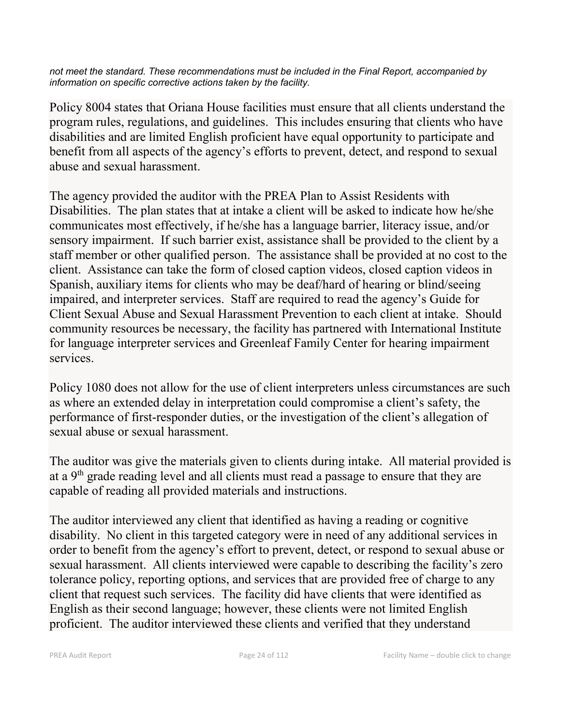*not meet the standard. These recommendations must be included in the Final Report, accompanied by information on specific corrective actions taken by the facility.*

Policy 8004 states that Oriana House facilities must ensure that all clients understand the program rules, regulations, and guidelines. This includes ensuring that clients who have disabilities and are limited English proficient have equal opportunity to participate and benefit from all aspects of the agency's efforts to prevent, detect, and respond to sexual abuse and sexual harassment.

The agency provided the auditor with the PREA Plan to Assist Residents with Disabilities. The plan states that at intake a client will be asked to indicate how he/she communicates most effectively, if he/she has a language barrier, literacy issue, and/or sensory impairment. If such barrier exist, assistance shall be provided to the client by a staff member or other qualified person. The assistance shall be provided at no cost to the client. Assistance can take the form of closed caption videos, closed caption videos in Spanish, auxiliary items for clients who may be deaf/hard of hearing or blind/seeing impaired, and interpreter services. Staff are required to read the agency's Guide for Client Sexual Abuse and Sexual Harassment Prevention to each client at intake. Should community resources be necessary, the facility has partnered with International Institute for language interpreter services and Greenleaf Family Center for hearing impairment services.

Policy 1080 does not allow for the use of client interpreters unless circumstances are such as where an extended delay in interpretation could compromise a client's safety, the performance of first-responder duties, or the investigation of the client's allegation of sexual abuse or sexual harassment.

The auditor was give the materials given to clients during intake. All material provided is at a 9th grade reading level and all clients must read a passage to ensure that they are capable of reading all provided materials and instructions.

The auditor interviewed any client that identified as having a reading or cognitive disability. No client in this targeted category were in need of any additional services in order to benefit from the agency's effort to prevent, detect, or respond to sexual abuse or sexual harassment. All clients interviewed were capable to describing the facility's zero tolerance policy, reporting options, and services that are provided free of charge to any client that request such services. The facility did have clients that were identified as English as their second language; however, these clients were not limited English proficient. The auditor interviewed these clients and verified that they understand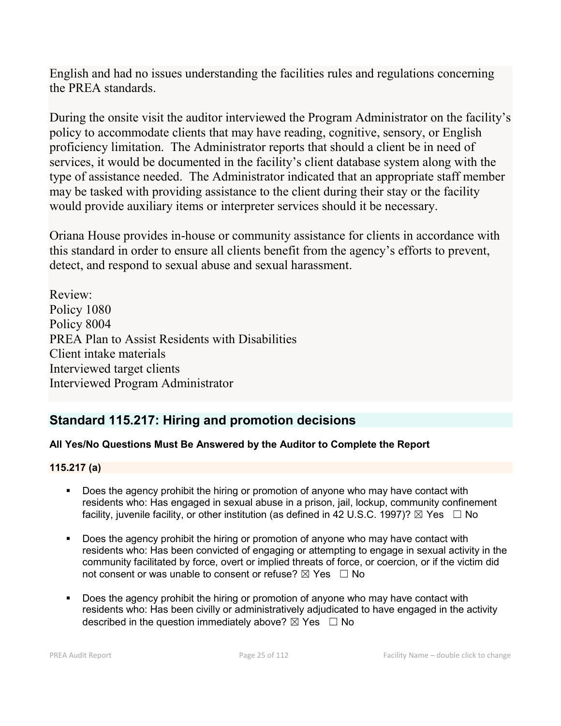English and had no issues understanding the facilities rules and regulations concerning the PREA standards.

During the onsite visit the auditor interviewed the Program Administrator on the facility's policy to accommodate clients that may have reading, cognitive, sensory, or English proficiency limitation. The Administrator reports that should a client be in need of services, it would be documented in the facility's client database system along with the type of assistance needed. The Administrator indicated that an appropriate staff member may be tasked with providing assistance to the client during their stay or the facility would provide auxiliary items or interpreter services should it be necessary.

Oriana House provides in-house or community assistance for clients in accordance with this standard in order to ensure all clients benefit from the agency's efforts to prevent, detect, and respond to sexual abuse and sexual harassment.

Review: Policy 1080 Policy 8004 PREA Plan to Assist Residents with Disabilities Client intake materials Interviewed target clients Interviewed Program Administrator

## **Standard 115.217: Hiring and promotion decisions**

## **All Yes/No Questions Must Be Answered by the Auditor to Complete the Report**

### **115.217 (a)**

- Does the agency prohibit the hiring or promotion of anyone who may have contact with residents who: Has engaged in sexual abuse in a prison, jail, lockup, community confinement facility, juvenile facility, or other institution (as defined in 42 U.S.C. 1997)?  $\boxtimes$  Yes  $\Box$  No
- Does the agency prohibit the hiring or promotion of anyone who may have contact with residents who: Has been convicted of engaging or attempting to engage in sexual activity in the community facilitated by force, overt or implied threats of force, or coercion, or if the victim did not consent or was unable to consent or refuse?  $\boxtimes$  Yes  $\Box$  No
- Does the agency prohibit the hiring or promotion of anyone who may have contact with residents who: Has been civilly or administratively adjudicated to have engaged in the activity described in the question immediately above?  $\boxtimes$  Yes  $\Box$  No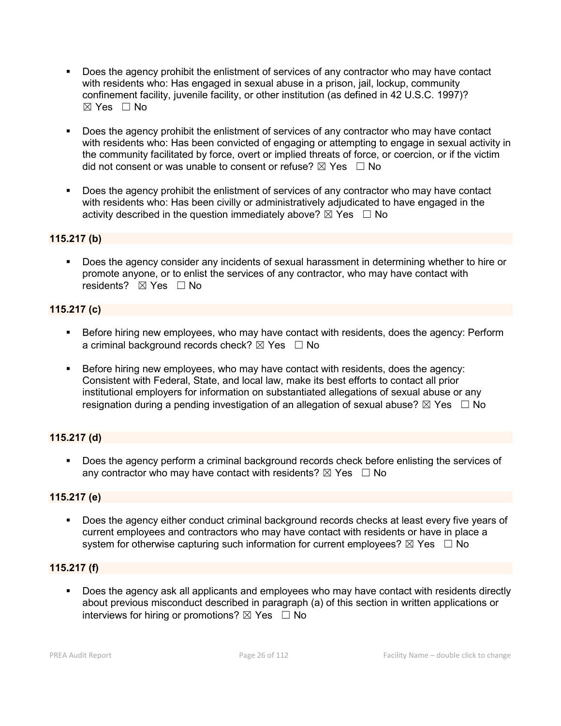- Does the agency prohibit the enlistment of services of any contractor who may have contact with residents who: Has engaged in sexual abuse in a prison, jail, lockup, community confinement facility, juvenile facility, or other institution (as defined in 42 U.S.C. 1997)?  $\boxtimes$  Yes  $\Box$  No
- **Does the agency prohibit the enlistment of services of any contractor who may have contact** with residents who: Has been convicted of engaging or attempting to engage in sexual activity in the community facilitated by force, overt or implied threats of force, or coercion, or if the victim did not consent or was unable to consent or refuse?  $\boxtimes$  Yes  $\Box$  No
- Does the agency prohibit the enlistment of services of any contractor who may have contact with residents who: Has been civilly or administratively adjudicated to have engaged in the activity described in the question immediately above?  $\boxtimes$  Yes  $\Box$  No

### **115.217 (b)**

 Does the agency consider any incidents of sexual harassment in determining whether to hire or promote anyone, or to enlist the services of any contractor, who may have contact with residents? **⊠** Yes □ No

### **115.217 (c)**

- **Before hiring new employees, who may have contact with residents, does the agency: Perform** a criminal background records check?  $\boxtimes$  Yes  $\Box$  No
- Before hiring new employees, who may have contact with residents, does the agency: Consistent with Federal, State, and local law, make its best efforts to contact all prior institutional employers for information on substantiated allegations of sexual abuse or any resignation during a pending investigation of an allegation of sexual abuse?  $\boxtimes$  Yes  $\Box$  No

### **115.217 (d)**

 Does the agency perform a criminal background records check before enlisting the services of any contractor who may have contact with residents?  $\boxtimes$  Yes  $\Box$  No

### **115.217 (e)**

 Does the agency either conduct criminal background records checks at least every five years of current employees and contractors who may have contact with residents or have in place a system for otherwise capturing such information for current employees?  $\boxtimes$  Yes  $\Box$  No

### **115.217 (f)**

 Does the agency ask all applicants and employees who may have contact with residents directly about previous misconduct described in paragraph (a) of this section in written applications or interviews for hiring or promotions?  $\boxtimes$  Yes  $\Box$  No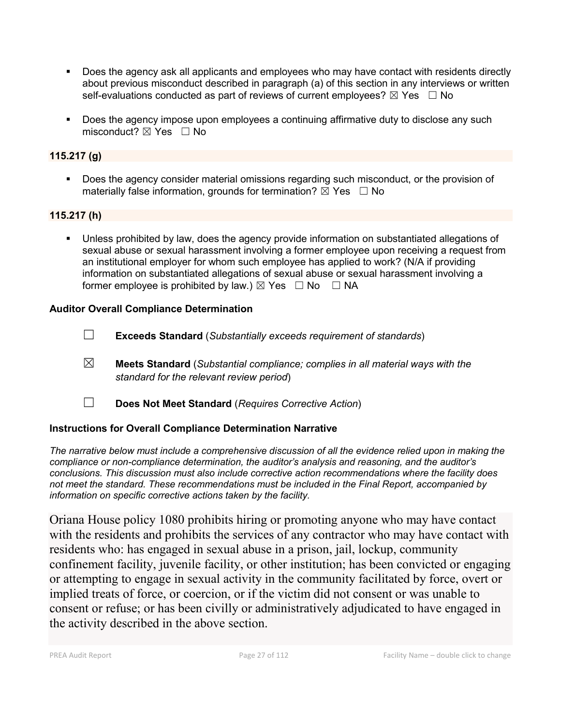- Does the agency ask all applicants and employees who may have contact with residents directly about previous misconduct described in paragraph (a) of this section in any interviews or written self-evaluations conducted as part of reviews of current employees?  $\boxtimes$  Yes  $\Box$  No
- **Does the agency impose upon employees a continuing affirmative duty to disclose any such** misconduct?  $\boxtimes$  Yes  $\Box$  No

### **115.217 (g)**

 Does the agency consider material omissions regarding such misconduct, or the provision of materially false information, grounds for termination?  $\boxtimes$  Yes  $\Box$  No

### **115.217 (h)**

 Unless prohibited by law, does the agency provide information on substantiated allegations of sexual abuse or sexual harassment involving a former employee upon receiving a request from an institutional employer for whom such employee has applied to work? (N/A if providing information on substantiated allegations of sexual abuse or sexual harassment involving a former employee is prohibited by law.)  $\boxtimes$  Yes  $\Box$  No  $\Box$  NA

### **Auditor Overall Compliance Determination**

- ☐ **Exceeds Standard** (*Substantially exceeds requirement of standards*)
- ☒ **Meets Standard** (*Substantial compliance; complies in all material ways with the standard for the relevant review period*)
- ☐ **Does Not Meet Standard** (*Requires Corrective Action*)

### **Instructions for Overall Compliance Determination Narrative**

*The narrative below must include a comprehensive discussion of all the evidence relied upon in making the compliance or non-compliance determination, the auditor's analysis and reasoning, and the auditor's conclusions. This discussion must also include corrective action recommendations where the facility does not meet the standard. These recommendations must be included in the Final Report, accompanied by information on specific corrective actions taken by the facility.*

Oriana House policy 1080 prohibits hiring or promoting anyone who may have contact with the residents and prohibits the services of any contractor who may have contact with residents who: has engaged in sexual abuse in a prison, jail, lockup, community confinement facility, juvenile facility, or other institution; has been convicted or engaging or attempting to engage in sexual activity in the community facilitated by force, overt or implied treats of force, or coercion, or if the victim did not consent or was unable to consent or refuse; or has been civilly or administratively adjudicated to have engaged in the activity described in the above section.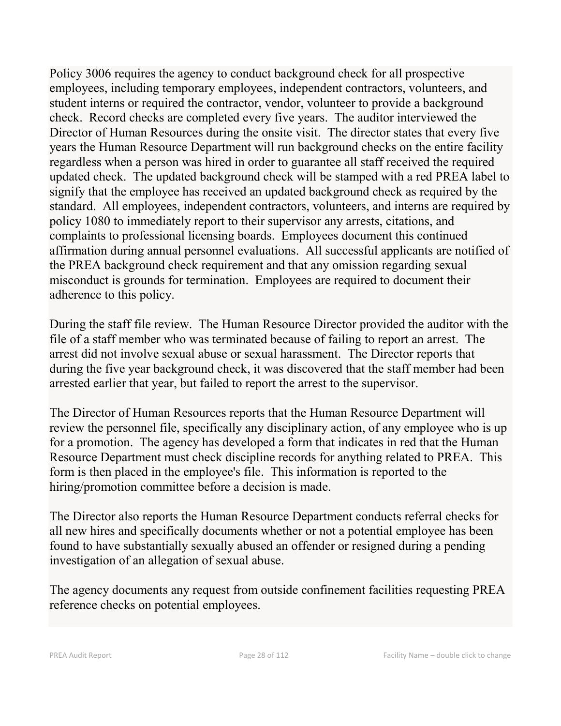Policy 3006 requires the agency to conduct background check for all prospective employees, including temporary employees, independent contractors, volunteers, and student interns or required the contractor, vendor, volunteer to provide a background check. Record checks are completed every five years. The auditor interviewed the Director of Human Resources during the onsite visit. The director states that every five years the Human Resource Department will run background checks on the entire facility regardless when a person was hired in order to guarantee all staff received the required updated check. The updated background check will be stamped with a red PREA label to signify that the employee has received an updated background check as required by the standard. All employees, independent contractors, volunteers, and interns are required by policy 1080 to immediately report to their supervisor any arrests, citations, and complaints to professional licensing boards. Employees document this continued affirmation during annual personnel evaluations. All successful applicants are notified of the PREA background check requirement and that any omission regarding sexual misconduct is grounds for termination. Employees are required to document their adherence to this policy.

During the staff file review. The Human Resource Director provided the auditor with the file of a staff member who was terminated because of failing to report an arrest. The arrest did not involve sexual abuse or sexual harassment. The Director reports that during the five year background check, it was discovered that the staff member had been arrested earlier that year, but failed to report the arrest to the supervisor.

The Director of Human Resources reports that the Human Resource Department will review the personnel file, specifically any disciplinary action, of any employee who is up for a promotion. The agency has developed a form that indicates in red that the Human Resource Department must check discipline records for anything related to PREA. This form is then placed in the employee's file. This information is reported to the hiring/promotion committee before a decision is made.

The Director also reports the Human Resource Department conducts referral checks for all new hires and specifically documents whether or not a potential employee has been found to have substantially sexually abused an offender or resigned during a pending investigation of an allegation of sexual abuse.

The agency documents any request from outside confinement facilities requesting PREA reference checks on potential employees.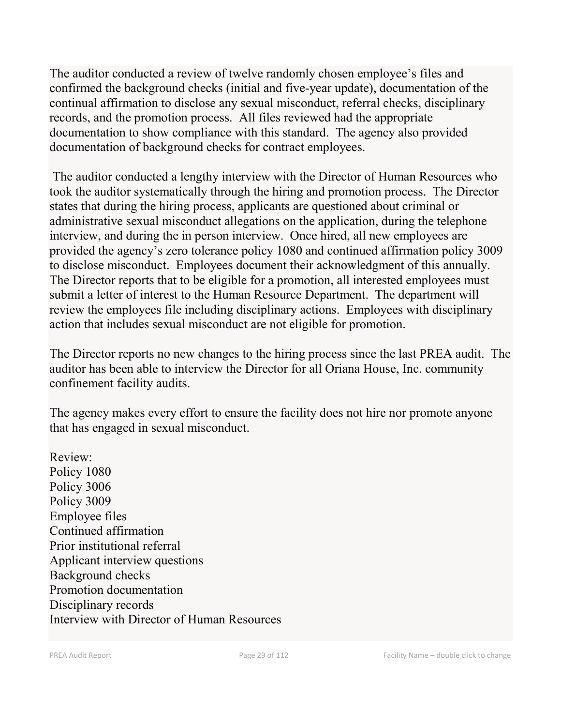The auditor conducted a review of twelve randomly chosen employee's files and confirmed the background checks (initial and five-year update), documentation of the continual affirmation to disclose any sexual misconduct, referral checks, disciplinary records, and the promotion process. All files reviewed had the appropriate documentation to show compliance with this standard. The agency also provided documentation of background checks for contract employees.

The auditor conducted a lengthy interview with the Director of Human Resources who took the auditor systematically through the hiring and promotion process. The Director states that during the hiring process, applicants are questioned about criminal or administrative sexual misconduct allegations on the application, during the telephone interview, and during the in person interview. Once hired, all new employees are provided the agency's zero tolerance policy 1080 and continued affirmation policy 3009 to disclose misconduct. Employees document their acknowledgment of this annually. The Director reports that to be eligible for a promotion, all interested employees must submit a letter of interest to the Human Resource Department. The department will review the employees file including disciplinary actions. Employees with disciplinary action that includes sexual misconduct are not eligible for promotion.

The Director reports no new changes to the hiring process since the last PREA audit. The auditor has been able to interview the Director for all Oriana House, Inc. community confinement facility audits.

The agency makes every effort to ensure the facility does not hire nor promote anyone that has engaged in sexual misconduct.

Review: Policy 1080 Policy 3006 Policy 3009 Employee files Continued affirmation Prior institutional referral Applicant interview questions Background checks Promotion documentation Disciplinary records Interview with Director of Human Resources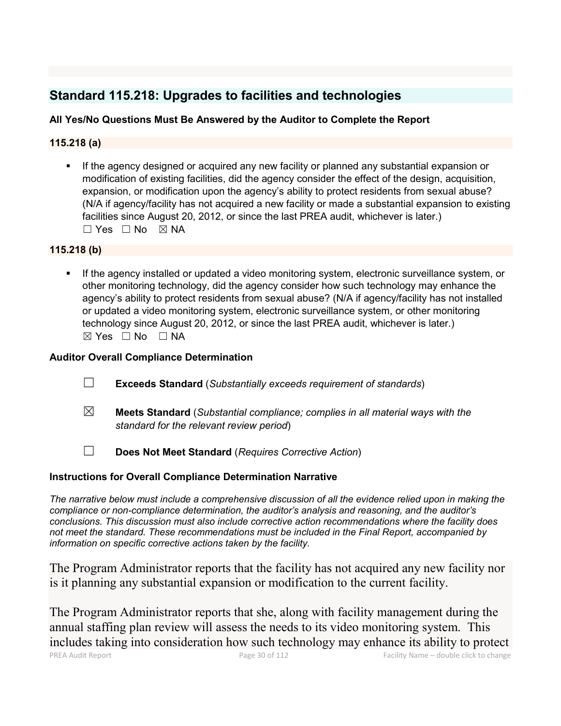## **Standard 115.218: Upgrades to facilities and technologies**

### **All Yes/No Questions Must Be Answered by the Auditor to Complete the Report**

### **115.218 (a)**

 If the agency designed or acquired any new facility or planned any substantial expansion or modification of existing facilities, did the agency consider the effect of the design, acquisition, expansion, or modification upon the agency's ability to protect residents from sexual abuse? (N/A if agency/facility has not acquired a new facility or made a substantial expansion to existing facilities since August 20, 2012, or since the last PREA audit, whichever is later.) ☐ Yes ☐ No ☒ NA

### **115.218 (b)**

 If the agency installed or updated a video monitoring system, electronic surveillance system, or other monitoring technology, did the agency consider how such technology may enhance the agency's ability to protect residents from sexual abuse? (N/A if agency/facility has not installed or updated a video monitoring system, electronic surveillance system, or other monitoring technology since August 20, 2012, or since the last PREA audit, whichever is later.)  $⊠ Yes ⊡ No ⊡ NA$ 

### **Auditor Overall Compliance Determination**

- ☐ **Exceeds Standard** (*Substantially exceeds requirement of standards*)
- ☒ **Meets Standard** (*Substantial compliance; complies in all material ways with the standard for the relevant review period*)
- ☐ **Does Not Meet Standard** (*Requires Corrective Action*)

### **Instructions for Overall Compliance Determination Narrative**

*The narrative below must include a comprehensive discussion of all the evidence relied upon in making the compliance or non-compliance determination, the auditor's analysis and reasoning, and the auditor's conclusions. This discussion must also include corrective action recommendations where the facility does not meet the standard. These recommendations must be included in the Final Report, accompanied by information on specific corrective actions taken by the facility.*

The Program Administrator reports that the facility has not acquired any new facility nor is it planning any substantial expansion or modification to the current facility.

PREA Audit Report Page 30 of 112 Facility Name – double click to change The Program Administrator reports that she, along with facility management during the annual staffing plan review will assess the needs to its video monitoring system. This includes taking into consideration how such technology may enhance its ability to protect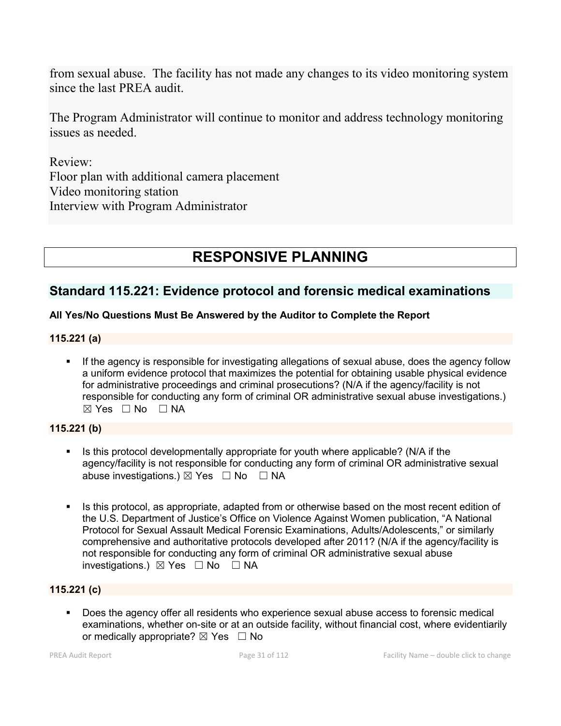from sexual abuse. The facility has not made any changes to its video monitoring system since the last PREA audit.

The Program Administrator will continue to monitor and address technology monitoring issues as needed.

Review: Floor plan with additional camera placement Video monitoring station Interview with Program Administrator

# **RESPONSIVE PLANNING**

### **Standard 115.221: Evidence protocol and forensic medical examinations**

### **All Yes/No Questions Must Be Answered by the Auditor to Complete the Report**

### **115.221 (a)**

 If the agency is responsible for investigating allegations of sexual abuse, does the agency follow a uniform evidence protocol that maximizes the potential for obtaining usable physical evidence for administrative proceedings and criminal prosecutions? (N/A if the agency/facility is not responsible for conducting any form of criminal OR administrative sexual abuse investigations.)  $\boxtimes$  Yes  $\Box$  No  $\Box$  NA

#### **115.221 (b)**

- Is this protocol developmentally appropriate for youth where applicable? (N/A if the agency/facility is not responsible for conducting any form of criminal OR administrative sexual abuse investigations.)  $\boxtimes$  Yes  $\Box$  No  $\Box$  NA
- Is this protocol, as appropriate, adapted from or otherwise based on the most recent edition of the U.S. Department of Justice's Office on Violence Against Women publication, "A National Protocol for Sexual Assault Medical Forensic Examinations, Adults/Adolescents," or similarly comprehensive and authoritative protocols developed after 2011? (N/A if the agency/facility is not responsible for conducting any form of criminal OR administrative sexual abuse investigations.) ☒ Yes ☐ No ☐ NA

### **115.221 (c)**

 Does the agency offer all residents who experience sexual abuse access to forensic medical examinations, whether on-site or at an outside facility, without financial cost, where evidentiarily or medically appropriate?  $\boxtimes$  Yes  $\Box$  No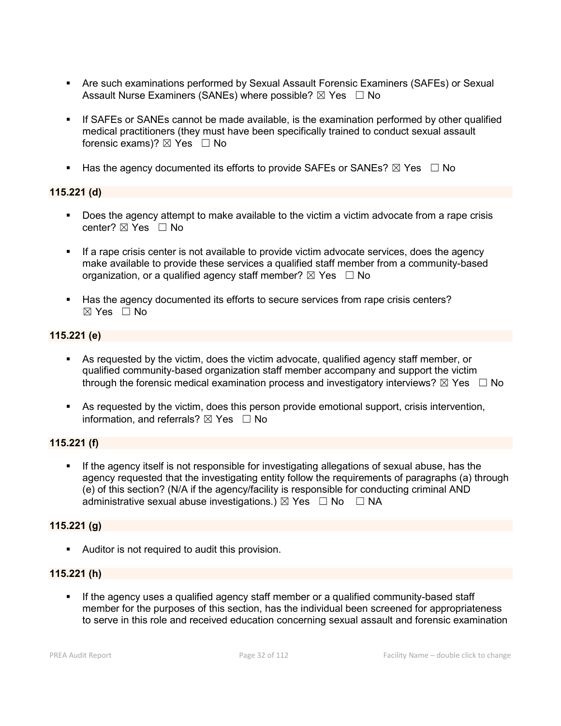- Are such examinations performed by Sexual Assault Forensic Examiners (SAFEs) or Sexual Assault Nurse Examiners (SANEs) where possible?  $\boxtimes$  Yes  $\Box$  No
- If SAFEs or SANEs cannot be made available, is the examination performed by other qualified medical practitioners (they must have been specifically trained to conduct sexual assault forensic exams)?  $\boxtimes$  Yes  $\Box$  No
- Has the agency documented its efforts to provide SAFEs or SANEs?  $\boxtimes$  Yes  $\Box$  No

### **115.221 (d)**

- Does the agency attempt to make available to the victim a victim advocate from a rape crisis center?  $\boxtimes$  Yes  $\Box$  No
- If a rape crisis center is not available to provide victim advocate services, does the agency make available to provide these services a qualified staff member from a community-based organization, or a qualified agency staff member?  $\boxtimes$  Yes  $\Box$  No
- Has the agency documented its efforts to secure services from rape crisis centers?  $\boxtimes$  Yes  $\Box$  No

### **115.221 (e)**

- As requested by the victim, does the victim advocate, qualified agency staff member, or qualified community-based organization staff member accompany and support the victim through the forensic medical examination process and investigatory interviews?  $\boxtimes$  Yes  $\Box$  No
- As requested by the victim, does this person provide emotional support, crisis intervention, information, and referrals?  $\boxtimes$  Yes  $\Box$  No

### **115.221 (f)**

 If the agency itself is not responsible for investigating allegations of sexual abuse, has the agency requested that the investigating entity follow the requirements of paragraphs (a) through (e) of this section? (N/A if the agency/facility is responsible for conducting criminal AND administrative sexual abuse investigations.)  $\boxtimes$  Yes  $\Box$  No  $\Box$  NA

#### **115.221 (g)**

**Auditor is not required to audit this provision.** 

### **115.221 (h)**

 If the agency uses a qualified agency staff member or a qualified community-based staff member for the purposes of this section, has the individual been screened for appropriateness to serve in this role and received education concerning sexual assault and forensic examination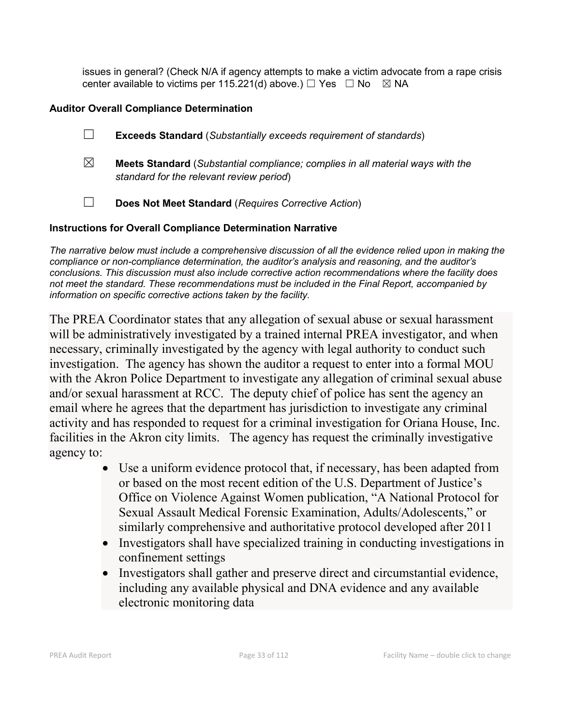issues in general? (Check N/A if agency attempts to make a victim advocate from a rape crisis center available to victims per 115.221(d) above.)  $\Box$  Yes  $\Box$  No  $\boxtimes$  NA

### **Auditor Overall Compliance Determination**

- ☐ **Exceeds Standard** (*Substantially exceeds requirement of standards*)
- ☒ **Meets Standard** (*Substantial compliance; complies in all material ways with the standard for the relevant review period*)
- ☐ **Does Not Meet Standard** (*Requires Corrective Action*)

### **Instructions for Overall Compliance Determination Narrative**

*The narrative below must include a comprehensive discussion of all the evidence relied upon in making the compliance or non-compliance determination, the auditor's analysis and reasoning, and the auditor's conclusions. This discussion must also include corrective action recommendations where the facility does not meet the standard. These recommendations must be included in the Final Report, accompanied by information on specific corrective actions taken by the facility.*

The PREA Coordinator states that any allegation of sexual abuse or sexual harassment will be administratively investigated by a trained internal PREA investigator, and when necessary, criminally investigated by the agency with legal authority to conduct such investigation. The agency has shown the auditor a request to enter into a formal MOU with the Akron Police Department to investigate any allegation of criminal sexual abuse and/or sexual harassment at RCC. The deputy chief of police has sent the agency an email where he agrees that the department has jurisdiction to investigate any criminal activity and has responded to request for a criminal investigation for Oriana House, Inc. facilities in the Akron city limits. The agency has request the criminally investigative agency to:

- Use a uniform evidence protocol that, if necessary, has been adapted from or based on the most recent edition of the U.S. Department of Justice's Office on Violence Against Women publication, "A National Protocol for Sexual Assault Medical Forensic Examination, Adults/Adolescents," or similarly comprehensive and authoritative protocol developed after 2011
- Investigators shall have specialized training in conducting investigations in confinement settings
- Investigators shall gather and preserve direct and circumstantial evidence, including any available physical and DNA evidence and any available electronic monitoring data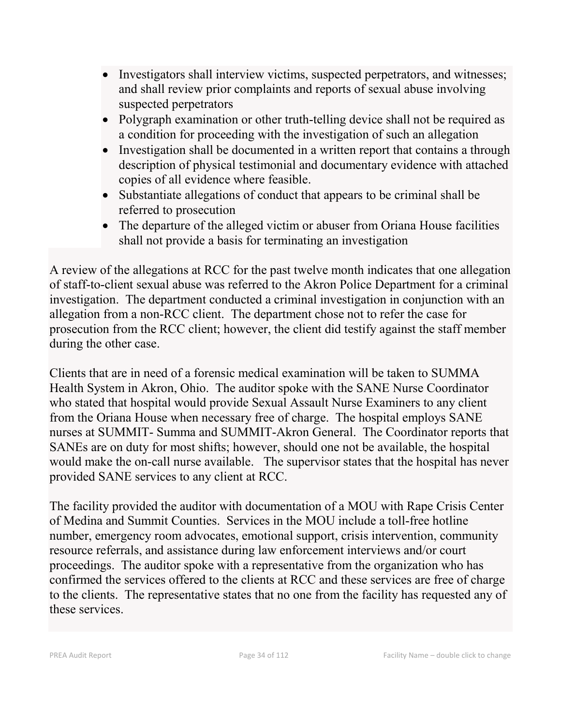- Investigators shall interview victims, suspected perpetrators, and witnesses; and shall review prior complaints and reports of sexual abuse involving suspected perpetrators
- Polygraph examination or other truth-telling device shall not be required as a condition for proceeding with the investigation of such an allegation
- Investigation shall be documented in a written report that contains a through description of physical testimonial and documentary evidence with attached copies of all evidence where feasible.
- Substantiate allegations of conduct that appears to be criminal shall be referred to prosecution
- The departure of the alleged victim or abuser from Oriana House facilities shall not provide a basis for terminating an investigation

A review of the allegations at RCC for the past twelve month indicates that one allegation of staff-to-client sexual abuse was referred to the Akron Police Department for a criminal investigation. The department conducted a criminal investigation in conjunction with an allegation from a non-RCC client. The department chose not to refer the case for prosecution from the RCC client; however, the client did testify against the staff member during the other case.

Clients that are in need of a forensic medical examination will be taken to SUMMA Health System in Akron, Ohio. The auditor spoke with the SANE Nurse Coordinator who stated that hospital would provide Sexual Assault Nurse Examiners to any client from the Oriana House when necessary free of charge. The hospital employs SANE nurses at SUMMIT- Summa and SUMMIT-Akron General. The Coordinator reports that SANEs are on duty for most shifts; however, should one not be available, the hospital would make the on-call nurse available. The supervisor states that the hospital has never provided SANE services to any client at RCC.

The facility provided the auditor with documentation of a MOU with Rape Crisis Center of Medina and Summit Counties. Services in the MOU include a toll-free hotline number, emergency room advocates, emotional support, crisis intervention, community resource referrals, and assistance during law enforcement interviews and/or court proceedings. The auditor spoke with a representative from the organization who has confirmed the services offered to the clients at RCC and these services are free of charge to the clients. The representative states that no one from the facility has requested any of these services.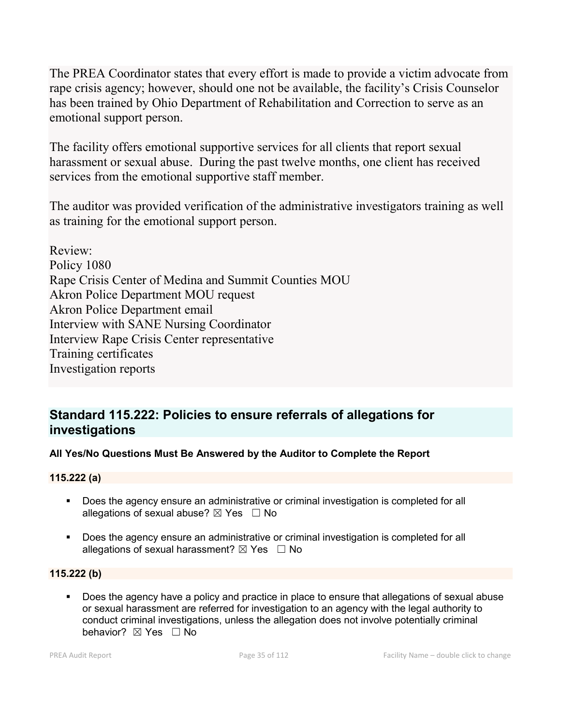The PREA Coordinator states that every effort is made to provide a victim advocate from rape crisis agency; however, should one not be available, the facility's Crisis Counselor has been trained by Ohio Department of Rehabilitation and Correction to serve as an emotional support person.

The facility offers emotional supportive services for all clients that report sexual harassment or sexual abuse. During the past twelve months, one client has received services from the emotional supportive staff member.

The auditor was provided verification of the administrative investigators training as well as training for the emotional support person.

Review: Policy 1080 Rape Crisis Center of Medina and Summit Counties MOU Akron Police Department MOU request Akron Police Department email Interview with SANE Nursing Coordinator Interview Rape Crisis Center representative Training certificates Investigation reports

## **Standard 115.222: Policies to ensure referrals of allegations for investigations**

### **All Yes/No Questions Must Be Answered by the Auditor to Complete the Report**

### **115.222 (a)**

- **Does the agency ensure an administrative or criminal investigation is completed for all** allegations of sexual abuse?  $\boxtimes$  Yes  $\Box$  No
- **Does the agency ensure an administrative or criminal investigation is completed for all** allegations of sexual harassment?  $\boxtimes$  Yes  $\Box$  No

### **115.222 (b)**

Does the agency have a policy and practice in place to ensure that allegations of sexual abuse or sexual harassment are referred for investigation to an agency with the legal authority to conduct criminal investigations, unless the allegation does not involve potentially criminal behavior? **⊠** Yes □ No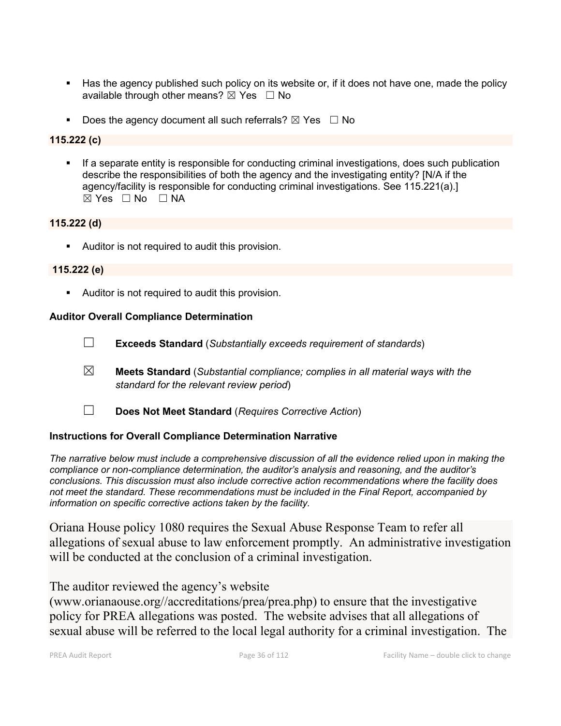- Has the agency published such policy on its website or, if it does not have one, made the policy available through other means?  $\boxtimes$  Yes  $\Box$  No
- Does the agency document all such referrals?  $\boxtimes$  Yes  $\Box$  No

### **115.222 (c)**

**If a separate entity is responsible for conducting criminal investigations, does such publication** describe the responsibilities of both the agency and the investigating entity? [N/A if the agency/facility is responsible for conducting criminal investigations. See 115.221(a).]  $\boxtimes$  Yes  $\Box$  No  $\Box$  NA

#### **115.222 (d)**

Auditor is not required to audit this provision.

#### **115.222 (e)**

Auditor is not required to audit this provision.

#### **Auditor Overall Compliance Determination**

- ☐ **Exceeds Standard** (*Substantially exceeds requirement of standards*)
- ☒ **Meets Standard** (*Substantial compliance; complies in all material ways with the standard for the relevant review period*)
- ☐ **Does Not Meet Standard** (*Requires Corrective Action*)

### **Instructions for Overall Compliance Determination Narrative**

*The narrative below must include a comprehensive discussion of all the evidence relied upon in making the compliance or non-compliance determination, the auditor's analysis and reasoning, and the auditor's conclusions. This discussion must also include corrective action recommendations where the facility does not meet the standard. These recommendations must be included in the Final Report, accompanied by information on specific corrective actions taken by the facility.*

Oriana House policy 1080 requires the Sexual Abuse Response Team to refer all allegations of sexual abuse to law enforcement promptly. An administrative investigation will be conducted at the conclusion of a criminal investigation.

### The auditor reviewed the agency's website

(www.orianaouse.org//accreditations/prea/prea.php) to ensure that the investigative policy for PREA allegations was posted. The website advises that all allegations of sexual abuse will be referred to the local legal authority for a criminal investigation. The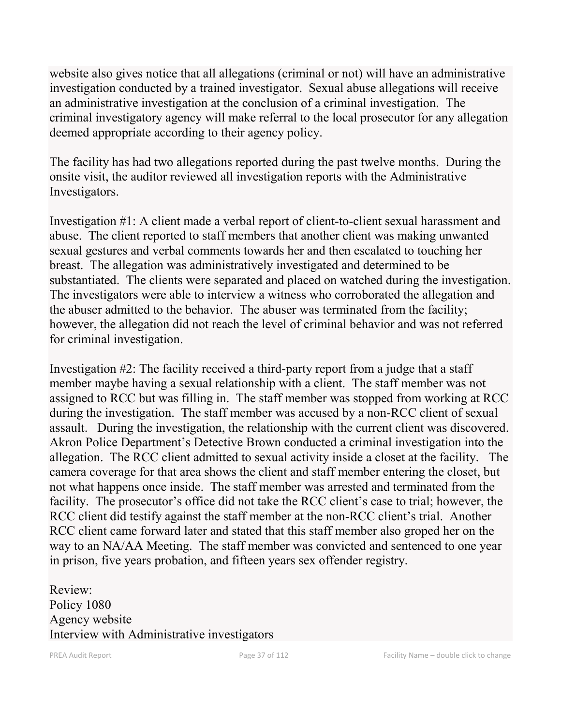website also gives notice that all allegations (criminal or not) will have an administrative investigation conducted by a trained investigator. Sexual abuse allegations will receive an administrative investigation at the conclusion of a criminal investigation. The criminal investigatory agency will make referral to the local prosecutor for any allegation deemed appropriate according to their agency policy.

The facility has had two allegations reported during the past twelve months. During the onsite visit, the auditor reviewed all investigation reports with the Administrative Investigators.

Investigation #1: A client made a verbal report of client-to-client sexual harassment and abuse. The client reported to staff members that another client was making unwanted sexual gestures and verbal comments towards her and then escalated to touching her breast. The allegation was administratively investigated and determined to be substantiated. The clients were separated and placed on watched during the investigation. The investigators were able to interview a witness who corroborated the allegation and the abuser admitted to the behavior. The abuser was terminated from the facility; however, the allegation did not reach the level of criminal behavior and was not referred for criminal investigation.

Investigation #2: The facility received a third-party report from a judge that a staff member maybe having a sexual relationship with a client. The staff member was not assigned to RCC but was filling in. The staff member was stopped from working at RCC during the investigation. The staff member was accused by a non-RCC client of sexual assault. During the investigation, the relationship with the current client was discovered. Akron Police Department's Detective Brown conducted a criminal investigation into the allegation. The RCC client admitted to sexual activity inside a closet at the facility. The camera coverage for that area shows the client and staff member entering the closet, but not what happens once inside. The staff member was arrested and terminated from the facility. The prosecutor's office did not take the RCC client's case to trial; however, the RCC client did testify against the staff member at the non-RCC client's trial. Another RCC client came forward later and stated that this staff member also groped her on the way to an NA/AA Meeting. The staff member was convicted and sentenced to one year in prison, five years probation, and fifteen years sex offender registry.

Review: Policy 1080 Agency website Interview with Administrative investigators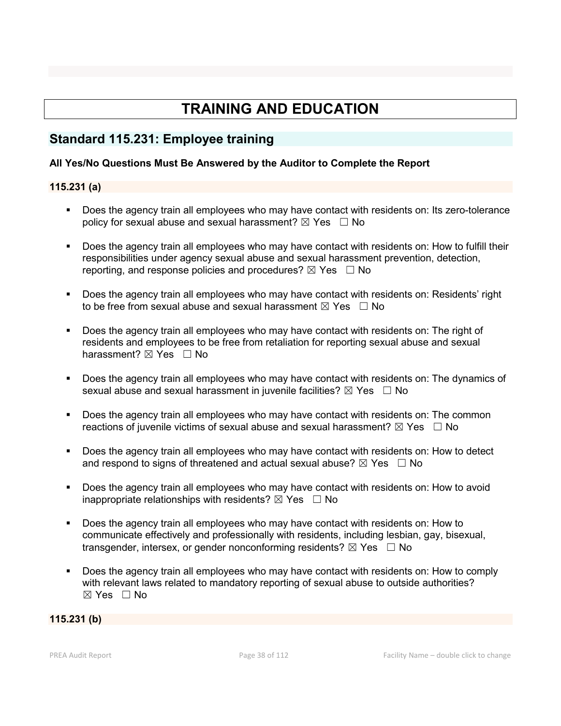# **TRAINING AND EDUCATION**

## **Standard 115.231: Employee training**

### **All Yes/No Questions Must Be Answered by the Auditor to Complete the Report**

### **115.231 (a)**

- Does the agency train all employees who may have contact with residents on: Its zero-tolerance policy for sexual abuse and sexual harassment?  $\boxtimes$  Yes  $\Box$  No
- Does the agency train all employees who may have contact with residents on: How to fulfill their responsibilities under agency sexual abuse and sexual harassment prevention, detection, reporting, and response policies and procedures?  $\boxtimes$  Yes  $\Box$  No
- Does the agency train all employees who may have contact with residents on: Residents' right to be free from sexual abuse and sexual harassment  $\boxtimes$  Yes  $\Box$  No
- Does the agency train all employees who may have contact with residents on: The right of residents and employees to be free from retaliation for reporting sexual abuse and sexual harassment? **⊠** Yes □ No
- Does the agency train all employees who may have contact with residents on: The dynamics of sexual abuse and sexual harassment in juvenile facilities?  $\boxtimes$  Yes  $\Box$  No
- Does the agency train all employees who may have contact with residents on: The common reactions of juvenile victims of sexual abuse and sexual harassment?  $\boxtimes$  Yes  $\Box$  No
- Does the agency train all employees who may have contact with residents on: How to detect and respond to signs of threatened and actual sexual abuse?  $\boxtimes$  Yes  $\Box$  No
- Does the agency train all employees who may have contact with residents on: How to avoid inappropriate relationships with residents?  $\boxtimes$  Yes  $\Box$  No
- Does the agency train all employees who may have contact with residents on: How to communicate effectively and professionally with residents, including lesbian, gay, bisexual, transgender, intersex, or gender nonconforming residents?  $\boxtimes$  Yes  $\Box$  No
- Does the agency train all employees who may have contact with residents on: How to comply with relevant laws related to mandatory reporting of sexual abuse to outside authorities?  $\boxtimes$  Yes  $\Box$  No

### **115.231 (b)**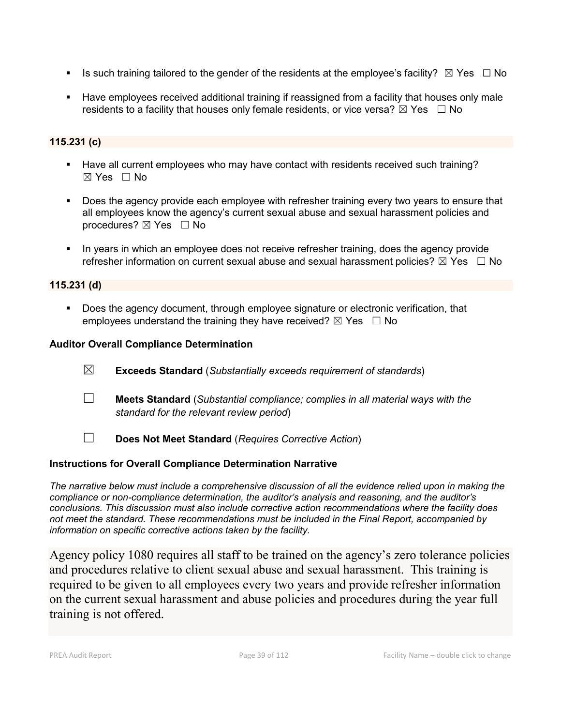- Is such training tailored to the gender of the residents at the employee's facility?  $\boxtimes$  Yes  $\Box$  No
- Have employees received additional training if reassigned from a facility that houses only male residents to a facility that houses only female residents, or vice versa?  $\boxtimes$  Yes  $\Box$  No

## **115.231 (c)**

- Have all current employees who may have contact with residents received such training?  $\boxtimes$  Yes  $\Box$  No
- **Does the agency provide each employee with refresher training every two years to ensure that** all employees know the agency's current sexual abuse and sexual harassment policies and procedures? ⊠ Yes □ No
- In years in which an employee does not receive refresher training, does the agency provide refresher information on current sexual abuse and sexual harassment policies?  $\boxtimes$  Yes  $\Box$  No

### **115.231 (d)**

Does the agency document, through employee signature or electronic verification, that employees understand the training they have received?  $\boxtimes$  Yes  $\Box$  No

### **Auditor Overall Compliance Determination**

- ☒ **Exceeds Standard** (*Substantially exceeds requirement of standards*)
- ☐ **Meets Standard** (*Substantial compliance; complies in all material ways with the standard for the relevant review period*)
- ☐ **Does Not Meet Standard** (*Requires Corrective Action*)

### **Instructions for Overall Compliance Determination Narrative**

*The narrative below must include a comprehensive discussion of all the evidence relied upon in making the compliance or non-compliance determination, the auditor's analysis and reasoning, and the auditor's conclusions. This discussion must also include corrective action recommendations where the facility does not meet the standard. These recommendations must be included in the Final Report, accompanied by information on specific corrective actions taken by the facility.*

Agency policy 1080 requires all staff to be trained on the agency's zero tolerance policies and procedures relative to client sexual abuse and sexual harassment. This training is required to be given to all employees every two years and provide refresher information on the current sexual harassment and abuse policies and procedures during the year full training is not offered.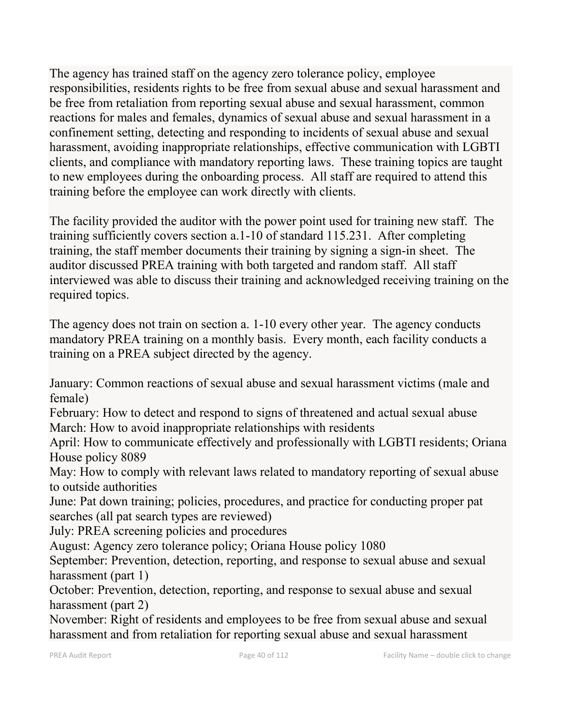The agency has trained staff on the agency zero tolerance policy, employee responsibilities, residents rights to be free from sexual abuse and sexual harassment and be free from retaliation from reporting sexual abuse and sexual harassment, common reactions for males and females, dynamics of sexual abuse and sexual harassment in a confinement setting, detecting and responding to incidents of sexual abuse and sexual harassment, avoiding inappropriate relationships, effective communication with LGBTI clients, and compliance with mandatory reporting laws. These training topics are taught to new employees during the onboarding process. All staff are required to attend this training before the employee can work directly with clients.

The facility provided the auditor with the power point used for training new staff. The training sufficiently covers section a.1-10 of standard 115.231. After completing training, the staff member documents their training by signing a sign-in sheet. The auditor discussed PREA training with both targeted and random staff. All staff interviewed was able to discuss their training and acknowledged receiving training on the required topics.

The agency does not train on section a. 1-10 every other year. The agency conducts mandatory PREA training on a monthly basis. Every month, each facility conducts a training on a PREA subject directed by the agency.

January: Common reactions of sexual abuse and sexual harassment victims (male and female)

February: How to detect and respond to signs of threatened and actual sexual abuse March: How to avoid inappropriate relationships with residents

April: How to communicate effectively and professionally with LGBTI residents; Oriana House policy 8089

May: How to comply with relevant laws related to mandatory reporting of sexual abuse to outside authorities

June: Pat down training; policies, procedures, and practice for conducting proper pat searches (all pat search types are reviewed)

July: PREA screening policies and procedures

August: Agency zero tolerance policy; Oriana House policy 1080

September: Prevention, detection, reporting, and response to sexual abuse and sexual harassment (part 1)

October: Prevention, detection, reporting, and response to sexual abuse and sexual harassment (part 2)

November: Right of residents and employees to be free from sexual abuse and sexual harassment and from retaliation for reporting sexual abuse and sexual harassment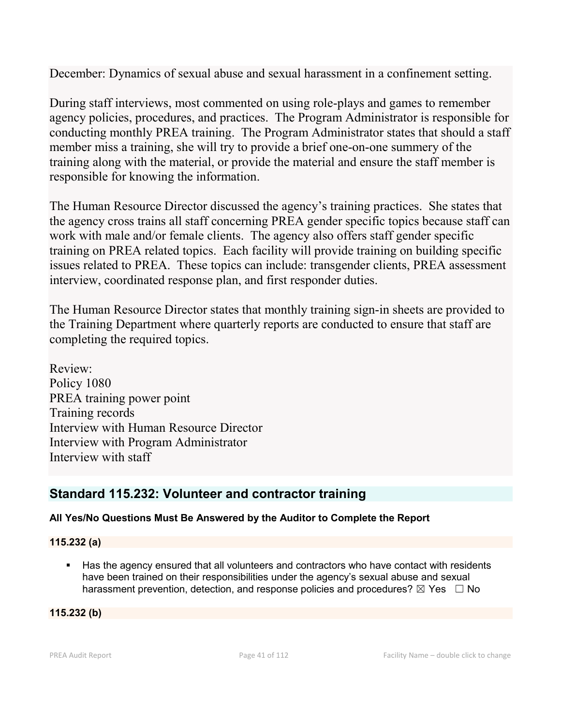December: Dynamics of sexual abuse and sexual harassment in a confinement setting.

During staff interviews, most commented on using role-plays and games to remember agency policies, procedures, and practices. The Program Administrator is responsible for conducting monthly PREA training. The Program Administrator states that should a staff member miss a training, she will try to provide a brief one-on-one summery of the training along with the material, or provide the material and ensure the staff member is responsible for knowing the information.

The Human Resource Director discussed the agency's training practices. She states that the agency cross trains all staff concerning PREA gender specific topics because staff can work with male and/or female clients. The agency also offers staff gender specific training on PREA related topics. Each facility will provide training on building specific issues related to PREA. These topics can include: transgender clients, PREA assessment interview, coordinated response plan, and first responder duties.

The Human Resource Director states that monthly training sign-in sheets are provided to the Training Department where quarterly reports are conducted to ensure that staff are completing the required topics.

Review: Policy 1080 PREA training power point Training records Interview with Human Resource Director Interview with Program Administrator Interview with staff

# **Standard 115.232: Volunteer and contractor training**

## **All Yes/No Questions Must Be Answered by the Auditor to Complete the Report**

## **115.232 (a)**

Has the agency ensured that all volunteers and contractors who have contact with residents have been trained on their responsibilities under the agency's sexual abuse and sexual harassment prevention, detection, and response policies and procedures?  $\boxtimes$  Yes  $\Box$  No

### **115.232 (b)**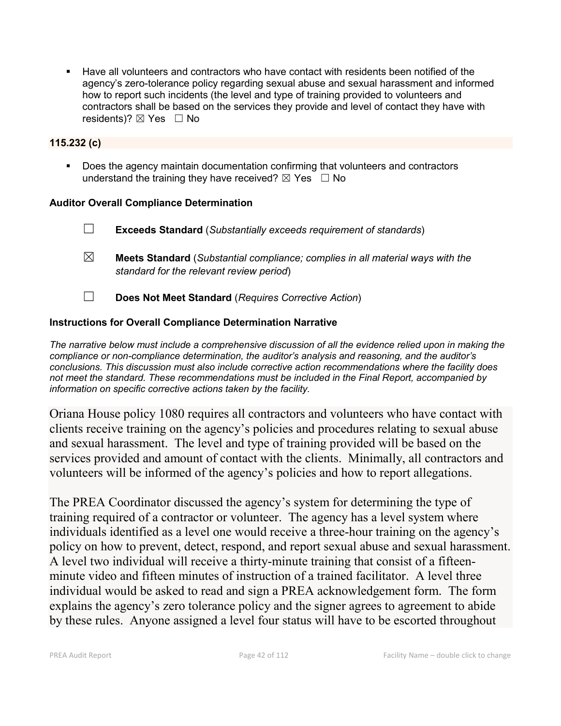Have all volunteers and contractors who have contact with residents been notified of the agency's zero-tolerance policy regarding sexual abuse and sexual harassment and informed how to report such incidents (the level and type of training provided to volunteers and contractors shall be based on the services they provide and level of contact they have with residents)?  $\boxtimes$  Yes  $\Box$  No

### **115.232 (c)**

 Does the agency maintain documentation confirming that volunteers and contractors understand the training they have received?  $\boxtimes$  Yes  $\Box$  No

### **Auditor Overall Compliance Determination**

- ☐ **Exceeds Standard** (*Substantially exceeds requirement of standards*)
- ☒ **Meets Standard** (*Substantial compliance; complies in all material ways with the standard for the relevant review period*)
- ☐ **Does Not Meet Standard** (*Requires Corrective Action*)

### **Instructions for Overall Compliance Determination Narrative**

*The narrative below must include a comprehensive discussion of all the evidence relied upon in making the compliance or non-compliance determination, the auditor's analysis and reasoning, and the auditor's conclusions. This discussion must also include corrective action recommendations where the facility does not meet the standard. These recommendations must be included in the Final Report, accompanied by information on specific corrective actions taken by the facility.*

Oriana House policy 1080 requires all contractors and volunteers who have contact with clients receive training on the agency's policies and procedures relating to sexual abuse and sexual harassment. The level and type of training provided will be based on the services provided and amount of contact with the clients. Minimally, all contractors and volunteers will be informed of the agency's policies and how to report allegations.

The PREA Coordinator discussed the agency's system for determining the type of training required of a contractor or volunteer. The agency has a level system where individuals identified as a level one would receive a three-hour training on the agency's policy on how to prevent, detect, respond, and report sexual abuse and sexual harassment. A level two individual will receive a thirty-minute training that consist of a fifteenminute video and fifteen minutes of instruction of a trained facilitator. A level three individual would be asked to read and sign a PREA acknowledgement form. The form explains the agency's zero tolerance policy and the signer agrees to agreement to abide by these rules. Anyone assigned a level four status will have to be escorted throughout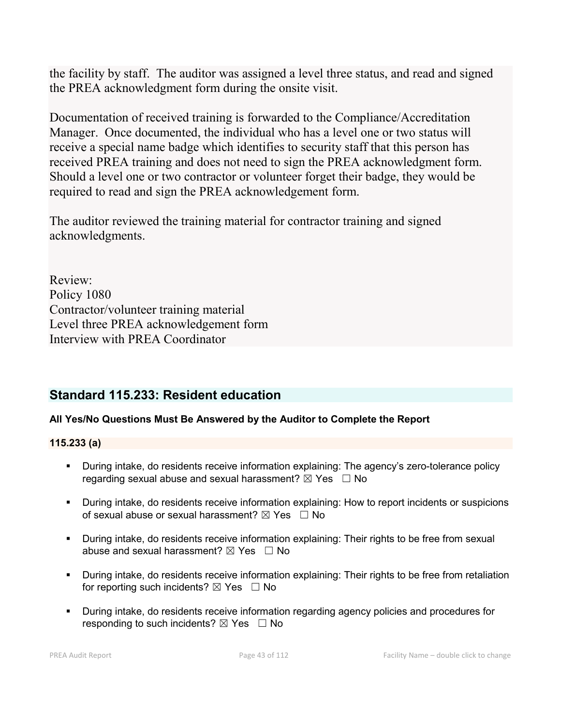the facility by staff. The auditor was assigned a level three status, and read and signed the PREA acknowledgment form during the onsite visit.

Documentation of received training is forwarded to the Compliance/Accreditation Manager. Once documented, the individual who has a level one or two status will receive a special name badge which identifies to security staff that this person has received PREA training and does not need to sign the PREA acknowledgment form. Should a level one or two contractor or volunteer forget their badge, they would be required to read and sign the PREA acknowledgement form.

The auditor reviewed the training material for contractor training and signed acknowledgments.

Review: Policy 1080 Contractor/volunteer training material Level three PREA acknowledgement form Interview with PREA Coordinator

# **Standard 115.233: Resident education**

## **All Yes/No Questions Must Be Answered by the Auditor to Complete the Report**

### **115.233 (a)**

- During intake, do residents receive information explaining: The agency's zero-tolerance policy regarding sexual abuse and sexual harassment?  $\boxtimes$  Yes  $\Box$  No
- During intake, do residents receive information explaining: How to report incidents or suspicions of sexual abuse or sexual harassment?  $\boxtimes$  Yes  $\Box$  No
- During intake, do residents receive information explaining: Their rights to be free from sexual abuse and sexual harassment?  $\boxtimes$  Yes  $\Box$  No
- During intake, do residents receive information explaining: Their rights to be free from retaliation for reporting such incidents?  $\boxtimes$  Yes  $\Box$  No
- During intake, do residents receive information regarding agency policies and procedures for responding to such incidents?  $\boxtimes$  Yes  $\Box$  No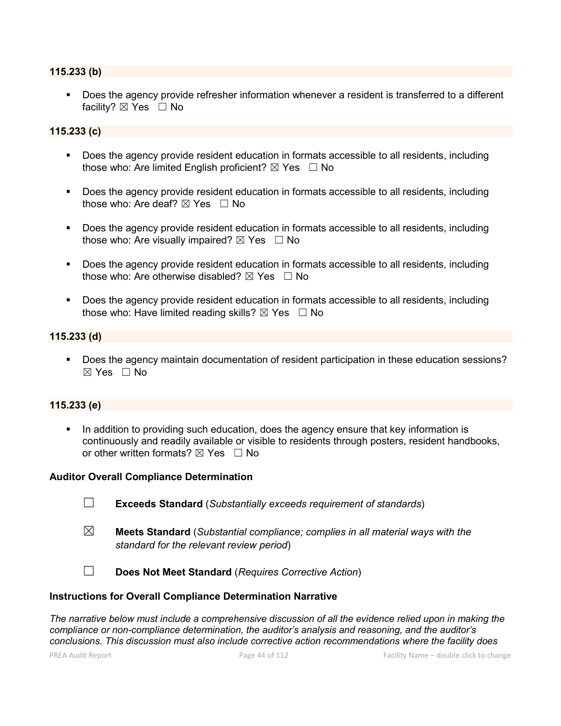### **115.233 (b)**

 Does the agency provide refresher information whenever a resident is transferred to a different facility? ⊠ Yes □ No

### **115.233 (c)**

- **Does the agency provide resident education in formats accessible to all residents, including** those who: Are limited English proficient?  $\boxtimes$  Yes  $\Box$  No
- **Does the agency provide resident education in formats accessible to all residents, including** those who: Are deaf?  $\boxtimes$  Yes  $\Box$  No
- Does the agency provide resident education in formats accessible to all residents, including those who: Are visually impaired?  $\boxtimes$  Yes  $\Box$  No
- Does the agency provide resident education in formats accessible to all residents, including those who: Are otherwise disabled?  $\boxtimes$  Yes  $\Box$  No
- **Does the agency provide resident education in formats accessible to all residents, including** those who: Have limited reading skills?  $\boxtimes$  Yes  $\Box$  No

### **115.233 (d)**

 Does the agency maintain documentation of resident participation in these education sessions?  $\boxtimes$  Yes  $\Box$  No

### **115.233 (e)**

In addition to providing such education, does the agency ensure that key information is continuously and readily available or visible to residents through posters, resident handbooks, or other written formats?  $\boxtimes$  Yes  $\Box$  No

#### **Auditor Overall Compliance Determination**

- ☐ **Exceeds Standard** (*Substantially exceeds requirement of standards*)
- ☒ **Meets Standard** (*Substantial compliance; complies in all material ways with the standard for the relevant review period*)

☐ **Does Not Meet Standard** (*Requires Corrective Action*)

### **Instructions for Overall Compliance Determination Narrative**

*The narrative below must include a comprehensive discussion of all the evidence relied upon in making the compliance or non-compliance determination, the auditor's analysis and reasoning, and the auditor's conclusions. This discussion must also include corrective action recommendations where the facility does*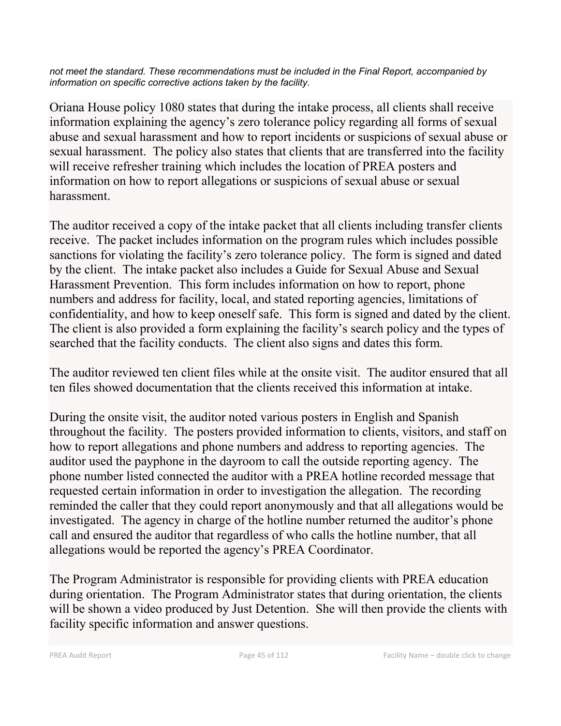*not meet the standard. These recommendations must be included in the Final Report, accompanied by information on specific corrective actions taken by the facility.*

Oriana House policy 1080 states that during the intake process, all clients shall receive information explaining the agency's zero tolerance policy regarding all forms of sexual abuse and sexual harassment and how to report incidents or suspicions of sexual abuse or sexual harassment. The policy also states that clients that are transferred into the facility will receive refresher training which includes the location of PREA posters and information on how to report allegations or suspicions of sexual abuse or sexual harassment.

The auditor received a copy of the intake packet that all clients including transfer clients receive. The packet includes information on the program rules which includes possible sanctions for violating the facility's zero tolerance policy. The form is signed and dated by the client. The intake packet also includes a Guide for Sexual Abuse and Sexual Harassment Prevention. This form includes information on how to report, phone numbers and address for facility, local, and stated reporting agencies, limitations of confidentiality, and how to keep oneself safe. This form is signed and dated by the client. The client is also provided a form explaining the facility's search policy and the types of searched that the facility conducts. The client also signs and dates this form.

The auditor reviewed ten client files while at the onsite visit. The auditor ensured that all ten files showed documentation that the clients received this information at intake.

During the onsite visit, the auditor noted various posters in English and Spanish throughout the facility. The posters provided information to clients, visitors, and staff on how to report allegations and phone numbers and address to reporting agencies. The auditor used the payphone in the dayroom to call the outside reporting agency. The phone number listed connected the auditor with a PREA hotline recorded message that requested certain information in order to investigation the allegation. The recording reminded the caller that they could report anonymously and that all allegations would be investigated. The agency in charge of the hotline number returned the auditor's phone call and ensured the auditor that regardless of who calls the hotline number, that all allegations would be reported the agency's PREA Coordinator.

The Program Administrator is responsible for providing clients with PREA education during orientation. The Program Administrator states that during orientation, the clients will be shown a video produced by Just Detention. She will then provide the clients with facility specific information and answer questions.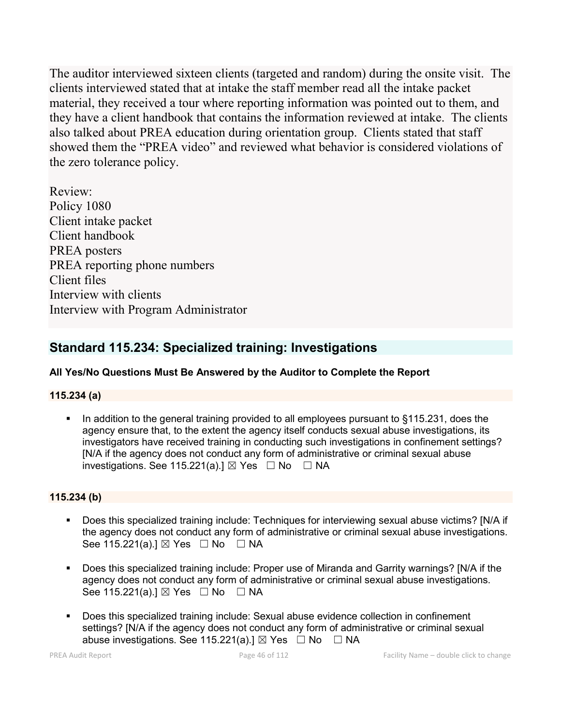The auditor interviewed sixteen clients (targeted and random) during the onsite visit. The clients interviewed stated that at intake the staff member read all the intake packet material, they received a tour where reporting information was pointed out to them, and they have a client handbook that contains the information reviewed at intake. The clients also talked about PREA education during orientation group. Clients stated that staff showed them the "PREA video" and reviewed what behavior is considered violations of the zero tolerance policy.

Review: Policy 1080 Client intake packet Client handbook PREA posters PREA reporting phone numbers Client files Interview with clients Interview with Program Administrator

# **Standard 115.234: Specialized training: Investigations**

### **All Yes/No Questions Must Be Answered by the Auditor to Complete the Report**

### **115.234 (a)**

In addition to the general training provided to all employees pursuant to  $\S115.231$ , does the agency ensure that, to the extent the agency itself conducts sexual abuse investigations, its investigators have received training in conducting such investigations in confinement settings? [N/A if the agency does not conduct any form of administrative or criminal sexual abuse investigations. See 115.221(a).]  $\boxtimes$  Yes  $\Box$  No  $\Box$  NA

### **115.234 (b)**

- Does this specialized training include: Techniques for interviewing sexual abuse victims? [N/A if the agency does not conduct any form of administrative or criminal sexual abuse investigations. See 115.221(a).] ⊠ Yes □ No □ NA
- Does this specialized training include: Proper use of Miranda and Garrity warnings? [N/A if the agency does not conduct any form of administrative or criminal sexual abuse investigations. See 115.221(a).] ⊠ Yes □ No □ NA
- Does this specialized training include: Sexual abuse evidence collection in confinement settings? [N/A if the agency does not conduct any form of administrative or criminal sexual abuse investigations. See 115.221(a).]  $\boxtimes$  Yes  $\Box$  No  $\Box$  NA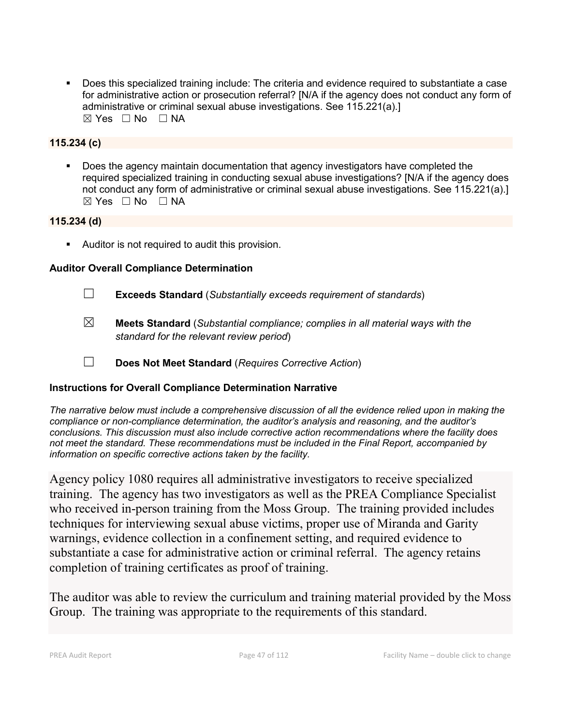Does this specialized training include: The criteria and evidence required to substantiate a case for administrative action or prosecution referral? [N/A if the agency does not conduct any form of administrative or criminal sexual abuse investigations. See 115.221(a).]  $\boxtimes$  Yes  $\Box$  No  $\Box$  NA

### **115.234 (c)**

Does the agency maintain documentation that agency investigators have completed the required specialized training in conducting sexual abuse investigations? [N/A if the agency does not conduct any form of administrative or criminal sexual abuse investigations. See 115.221(a).]  $⊠ Yes ⊡ No ⊡ NA$ 

### **115.234 (d)**

**Auditor is not required to audit this provision.** 

### **Auditor Overall Compliance Determination**

- ☐ **Exceeds Standard** (*Substantially exceeds requirement of standards*)
- ☒ **Meets Standard** (*Substantial compliance; complies in all material ways with the standard for the relevant review period*)
- ☐ **Does Not Meet Standard** (*Requires Corrective Action*)

### **Instructions for Overall Compliance Determination Narrative**

*The narrative below must include a comprehensive discussion of all the evidence relied upon in making the compliance or non-compliance determination, the auditor's analysis and reasoning, and the auditor's conclusions. This discussion must also include corrective action recommendations where the facility does not meet the standard. These recommendations must be included in the Final Report, accompanied by information on specific corrective actions taken by the facility.*

Agency policy 1080 requires all administrative investigators to receive specialized training. The agency has two investigators as well as the PREA Compliance Specialist who received in-person training from the Moss Group. The training provided includes techniques for interviewing sexual abuse victims, proper use of Miranda and Garity warnings, evidence collection in a confinement setting, and required evidence to substantiate a case for administrative action or criminal referral. The agency retains completion of training certificates as proof of training.

The auditor was able to review the curriculum and training material provided by the Moss Group. The training was appropriate to the requirements of this standard.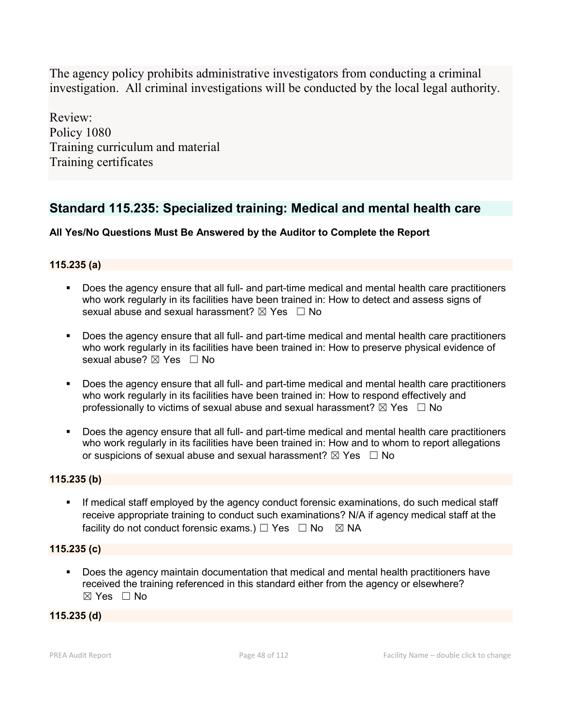The agency policy prohibits administrative investigators from conducting a criminal investigation. All criminal investigations will be conducted by the local legal authority.

Review: Policy 1080 Training curriculum and material Training certificates

# **Standard 115.235: Specialized training: Medical and mental health care**

## **All Yes/No Questions Must Be Answered by the Auditor to Complete the Report**

### **115.235 (a)**

- Does the agency ensure that all full- and part-time medical and mental health care practitioners who work regularly in its facilities have been trained in: How to detect and assess signs of sexual abuse and sexual harassment?  $\boxtimes$  Yes  $\Box$  No
- Does the agency ensure that all full- and part-time medical and mental health care practitioners who work regularly in its facilities have been trained in: How to preserve physical evidence of sexual abuse? ⊠ Yes □ No
- Does the agency ensure that all full- and part-time medical and mental health care practitioners who work regularly in its facilities have been trained in: How to respond effectively and professionally to victims of sexual abuse and sexual harassment?  $\boxtimes$  Yes  $\Box$  No
- Does the agency ensure that all full- and part-time medical and mental health care practitioners who work regularly in its facilities have been trained in: How and to whom to report allegations or suspicions of sexual abuse and sexual harassment?  $\boxtimes$  Yes  $\Box$  No

### **115.235 (b)**

 If medical staff employed by the agency conduct forensic examinations, do such medical staff receive appropriate training to conduct such examinations? N/A if agency medical staff at the facility do not conduct forensic exams.)  $\Box$  Yes  $\Box$  No  $\boxtimes$  NA

### **115.235 (c)**

 Does the agency maintain documentation that medical and mental health practitioners have received the training referenced in this standard either from the agency or elsewhere?  $\boxtimes$  Yes  $\Box$  No

### **115.235 (d)**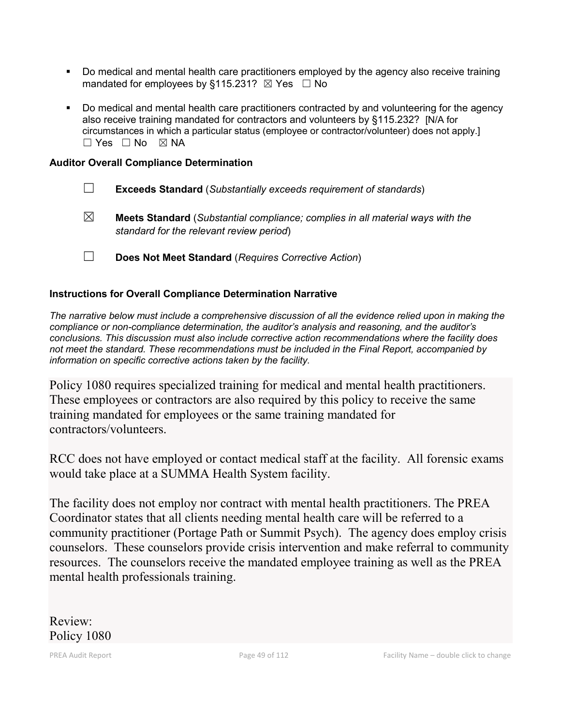- Do medical and mental health care practitioners employed by the agency also receive training mandated for employees by §115.231?  $\boxtimes$  Yes  $\Box$  No
- Do medical and mental health care practitioners contracted by and volunteering for the agency also receive training mandated for contractors and volunteers by §115.232? [N/A for circumstances in which a particular status (employee or contractor/volunteer) does not apply.]  $\Box$  Yes  $\Box$  No  $\boxtimes$  NA

### **Auditor Overall Compliance Determination**

- ☐ **Exceeds Standard** (*Substantially exceeds requirement of standards*)
- ☒ **Meets Standard** (*Substantial compliance; complies in all material ways with the standard for the relevant review period*)
- ☐ **Does Not Meet Standard** (*Requires Corrective Action*)

### **Instructions for Overall Compliance Determination Narrative**

*The narrative below must include a comprehensive discussion of all the evidence relied upon in making the compliance or non-compliance determination, the auditor's analysis and reasoning, and the auditor's conclusions. This discussion must also include corrective action recommendations where the facility does not meet the standard. These recommendations must be included in the Final Report, accompanied by information on specific corrective actions taken by the facility.*

Policy 1080 requires specialized training for medical and mental health practitioners. These employees or contractors are also required by this policy to receive the same training mandated for employees or the same training mandated for contractors/volunteers.

RCC does not have employed or contact medical staff at the facility. All forensic exams would take place at a SUMMA Health System facility.

The facility does not employ nor contract with mental health practitioners. The PREA Coordinator states that all clients needing mental health care will be referred to a community practitioner (Portage Path or Summit Psych). The agency does employ crisis counselors. These counselors provide crisis intervention and make referral to community resources. The counselors receive the mandated employee training as well as the PREA mental health professionals training.

Review: Policy 1080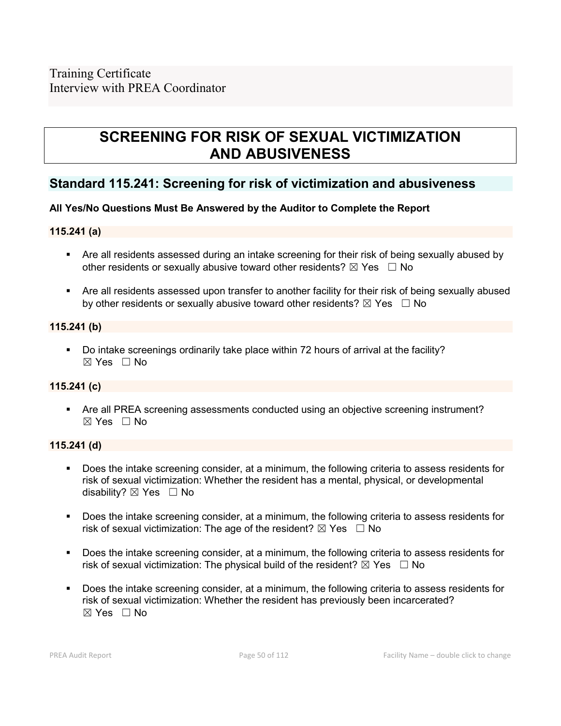# **SCREENING FOR RISK OF SEXUAL VICTIMIZATION AND ABUSIVENESS**

## **Standard 115.241: Screening for risk of victimization and abusiveness**

### **All Yes/No Questions Must Be Answered by the Auditor to Complete the Report**

### **115.241 (a)**

- Are all residents assessed during an intake screening for their risk of being sexually abused by other residents or sexually abusive toward other residents?  $\boxtimes$  Yes  $\Box$  No
- Are all residents assessed upon transfer to another facility for their risk of being sexually abused by other residents or sexually abusive toward other residents?  $\boxtimes$  Yes  $\Box$  No

### **115.241 (b)**

 Do intake screenings ordinarily take place within 72 hours of arrival at the facility? ☒ Yes ☐ No

### **115.241 (c)**

 Are all PREA screening assessments conducted using an objective screening instrument?  $\boxtimes$  Yes  $\Box$  No

### **115.241 (d)**

- Does the intake screening consider, at a minimum, the following criteria to assess residents for risk of sexual victimization: Whether the resident has a mental, physical, or developmental disability? ⊠ Yes □ No
- Does the intake screening consider, at a minimum, the following criteria to assess residents for risk of sexual victimization: The age of the resident?  $\boxtimes$  Yes  $\Box$  No
- Does the intake screening consider, at a minimum, the following criteria to assess residents for risk of sexual victimization: The physical build of the resident?  $\boxtimes$  Yes  $\Box$  No
- Does the intake screening consider, at a minimum, the following criteria to assess residents for risk of sexual victimization: Whether the resident has previously been incarcerated?  $\boxtimes$  Yes  $\Box$  No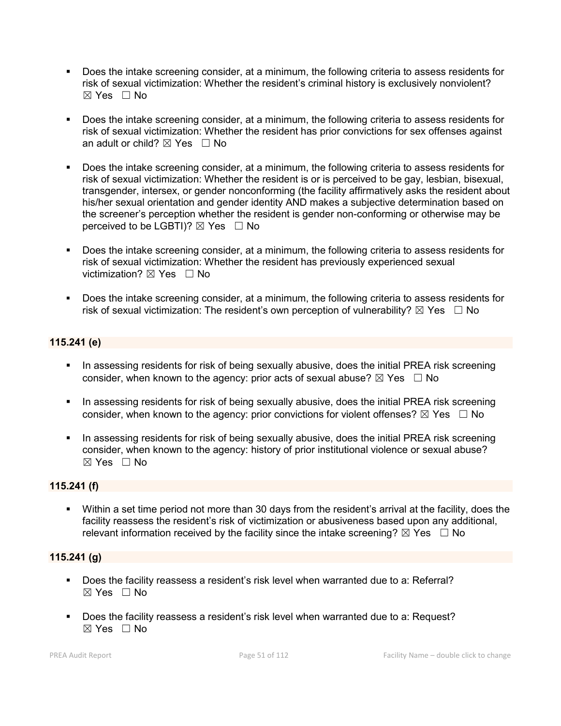- Does the intake screening consider, at a minimum, the following criteria to assess residents for risk of sexual victimization: Whether the resident's criminal history is exclusively nonviolent?  $\boxtimes$  Yes  $\Box$  No
- Does the intake screening consider, at a minimum, the following criteria to assess residents for risk of sexual victimization: Whether the resident has prior convictions for sex offenses against an adult or child?  $\boxtimes$  Yes  $\Box$  No
- Does the intake screening consider, at a minimum, the following criteria to assess residents for risk of sexual victimization: Whether the resident is or is perceived to be gay, lesbian, bisexual, transgender, intersex, or gender nonconforming (the facility affirmatively asks the resident about his/her sexual orientation and gender identity AND makes a subjective determination based on the screener's perception whether the resident is gender non-conforming or otherwise may be perceived to be LGBTI)?  $\boxtimes$  Yes  $\Box$  No
- Does the intake screening consider, at a minimum, the following criteria to assess residents for risk of sexual victimization: Whether the resident has previously experienced sexual victimization?  $\boxtimes$  Yes  $\Box$  No
- Does the intake screening consider, at a minimum, the following criteria to assess residents for risk of sexual victimization: The resident's own perception of vulnerability?  $\boxtimes$  Yes  $\Box$  No

### **115.241 (e)**

- In assessing residents for risk of being sexually abusive, does the initial PREA risk screening consider, when known to the agency: prior acts of sexual abuse?  $\boxtimes$  Yes  $\Box$  No
- **IF In assessing residents for risk of being sexually abusive, does the initial PREA risk screening** consider, when known to the agency: prior convictions for violent offenses?  $\boxtimes$  Yes  $\Box$  No
- In assessing residents for risk of being sexually abusive, does the initial PREA risk screening consider, when known to the agency: history of prior institutional violence or sexual abuse?  $\boxtimes$  Yes  $\Box$  No

### **115.241 (f)**

 Within a set time period not more than 30 days from the resident's arrival at the facility, does the facility reassess the resident's risk of victimization or abusiveness based upon any additional, relevant information received by the facility since the intake screening?  $\boxtimes$  Yes  $\Box$  No

### **115.241 (g)**

- Does the facility reassess a resident's risk level when warranted due to a: Referral?  $\boxtimes$  Yes  $\Box$  No
- Does the facility reassess a resident's risk level when warranted due to a: Request?  $\boxtimes$  Yes  $\Box$  No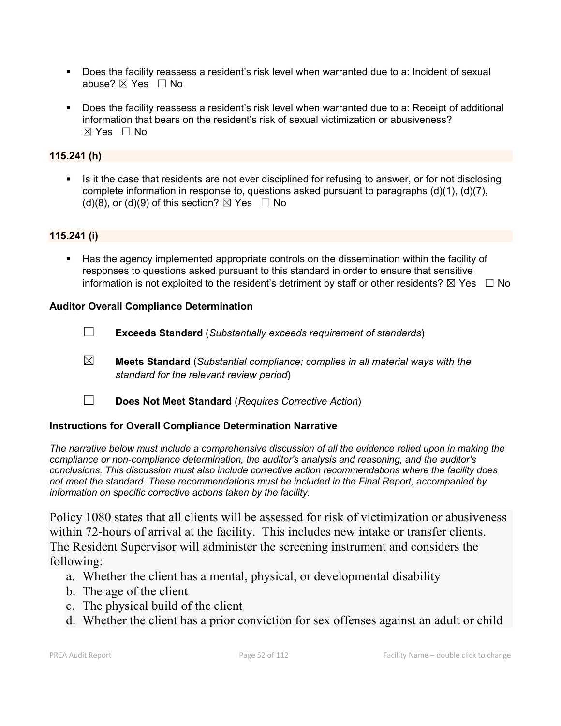- Does the facility reassess a resident's risk level when warranted due to a: Incident of sexual abuse? ⊠ Yes □ No
- Does the facility reassess a resident's risk level when warranted due to a: Receipt of additional information that bears on the resident's risk of sexual victimization or abusiveness?  $\boxtimes$  Yes  $\Box$  No

### **115.241 (h)**

Is it the case that residents are not ever disciplined for refusing to answer, or for not disclosing complete information in response to, questions asked pursuant to paragraphs  $(d)(1)$ ,  $(d)(7)$ , (d)(8), or (d)(9) of this section?  $\boxtimes$  Yes  $\Box$  No

## **115.241 (i)**

 Has the agency implemented appropriate controls on the dissemination within the facility of responses to questions asked pursuant to this standard in order to ensure that sensitive information is not exploited to the resident's detriment by staff or other residents?  $\boxtimes$  Yes  $\Box$  No

### **Auditor Overall Compliance Determination**

- ☐ **Exceeds Standard** (*Substantially exceeds requirement of standards*)
- ☒ **Meets Standard** (*Substantial compliance; complies in all material ways with the standard for the relevant review period*)
- ☐ **Does Not Meet Standard** (*Requires Corrective Action*)

### **Instructions for Overall Compliance Determination Narrative**

*The narrative below must include a comprehensive discussion of all the evidence relied upon in making the compliance or non-compliance determination, the auditor's analysis and reasoning, and the auditor's conclusions. This discussion must also include corrective action recommendations where the facility does not meet the standard. These recommendations must be included in the Final Report, accompanied by information on specific corrective actions taken by the facility.*

Policy 1080 states that all clients will be assessed for risk of victimization or abusiveness within 72-hours of arrival at the facility. This includes new intake or transfer clients. The Resident Supervisor will administer the screening instrument and considers the following:

- a. Whether the client has a mental, physical, or developmental disability
- b. The age of the client
- c. The physical build of the client
- d. Whether the client has a prior conviction for sex offenses against an adult or child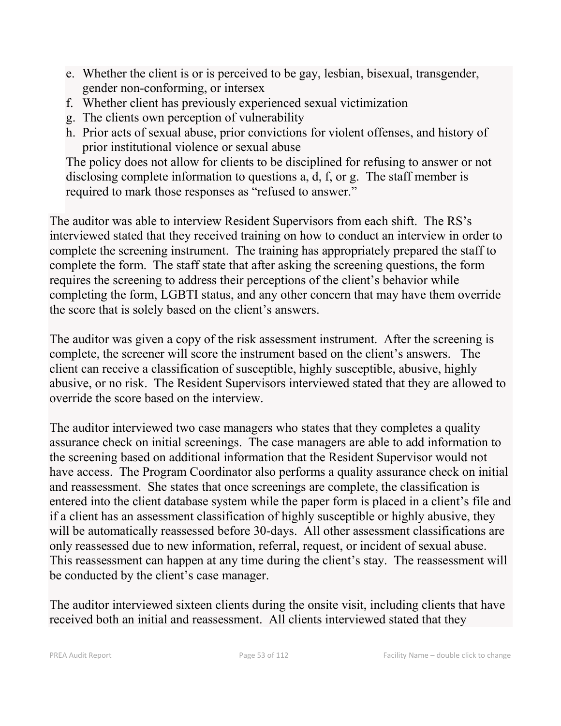- e. Whether the client is or is perceived to be gay, lesbian, bisexual, transgender, gender non-conforming, or intersex
- f. Whether client has previously experienced sexual victimization
- g. The clients own perception of vulnerability
- h. Prior acts of sexual abuse, prior convictions for violent offenses, and history of prior institutional violence or sexual abuse

The policy does not allow for clients to be disciplined for refusing to answer or not disclosing complete information to questions a, d, f, or g. The staff member is required to mark those responses as "refused to answer."

The auditor was able to interview Resident Supervisors from each shift. The RS's interviewed stated that they received training on how to conduct an interview in order to complete the screening instrument. The training has appropriately prepared the staff to complete the form. The staff state that after asking the screening questions, the form requires the screening to address their perceptions of the client's behavior while completing the form, LGBTI status, and any other concern that may have them override the score that is solely based on the client's answers.

The auditor was given a copy of the risk assessment instrument. After the screening is complete, the screener will score the instrument based on the client's answers. The client can receive a classification of susceptible, highly susceptible, abusive, highly abusive, or no risk. The Resident Supervisors interviewed stated that they are allowed to override the score based on the interview.

The auditor interviewed two case managers who states that they completes a quality assurance check on initial screenings. The case managers are able to add information to the screening based on additional information that the Resident Supervisor would not have access. The Program Coordinator also performs a quality assurance check on initial and reassessment. She states that once screenings are complete, the classification is entered into the client database system while the paper form is placed in a client's file and if a client has an assessment classification of highly susceptible or highly abusive, they will be automatically reassessed before 30-days. All other assessment classifications are only reassessed due to new information, referral, request, or incident of sexual abuse. This reassessment can happen at any time during the client's stay. The reassessment will be conducted by the client's case manager.

The auditor interviewed sixteen clients during the onsite visit, including clients that have received both an initial and reassessment. All clients interviewed stated that they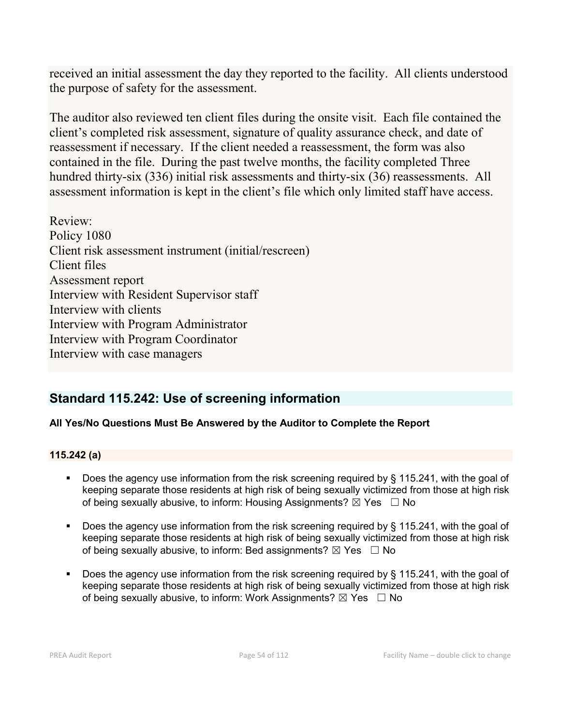received an initial assessment the day they reported to the facility. All clients understood the purpose of safety for the assessment.

The auditor also reviewed ten client files during the onsite visit. Each file contained the client's completed risk assessment, signature of quality assurance check, and date of reassessment if necessary. If the client needed a reassessment, the form was also contained in the file. During the past twelve months, the facility completed Three hundred thirty-six (336) initial risk assessments and thirty-six (36) reassessments. All assessment information is kept in the client's file which only limited staff have access.

Review: Policy 1080 Client risk assessment instrument (initial/rescreen) Client files Assessment report Interview with Resident Supervisor staff Interview with clients Interview with Program Administrator Interview with Program Coordinator Interview with case managers

# **Standard 115.242: Use of screening information**

## **All Yes/No Questions Must Be Answered by the Auditor to Complete the Report**

### **115.242 (a)**

- Does the agency use information from the risk screening required by § 115.241, with the goal of keeping separate those residents at high risk of being sexually victimized from those at high risk of being sexually abusive, to inform: Housing Assignments?  $\boxtimes$  Yes  $\Box$  No
- Does the agency use information from the risk screening required by § 115.241, with the goal of keeping separate those residents at high risk of being sexually victimized from those at high risk of being sexually abusive, to inform: Bed assignments?  $\boxtimes$  Yes  $\Box$  No
- Does the agency use information from the risk screening required by § 115.241, with the goal of keeping separate those residents at high risk of being sexually victimized from those at high risk of being sexually abusive, to inform: Work Assignments?  $\boxtimes$  Yes  $\Box$  No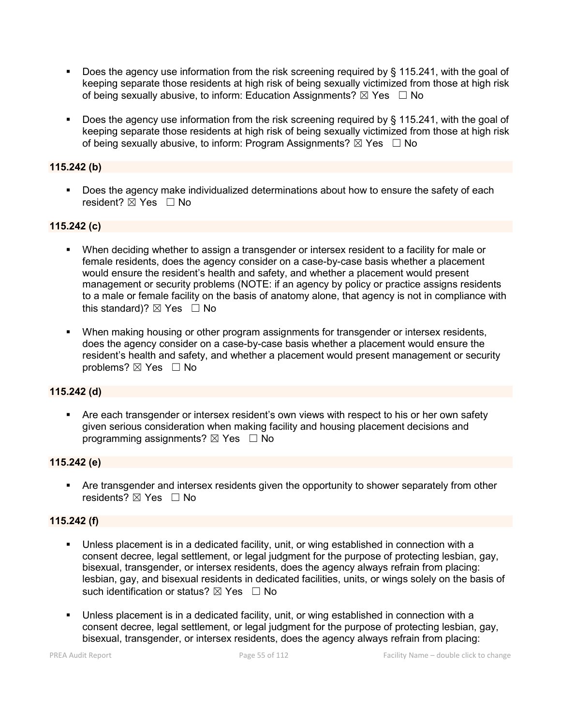- Does the agency use information from the risk screening required by § 115.241, with the goal of keeping separate those residents at high risk of being sexually victimized from those at high risk of being sexually abusive, to inform: Education Assignments?  $\boxtimes$  Yes  $\Box$  No
- Does the agency use information from the risk screening required by § 115.241, with the goal of keeping separate those residents at high risk of being sexually victimized from those at high risk of being sexually abusive, to inform: Program Assignments?  $\boxtimes$  Yes  $\Box$  No

### **115.242 (b)**

**Does the agency make individualized determinations about how to ensure the safety of each** resident? ⊠ Yes □ No

### **115.242 (c)**

- When deciding whether to assign a transgender or intersex resident to a facility for male or female residents, does the agency consider on a case-by-case basis whether a placement would ensure the resident's health and safety, and whether a placement would present management or security problems (NOTE: if an agency by policy or practice assigns residents to a male or female facility on the basis of anatomy alone, that agency is not in compliance with this standard)?  $\boxtimes$  Yes  $\Box$  No
- When making housing or other program assignments for transgender or intersex residents, does the agency consider on a case-by-case basis whether a placement would ensure the resident's health and safety, and whether a placement would present management or security problems? ⊠ Yes □ No

### **115.242 (d)**

 Are each transgender or intersex resident's own views with respect to his or her own safety given serious consideration when making facility and housing placement decisions and programming assignments?  $\boxtimes$  Yes  $\Box$  No

### **115.242 (e)**

 Are transgender and intersex residents given the opportunity to shower separately from other residents?  $\boxtimes$  Yes  $\Box$  No

### **115.242 (f)**

- Unless placement is in a dedicated facility, unit, or wing established in connection with a consent decree, legal settlement, or legal judgment for the purpose of protecting lesbian, gay, bisexual, transgender, or intersex residents, does the agency always refrain from placing: lesbian, gay, and bisexual residents in dedicated facilities, units, or wings solely on the basis of such identification or status?  $\boxtimes$  Yes  $\Box$  No
- Unless placement is in a dedicated facility, unit, or wing established in connection with a consent decree, legal settlement, or legal judgment for the purpose of protecting lesbian, gay, bisexual, transgender, or intersex residents, does the agency always refrain from placing: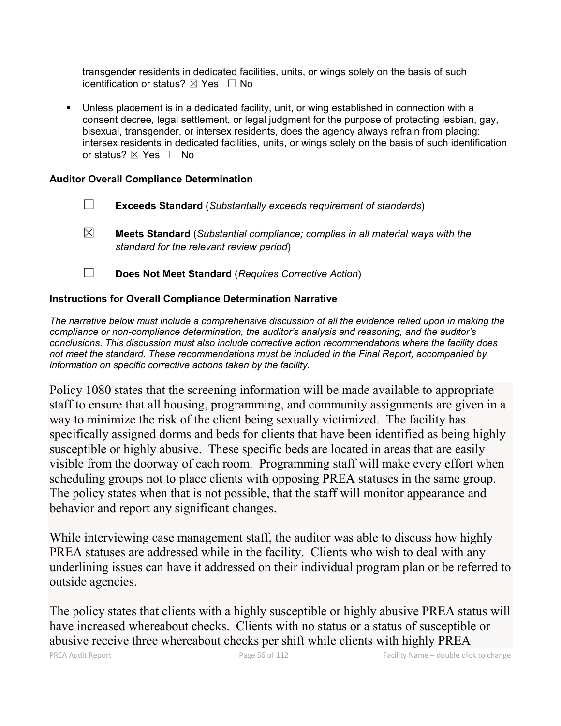transgender residents in dedicated facilities, units, or wings solely on the basis of such identification or status?  $\boxtimes$  Yes  $\Box$  No

 Unless placement is in a dedicated facility, unit, or wing established in connection with a consent decree, legal settlement, or legal judgment for the purpose of protecting lesbian, gay, bisexual, transgender, or intersex residents, does the agency always refrain from placing: intersex residents in dedicated facilities, units, or wings solely on the basis of such identification or status? ⊠ Yes □ No

### **Auditor Overall Compliance Determination**

- ☐ **Exceeds Standard** (*Substantially exceeds requirement of standards*)
- ☒ **Meets Standard** (*Substantial compliance; complies in all material ways with the standard for the relevant review period*)
- ☐ **Does Not Meet Standard** (*Requires Corrective Action*)

### **Instructions for Overall Compliance Determination Narrative**

*The narrative below must include a comprehensive discussion of all the evidence relied upon in making the compliance or non-compliance determination, the auditor's analysis and reasoning, and the auditor's conclusions. This discussion must also include corrective action recommendations where the facility does not meet the standard. These recommendations must be included in the Final Report, accompanied by information on specific corrective actions taken by the facility.*

Policy 1080 states that the screening information will be made available to appropriate staff to ensure that all housing, programming, and community assignments are given in a way to minimize the risk of the client being sexually victimized. The facility has specifically assigned dorms and beds for clients that have been identified as being highly susceptible or highly abusive. These specific beds are located in areas that are easily visible from the doorway of each room. Programming staff will make every effort when scheduling groups not to place clients with opposing PREA statuses in the same group. The policy states when that is not possible, that the staff will monitor appearance and behavior and report any significant changes.

While interviewing case management staff, the auditor was able to discuss how highly PREA statuses are addressed while in the facility. Clients who wish to deal with any underlining issues can have it addressed on their individual program plan or be referred to outside agencies.

The policy states that clients with a highly susceptible or highly abusive PREA status will have increased whereabout checks. Clients with no status or a status of susceptible or abusive receive three whereabout checks per shift while clients with highly PREA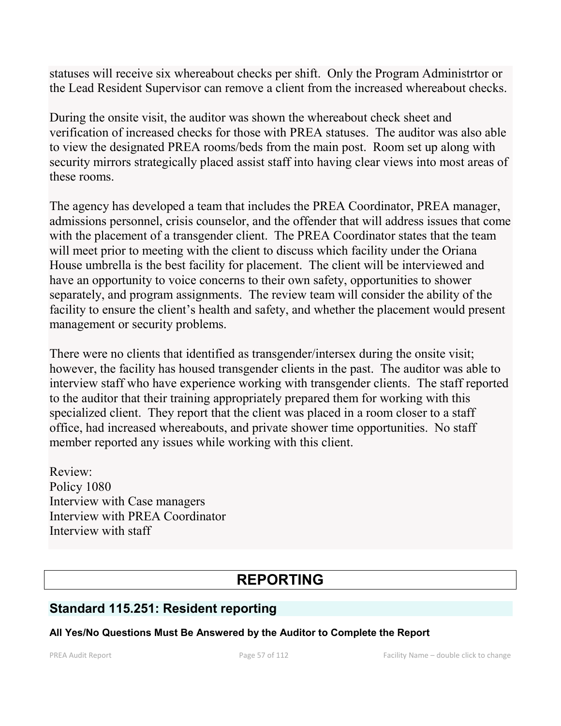statuses will receive six whereabout checks per shift. Only the Program Administrtor or the Lead Resident Supervisor can remove a client from the increased whereabout checks.

During the onsite visit, the auditor was shown the whereabout check sheet and verification of increased checks for those with PREA statuses. The auditor was also able to view the designated PREA rooms/beds from the main post. Room set up along with security mirrors strategically placed assist staff into having clear views into most areas of these rooms.

The agency has developed a team that includes the PREA Coordinator, PREA manager, admissions personnel, crisis counselor, and the offender that will address issues that come with the placement of a transgender client. The PREA Coordinator states that the team will meet prior to meeting with the client to discuss which facility under the Oriana House umbrella is the best facility for placement. The client will be interviewed and have an opportunity to voice concerns to their own safety, opportunities to shower separately, and program assignments. The review team will consider the ability of the facility to ensure the client's health and safety, and whether the placement would present management or security problems.

There were no clients that identified as transgender/intersex during the onsite visit; however, the facility has housed transgender clients in the past. The auditor was able to interview staff who have experience working with transgender clients. The staff reported to the auditor that their training appropriately prepared them for working with this specialized client. They report that the client was placed in a room closer to a staff office, had increased whereabouts, and private shower time opportunities. No staff member reported any issues while working with this client.

Review: Policy 1080 Interview with Case managers Interview with PREA Coordinator Interview with staff

# **REPORTING**

## **Standard 115.251: Resident reporting**

### **All Yes/No Questions Must Be Answered by the Auditor to Complete the Report**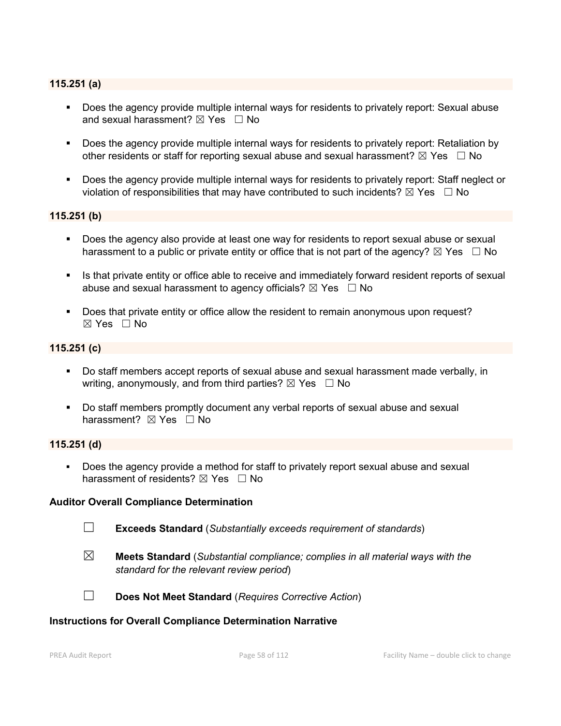### **115.251 (a)**

- Does the agency provide multiple internal ways for residents to privately report: Sexual abuse and sexual harassment?  $\boxtimes$  Yes  $\Box$  No
- Does the agency provide multiple internal ways for residents to privately report: Retaliation by other residents or staff for reporting sexual abuse and sexual harassment?  $\boxtimes$  Yes  $\Box$  No
- Does the agency provide multiple internal ways for residents to privately report: Staff neglect or violation of responsibilities that may have contributed to such incidents?  $\boxtimes$  Yes  $\Box$  No

### **115.251 (b)**

- Does the agency also provide at least one way for residents to report sexual abuse or sexual harassment to a public or private entity or office that is not part of the agency?  $\boxtimes$  Yes  $\Box$  No
- Is that private entity or office able to receive and immediately forward resident reports of sexual abuse and sexual harassment to agency officials?  $\boxtimes$  Yes  $\Box$  No
- Does that private entity or office allow the resident to remain anonymous upon request? ☒ Yes ☐ No

### **115.251 (c)**

- Do staff members accept reports of sexual abuse and sexual harassment made verbally, in writing, anonymously, and from third parties?  $\boxtimes$  Yes  $\Box$  No
- Do staff members promptly document any verbal reports of sexual abuse and sexual harassment?  $\boxtimes$  Yes  $\Box$  No

### **115.251 (d)**

 Does the agency provide a method for staff to privately report sexual abuse and sexual harassment of residents?  $\boxtimes$  Yes  $\Box$  No

### **Auditor Overall Compliance Determination**

☐ **Exceeds Standard** (*Substantially exceeds requirement of standards*)

☒ **Meets Standard** (*Substantial compliance; complies in all material ways with the standard for the relevant review period*)



☐ **Does Not Meet Standard** (*Requires Corrective Action*)

### **Instructions for Overall Compliance Determination Narrative**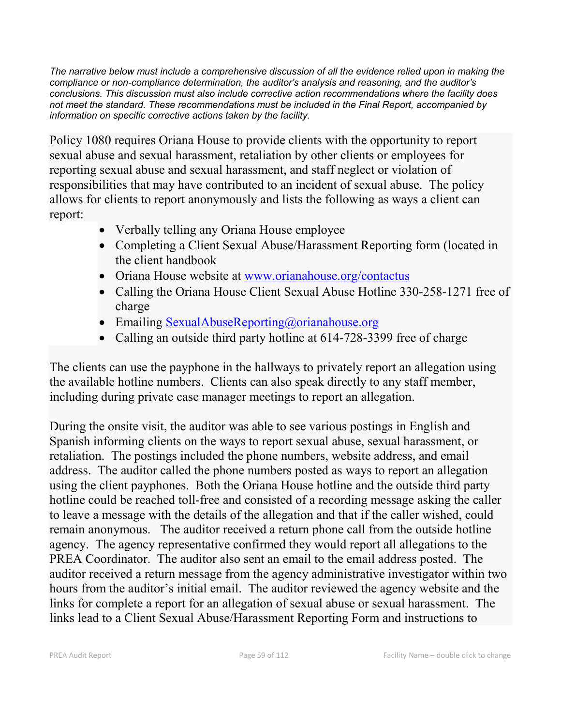*The narrative below must include a comprehensive discussion of all the evidence relied upon in making the compliance or non-compliance determination, the auditor's analysis and reasoning, and the auditor's conclusions. This discussion must also include corrective action recommendations where the facility does not meet the standard. These recommendations must be included in the Final Report, accompanied by information on specific corrective actions taken by the facility.*

Policy 1080 requires Oriana House to provide clients with the opportunity to report sexual abuse and sexual harassment, retaliation by other clients or employees for reporting sexual abuse and sexual harassment, and staff neglect or violation of responsibilities that may have contributed to an incident of sexual abuse. The policy allows for clients to report anonymously and lists the following as ways a client can report:

- Verbally telling any Oriana House employee
- Completing a Client Sexual Abuse/Harassment Reporting form (located in the client handbook
- Oriana House website at [www.orianahouse.org/contactus](http://www.orianahouse.org/contactus)
- Calling the Oriana House Client Sexual Abuse Hotline 330-258-1271 free of charge
- Emailing [SexualAbuseReporting@orianahouse.org](mailto:SexualAbuseReporting@orianahouse.org)
- Calling an outside third party hotline at 614-728-3399 free of charge

The clients can use the payphone in the hallways to privately report an allegation using the available hotline numbers. Clients can also speak directly to any staff member, including during private case manager meetings to report an allegation.

During the onsite visit, the auditor was able to see various postings in English and Spanish informing clients on the ways to report sexual abuse, sexual harassment, or retaliation. The postings included the phone numbers, website address, and email address. The auditor called the phone numbers posted as ways to report an allegation using the client payphones. Both the Oriana House hotline and the outside third party hotline could be reached toll-free and consisted of a recording message asking the caller to leave a message with the details of the allegation and that if the caller wished, could remain anonymous. The auditor received a return phone call from the outside hotline agency. The agency representative confirmed they would report all allegations to the PREA Coordinator. The auditor also sent an email to the email address posted. The auditor received a return message from the agency administrative investigator within two hours from the auditor's initial email. The auditor reviewed the agency website and the links for complete a report for an allegation of sexual abuse or sexual harassment. The links lead to a Client Sexual Abuse/Harassment Reporting Form and instructions to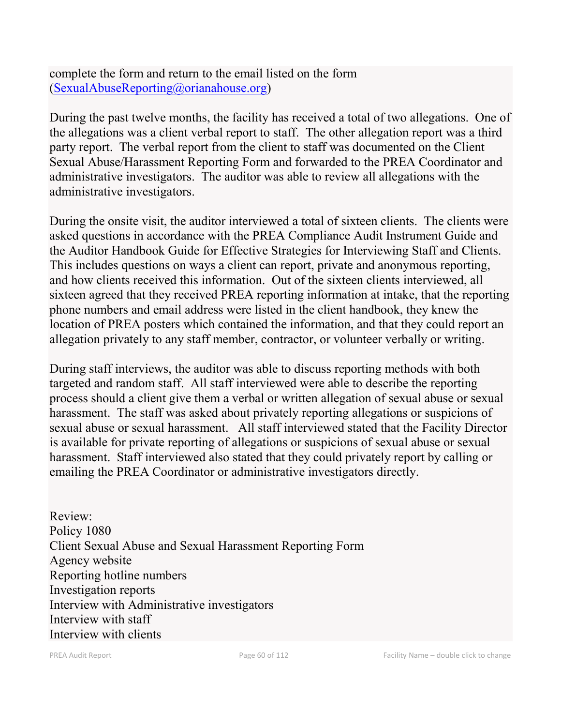complete the form and return to the email listed on the form [\(SexualAbuseReporting@orianahouse.org\)](mailto:SexualAbuseReporting@orianahouse.org)

During the past twelve months, the facility has received a total of two allegations. One of the allegations was a client verbal report to staff. The other allegation report was a third party report. The verbal report from the client to staff was documented on the Client Sexual Abuse/Harassment Reporting Form and forwarded to the PREA Coordinator and administrative investigators. The auditor was able to review all allegations with the administrative investigators.

During the onsite visit, the auditor interviewed a total of sixteen clients. The clients were asked questions in accordance with the PREA Compliance Audit Instrument Guide and the Auditor Handbook Guide for Effective Strategies for Interviewing Staff and Clients. This includes questions on ways a client can report, private and anonymous reporting, and how clients received this information. Out of the sixteen clients interviewed, all sixteen agreed that they received PREA reporting information at intake, that the reporting phone numbers and email address were listed in the client handbook, they knew the location of PREA posters which contained the information, and that they could report an allegation privately to any staff member, contractor, or volunteer verbally or writing.

During staff interviews, the auditor was able to discuss reporting methods with both targeted and random staff. All staff interviewed were able to describe the reporting process should a client give them a verbal or written allegation of sexual abuse or sexual harassment. The staff was asked about privately reporting allegations or suspicions of sexual abuse or sexual harassment. All staff interviewed stated that the Facility Director is available for private reporting of allegations or suspicions of sexual abuse or sexual harassment. Staff interviewed also stated that they could privately report by calling or emailing the PREA Coordinator or administrative investigators directly.

Review: Policy 1080 Client Sexual Abuse and Sexual Harassment Reporting Form Agency website Reporting hotline numbers Investigation reports Interview with Administrative investigators Interview with staff Interview with clients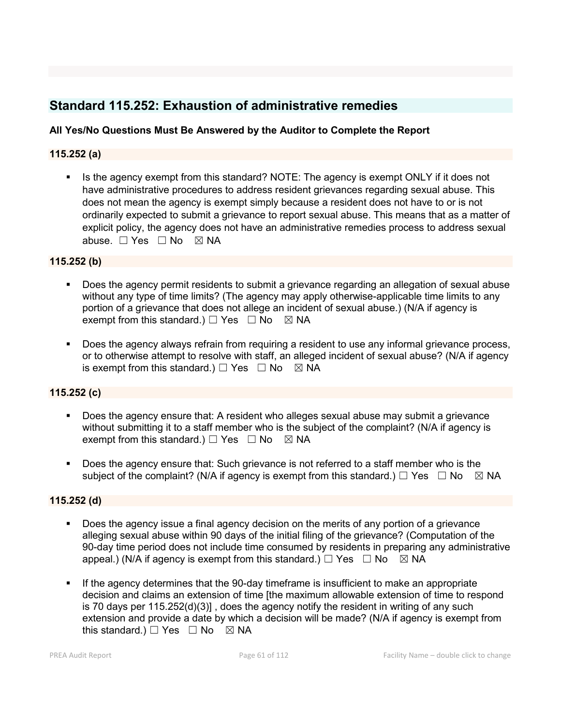# **Standard 115.252: Exhaustion of administrative remedies**

### **All Yes/No Questions Must Be Answered by the Auditor to Complete the Report**

### **115.252 (a)**

Is the agency exempt from this standard? NOTE: The agency is exempt ONLY if it does not have administrative procedures to address resident grievances regarding sexual abuse. This does not mean the agency is exempt simply because a resident does not have to or is not ordinarily expected to submit a grievance to report sexual abuse. This means that as a matter of explicit policy, the agency does not have an administrative remedies process to address sexual abuse. □ Yes □ No ⊠ NA

### **115.252 (b)**

- Does the agency permit residents to submit a grievance regarding an allegation of sexual abuse without any type of time limits? (The agency may apply otherwise-applicable time limits to any portion of a grievance that does not allege an incident of sexual abuse.) (N/A if agency is exempt from this standard.)  $\Box$  Yes  $\Box$  No  $\boxtimes$  NA
- Does the agency always refrain from requiring a resident to use any informal grievance process, or to otherwise attempt to resolve with staff, an alleged incident of sexual abuse? (N/A if agency is exempt from this standard.)  $\Box$  Yes  $\Box$  No  $\boxtimes$  NA

### **115.252 (c)**

- Does the agency ensure that: A resident who alleges sexual abuse may submit a grievance without submitting it to a staff member who is the subject of the complaint? (N/A if agency is exempt from this standard.)  $\Box$  Yes  $\Box$  No  $\boxtimes$  NA
- Does the agency ensure that: Such grievance is not referred to a staff member who is the subject of the complaint? (N/A if agency is exempt from this standard.)  $\Box$  Yes  $\Box$  No  $\boxtimes$  NA

### **115.252 (d)**

- Does the agency issue a final agency decision on the merits of any portion of a grievance alleging sexual abuse within 90 days of the initial filing of the grievance? (Computation of the 90-day time period does not include time consumed by residents in preparing any administrative appeal.) (N/A if agency is exempt from this standard.)  $\Box$  Yes  $\Box$  No  $\boxtimes$  NA
- If the agency determines that the 90-day timeframe is insufficient to make an appropriate decision and claims an extension of time [the maximum allowable extension of time to respond is 70 days per 115.252(d)(3)] , does the agency notify the resident in writing of any such extension and provide a date by which a decision will be made? (N/A if agency is exempt from this standard.)  $\Box$  Yes  $\Box$  No  $\boxtimes$  NA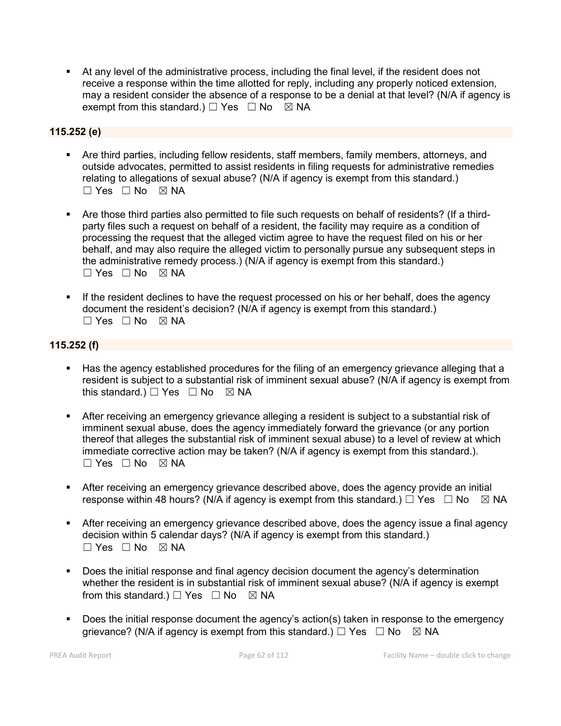At any level of the administrative process, including the final level, if the resident does not receive a response within the time allotted for reply, including any properly noticed extension, may a resident consider the absence of a response to be a denial at that level? (N/A if agency is exempt from this standard.)  $\Box$  Yes  $\Box$  No  $\boxtimes$  NA

### **115.252 (e)**

- Are third parties, including fellow residents, staff members, family members, attorneys, and outside advocates, permitted to assist residents in filing requests for administrative remedies relating to allegations of sexual abuse? (N/A if agency is exempt from this standard.)  $\Box$  Yes  $\Box$  No  $\boxtimes$  NA
- Are those third parties also permitted to file such requests on behalf of residents? (If a thirdparty files such a request on behalf of a resident, the facility may require as a condition of processing the request that the alleged victim agree to have the request filed on his or her behalf, and may also require the alleged victim to personally pursue any subsequent steps in the administrative remedy process.) (N/A if agency is exempt from this standard.) ☐ Yes ☐ No ☒ NA
- If the resident declines to have the request processed on his or her behalf, does the agency document the resident's decision? (N/A if agency is exempt from this standard.)  $\square$  Yes  $\square$  No  $\square$  NA

### **115.252 (f)**

- Has the agency established procedures for the filing of an emergency grievance alleging that a resident is subject to a substantial risk of imminent sexual abuse? (N/A if agency is exempt from this standard.)  $\Box$  Yes  $\Box$  No  $\boxtimes$  NA
- After receiving an emergency grievance alleging a resident is subject to a substantial risk of imminent sexual abuse, does the agency immediately forward the grievance (or any portion thereof that alleges the substantial risk of imminent sexual abuse) to a level of review at which immediate corrective action may be taken? (N/A if agency is exempt from this standard.).  $\Box$  Yes  $\Box$  No  $\boxtimes$  NA
- After receiving an emergency grievance described above, does the agency provide an initial response within 48 hours? (N/A if agency is exempt from this standard.)  $\Box$  Yes  $\Box$  No  $\boxtimes$  NA
- After receiving an emergency grievance described above, does the agency issue a final agency decision within 5 calendar days? (N/A if agency is exempt from this standard.)  $\Box$  Yes  $\Box$  No  $\boxtimes$  NA
- Does the initial response and final agency decision document the agency's determination whether the resident is in substantial risk of imminent sexual abuse? (N/A if agency is exempt from this standard.)  $\Box$  Yes  $\Box$  No  $\boxtimes$  NA
- Does the initial response document the agency's action(s) taken in response to the emergency grievance? (N/A if agency is exempt from this standard.)  $\Box$  Yes  $\Box$  No  $\Box$  NA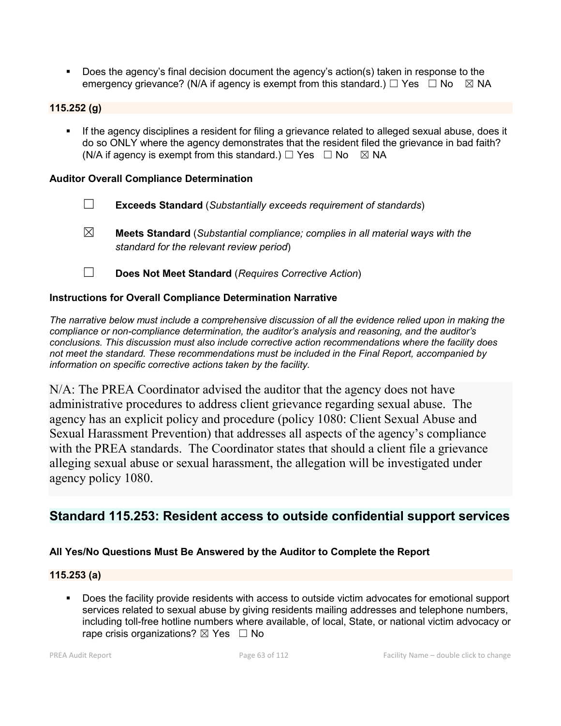Does the agency's final decision document the agency's action(s) taken in response to the emergency grievance? (N/A if agency is exempt from this standard.)  $\Box$  Yes  $\Box$  No  $\boxtimes$  NA

### **115.252 (g)**

**If the agency disciplines a resident for filing a grievance related to alleged sexual abuse, does it** do so ONLY where the agency demonstrates that the resident filed the grievance in bad faith? (N/A if agency is exempt from this standard.)  $\Box$  Yes  $\Box$  No  $\boxtimes$  NA

### **Auditor Overall Compliance Determination**

- ☐ **Exceeds Standard** (*Substantially exceeds requirement of standards*)
- ☒ **Meets Standard** (*Substantial compliance; complies in all material ways with the standard for the relevant review period*)
- ☐ **Does Not Meet Standard** (*Requires Corrective Action*)

### **Instructions for Overall Compliance Determination Narrative**

*The narrative below must include a comprehensive discussion of all the evidence relied upon in making the compliance or non-compliance determination, the auditor's analysis and reasoning, and the auditor's conclusions. This discussion must also include corrective action recommendations where the facility does not meet the standard. These recommendations must be included in the Final Report, accompanied by information on specific corrective actions taken by the facility.*

N/A: The PREA Coordinator advised the auditor that the agency does not have administrative procedures to address client grievance regarding sexual abuse. The agency has an explicit policy and procedure (policy 1080: Client Sexual Abuse and Sexual Harassment Prevention) that addresses all aspects of the agency's compliance with the PREA standards. The Coordinator states that should a client file a grievance alleging sexual abuse or sexual harassment, the allegation will be investigated under agency policy 1080.

## **Standard 115.253: Resident access to outside confidential support services**

### **All Yes/No Questions Must Be Answered by the Auditor to Complete the Report**

### **115.253 (a)**

 Does the facility provide residents with access to outside victim advocates for emotional support services related to sexual abuse by giving residents mailing addresses and telephone numbers, including toll-free hotline numbers where available, of local, State, or national victim advocacy or rape crisis organizations?  $\boxtimes$  Yes  $\Box$  No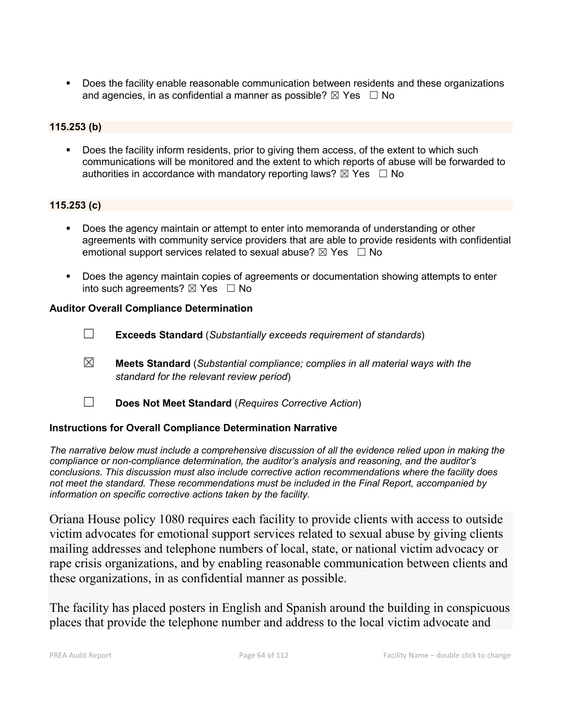Does the facility enable reasonable communication between residents and these organizations and agencies, in as confidential a manner as possible?  $\boxtimes$  Yes  $\Box$  No

### **115.253 (b)**

 Does the facility inform residents, prior to giving them access, of the extent to which such communications will be monitored and the extent to which reports of abuse will be forwarded to authorities in accordance with mandatory reporting laws?  $\boxtimes$  Yes  $\Box$  No

### **115.253 (c)**

- Does the agency maintain or attempt to enter into memoranda of understanding or other agreements with community service providers that are able to provide residents with confidential emotional support services related to sexual abuse?  $\boxtimes$  Yes  $\Box$  No
- **Does the agency maintain copies of agreements or documentation showing attempts to enter** into such agreements?  $\boxtimes$  Yes  $\Box$  No

### **Auditor Overall Compliance Determination**

- ☐ **Exceeds Standard** (*Substantially exceeds requirement of standards*)
- ☒ **Meets Standard** (*Substantial compliance; complies in all material ways with the standard for the relevant review period*)
- ☐ **Does Not Meet Standard** (*Requires Corrective Action*)

### **Instructions for Overall Compliance Determination Narrative**

*The narrative below must include a comprehensive discussion of all the evidence relied upon in making the compliance or non-compliance determination, the auditor's analysis and reasoning, and the auditor's conclusions. This discussion must also include corrective action recommendations where the facility does not meet the standard. These recommendations must be included in the Final Report, accompanied by information on specific corrective actions taken by the facility.*

Oriana House policy 1080 requires each facility to provide clients with access to outside victim advocates for emotional support services related to sexual abuse by giving clients mailing addresses and telephone numbers of local, state, or national victim advocacy or rape crisis organizations, and by enabling reasonable communication between clients and these organizations, in as confidential manner as possible.

The facility has placed posters in English and Spanish around the building in conspicuous places that provide the telephone number and address to the local victim advocate and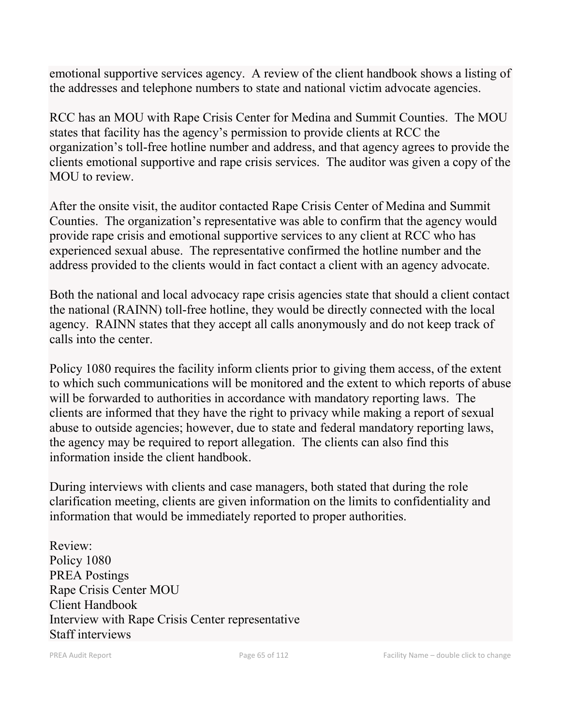emotional supportive services agency. A review of the client handbook shows a listing of the addresses and telephone numbers to state and national victim advocate agencies.

RCC has an MOU with Rape Crisis Center for Medina and Summit Counties. The MOU states that facility has the agency's permission to provide clients at RCC the organization's toll-free hotline number and address, and that agency agrees to provide the clients emotional supportive and rape crisis services. The auditor was given a copy of the MOU to review.

After the onsite visit, the auditor contacted Rape Crisis Center of Medina and Summit Counties. The organization's representative was able to confirm that the agency would provide rape crisis and emotional supportive services to any client at RCC who has experienced sexual abuse. The representative confirmed the hotline number and the address provided to the clients would in fact contact a client with an agency advocate.

Both the national and local advocacy rape crisis agencies state that should a client contact the national (RAINN) toll-free hotline, they would be directly connected with the local agency. RAINN states that they accept all calls anonymously and do not keep track of calls into the center.

Policy 1080 requires the facility inform clients prior to giving them access, of the extent to which such communications will be monitored and the extent to which reports of abuse will be forwarded to authorities in accordance with mandatory reporting laws. The clients are informed that they have the right to privacy while making a report of sexual abuse to outside agencies; however, due to state and federal mandatory reporting laws, the agency may be required to report allegation. The clients can also find this information inside the client handbook.

During interviews with clients and case managers, both stated that during the role clarification meeting, clients are given information on the limits to confidentiality and information that would be immediately reported to proper authorities.

Review: Policy 1080 PREA Postings Rape Crisis Center MOU Client Handbook Interview with Rape Crisis Center representative Staff interviews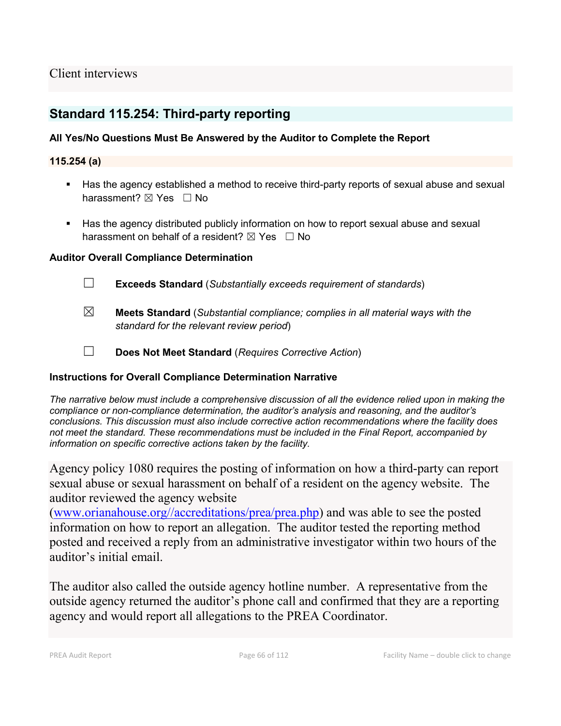## Client interviews

## **Standard 115.254: Third-party reporting**

### **All Yes/No Questions Must Be Answered by the Auditor to Complete the Report**

### **115.254 (a)**

- **Has the agency established a method to receive third-party reports of sexual abuse and sexual 4** harassment? ⊠ Yes □ No
- Has the agency distributed publicly information on how to report sexual abuse and sexual harassment on behalf of a resident?  $\boxtimes$  Yes  $\Box$  No

### **Auditor Overall Compliance Determination**

☐ **Exceeds Standard** (*Substantially exceeds requirement of standards*)

- ☒ **Meets Standard** (*Substantial compliance; complies in all material ways with the standard for the relevant review period*)
- ☐ **Does Not Meet Standard** (*Requires Corrective Action*)

### **Instructions for Overall Compliance Determination Narrative**

*The narrative below must include a comprehensive discussion of all the evidence relied upon in making the compliance or non-compliance determination, the auditor's analysis and reasoning, and the auditor's conclusions. This discussion must also include corrective action recommendations where the facility does not meet the standard. These recommendations must be included in the Final Report, accompanied by information on specific corrective actions taken by the facility.*

Agency policy 1080 requires the posting of information on how a third-party can report sexual abuse or sexual harassment on behalf of a resident on the agency website. The auditor reviewed the agency website

[\(www.orianahouse.org//accreditations/prea/prea.php\)](http://www.orianahouse.org/accreditations/prea/prea.php) and was able to see the posted information on how to report an allegation. The auditor tested the reporting method posted and received a reply from an administrative investigator within two hours of the auditor's initial email.

The auditor also called the outside agency hotline number. A representative from the outside agency returned the auditor's phone call and confirmed that they are a reporting agency and would report all allegations to the PREA Coordinator.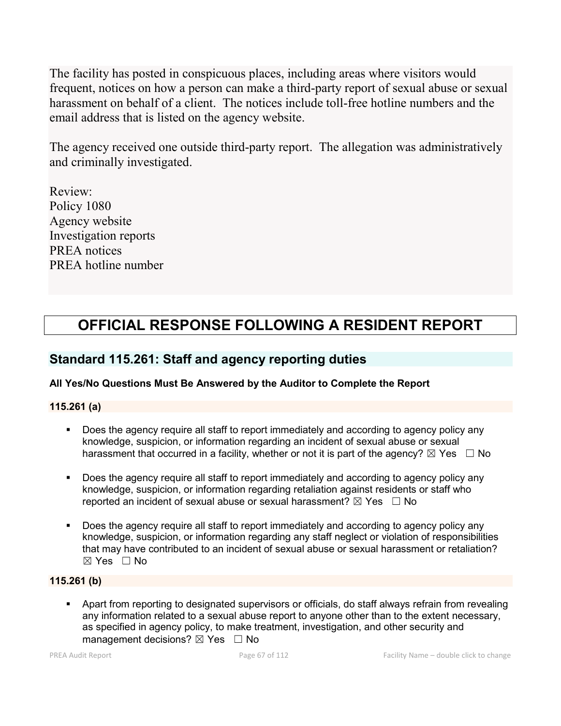The facility has posted in conspicuous places, including areas where visitors would frequent, notices on how a person can make a third-party report of sexual abuse or sexual harassment on behalf of a client. The notices include toll-free hotline numbers and the email address that is listed on the agency website.

The agency received one outside third-party report. The allegation was administratively and criminally investigated.

Review: Policy 1080 Agency website Investigation reports PREA notices PREA hotline number

# **OFFICIAL RESPONSE FOLLOWING A RESIDENT REPORT**

## **Standard 115.261: Staff and agency reporting duties**

### **All Yes/No Questions Must Be Answered by the Auditor to Complete the Report**

**115.261 (a)**

- Does the agency require all staff to report immediately and according to agency policy any knowledge, suspicion, or information regarding an incident of sexual abuse or sexual harassment that occurred in a facility, whether or not it is part of the agency?  $\boxtimes$  Yes  $\Box$  No
- **Does the agency require all staff to report immediately and according to agency policy any** knowledge, suspicion, or information regarding retaliation against residents or staff who reported an incident of sexual abuse or sexual harassment?  $\boxtimes$  Yes  $\Box$  No
- Does the agency require all staff to report immediately and according to agency policy any knowledge, suspicion, or information regarding any staff neglect or violation of responsibilities that may have contributed to an incident of sexual abuse or sexual harassment or retaliation? ☒ Yes ☐ No

### **115.261 (b)**

 Apart from reporting to designated supervisors or officials, do staff always refrain from revealing any information related to a sexual abuse report to anyone other than to the extent necessary, as specified in agency policy, to make treatment, investigation, and other security and management decisions?  $\boxtimes$  Yes  $\Box$  No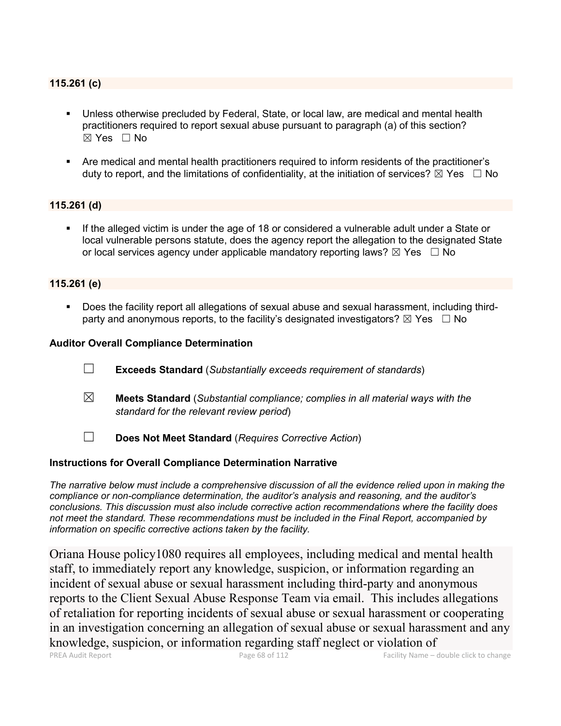### **115.261 (c)**

- Unless otherwise precluded by Federal, State, or local law, are medical and mental health practitioners required to report sexual abuse pursuant to paragraph (a) of this section?  $\boxtimes$  Yes  $\Box$  No
- Are medical and mental health practitioners required to inform residents of the practitioner's duty to report, and the limitations of confidentiality, at the initiation of services?  $\boxtimes$  Yes  $\Box$  No

### **115.261 (d)**

 If the alleged victim is under the age of 18 or considered a vulnerable adult under a State or local vulnerable persons statute, does the agency report the allegation to the designated State or local services agency under applicable mandatory reporting laws?  $\boxtimes$  Yes  $\Box$  No

### **115.261 (e)**

 Does the facility report all allegations of sexual abuse and sexual harassment, including thirdparty and anonymous reports, to the facility's designated investigators?  $\boxtimes$  Yes  $\Box$  No

### **Auditor Overall Compliance Determination**

- ☐ **Exceeds Standard** (*Substantially exceeds requirement of standards*)
- ☒ **Meets Standard** (*Substantial compliance; complies in all material ways with the standard for the relevant review period*)
- ☐ **Does Not Meet Standard** (*Requires Corrective Action*)

### **Instructions for Overall Compliance Determination Narrative**

*The narrative below must include a comprehensive discussion of all the evidence relied upon in making the compliance or non-compliance determination, the auditor's analysis and reasoning, and the auditor's conclusions. This discussion must also include corrective action recommendations where the facility does not meet the standard. These recommendations must be included in the Final Report, accompanied by information on specific corrective actions taken by the facility.*

Oriana House policy1080 requires all employees, including medical and mental health staff, to immediately report any knowledge, suspicion, or information regarding an incident of sexual abuse or sexual harassment including third-party and anonymous reports to the Client Sexual Abuse Response Team via email. This includes allegations of retaliation for reporting incidents of sexual abuse or sexual harassment or cooperating in an investigation concerning an allegation of sexual abuse or sexual harassment and any knowledge, suspicion, or information regarding staff neglect or violation of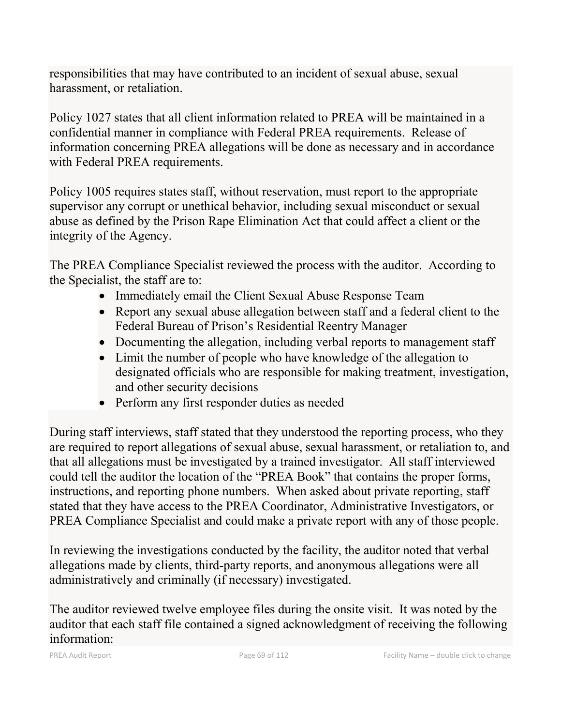responsibilities that may have contributed to an incident of sexual abuse, sexual harassment, or retaliation.

Policy 1027 states that all client information related to PREA will be maintained in a confidential manner in compliance with Federal PREA requirements. Release of information concerning PREA allegations will be done as necessary and in accordance with Federal PREA requirements.

Policy 1005 requires states staff, without reservation, must report to the appropriate supervisor any corrupt or unethical behavior, including sexual misconduct or sexual abuse as defined by the Prison Rape Elimination Act that could affect a client or the integrity of the Agency.

The PREA Compliance Specialist reviewed the process with the auditor. According to the Specialist, the staff are to:

- Immediately email the Client Sexual Abuse Response Team
- Report any sexual abuse allegation between staff and a federal client to the Federal Bureau of Prison's Residential Reentry Manager
- Documenting the allegation, including verbal reports to management staff
- Limit the number of people who have knowledge of the allegation to designated officials who are responsible for making treatment, investigation, and other security decisions
- Perform any first responder duties as needed

During staff interviews, staff stated that they understood the reporting process, who they are required to report allegations of sexual abuse, sexual harassment, or retaliation to, and that all allegations must be investigated by a trained investigator. All staff interviewed could tell the auditor the location of the "PREA Book" that contains the proper forms, instructions, and reporting phone numbers. When asked about private reporting, staff stated that they have access to the PREA Coordinator, Administrative Investigators, or PREA Compliance Specialist and could make a private report with any of those people.

In reviewing the investigations conducted by the facility, the auditor noted that verbal allegations made by clients, third-party reports, and anonymous allegations were all administratively and criminally (if necessary) investigated.

The auditor reviewed twelve employee files during the onsite visit. It was noted by the auditor that each staff file contained a signed acknowledgment of receiving the following information: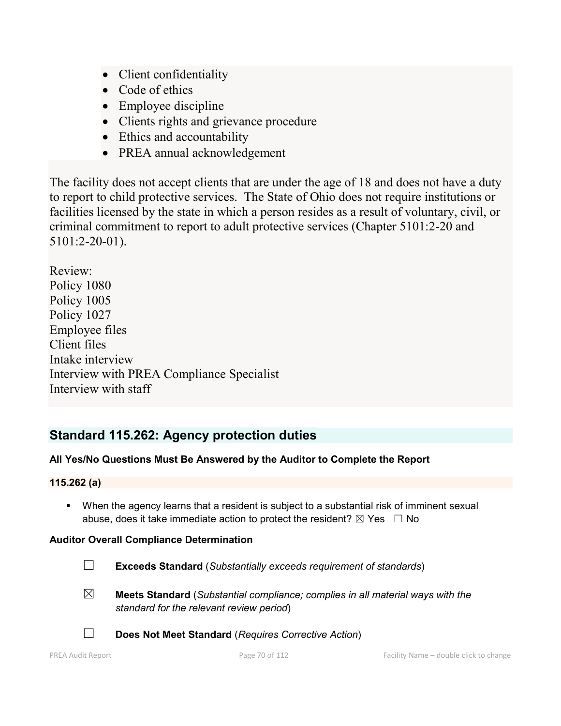- Client confidentiality
- Code of ethics
- Employee discipline
- Clients rights and grievance procedure
- Ethics and accountability
- PREA annual acknowledgement

The facility does not accept clients that are under the age of 18 and does not have a duty to report to child protective services. The State of Ohio does not require institutions or facilities licensed by the state in which a person resides as a result of voluntary, civil, or criminal commitment to report to adult protective services (Chapter 5101:2-20 and 5101:2-20-01).

Review: Policy 1080 Policy 1005 Policy 1027 Employee files Client files Intake interview Interview with PREA Compliance Specialist Interview with staff

# **Standard 115.262: Agency protection duties**

## **All Yes/No Questions Must Be Answered by the Auditor to Complete the Report**

### **115.262 (a)**

 When the agency learns that a resident is subject to a substantial risk of imminent sexual abuse, does it take immediate action to protect the resident?  $\boxtimes$  Yes  $\Box$  No

### **Auditor Overall Compliance Determination**

- ☐ **Exceeds Standard** (*Substantially exceeds requirement of standards*)
- 
- ☒ **Meets Standard** (*Substantial compliance; complies in all material ways with the standard for the relevant review period*)



☐ **Does Not Meet Standard** (*Requires Corrective Action*)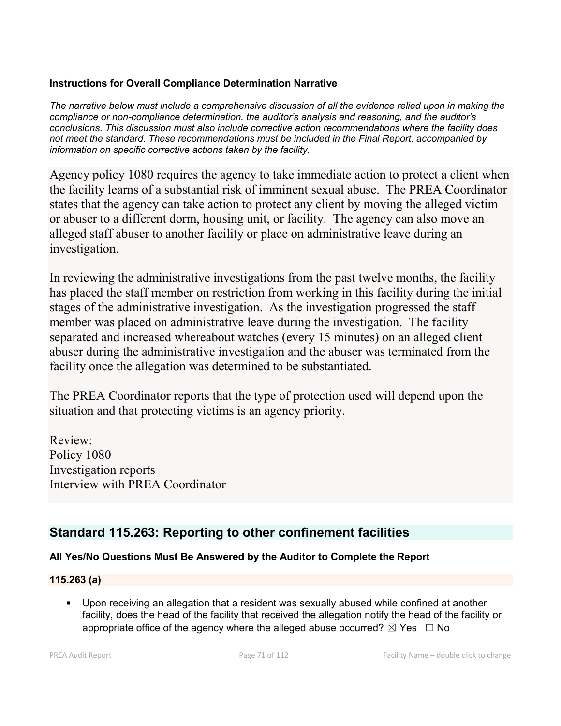### **Instructions for Overall Compliance Determination Narrative**

*The narrative below must include a comprehensive discussion of all the evidence relied upon in making the compliance or non-compliance determination, the auditor's analysis and reasoning, and the auditor's conclusions. This discussion must also include corrective action recommendations where the facility does not meet the standard. These recommendations must be included in the Final Report, accompanied by information on specific corrective actions taken by the facility.*

Agency policy 1080 requires the agency to take immediate action to protect a client when the facility learns of a substantial risk of imminent sexual abuse. The PREA Coordinator states that the agency can take action to protect any client by moving the alleged victim or abuser to a different dorm, housing unit, or facility. The agency can also move an alleged staff abuser to another facility or place on administrative leave during an investigation.

In reviewing the administrative investigations from the past twelve months, the facility has placed the staff member on restriction from working in this facility during the initial stages of the administrative investigation. As the investigation progressed the staff member was placed on administrative leave during the investigation. The facility separated and increased whereabout watches (every 15 minutes) on an alleged client abuser during the administrative investigation and the abuser was terminated from the facility once the allegation was determined to be substantiated.

The PREA Coordinator reports that the type of protection used will depend upon the situation and that protecting victims is an agency priority.

Review: Policy 1080 Investigation reports Interview with PREA Coordinator

# **Standard 115.263: Reporting to other confinement facilities**

## **All Yes/No Questions Must Be Answered by the Auditor to Complete the Report**

### **115.263 (a)**

 Upon receiving an allegation that a resident was sexually abused while confined at another facility, does the head of the facility that received the allegation notify the head of the facility or appropriate office of the agency where the alleged abuse occurred?  $\boxtimes$  Yes  $\Box$  No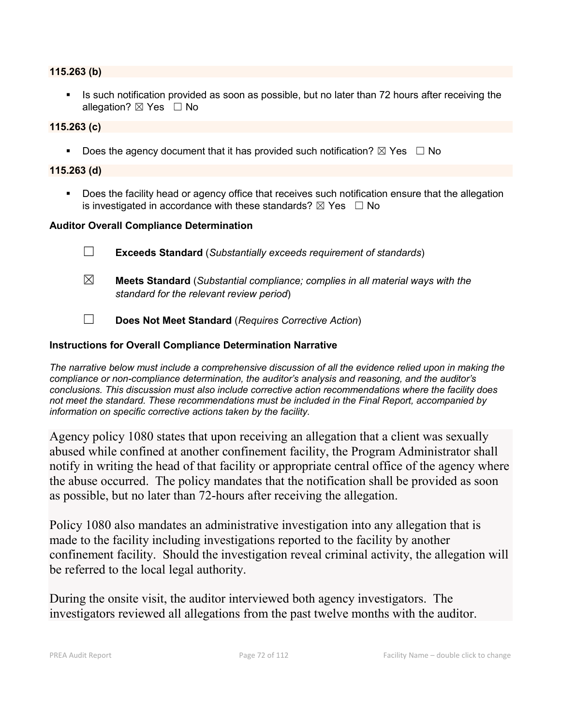### **115.263 (b)**

Is such notification provided as soon as possible, but no later than 72 hours after receiving the allegation?  $\boxtimes$  Yes  $\Box$  No

### **115.263 (c)**

Does the agency document that it has provided such notification?  $\boxtimes$  Yes  $\Box$  No

### **115.263 (d)**

**Does the facility head or agency office that receives such notification ensure that the allegation** is investigated in accordance with these standards?  $\boxtimes$  Yes  $\Box$  No

### **Auditor Overall Compliance Determination**

- ☐ **Exceeds Standard** (*Substantially exceeds requirement of standards*)
- ☒ **Meets Standard** (*Substantial compliance; complies in all material ways with the standard for the relevant review period*)
- ☐ **Does Not Meet Standard** (*Requires Corrective Action*)

### **Instructions for Overall Compliance Determination Narrative**

*The narrative below must include a comprehensive discussion of all the evidence relied upon in making the compliance or non-compliance determination, the auditor's analysis and reasoning, and the auditor's conclusions. This discussion must also include corrective action recommendations where the facility does not meet the standard. These recommendations must be included in the Final Report, accompanied by information on specific corrective actions taken by the facility.*

Agency policy 1080 states that upon receiving an allegation that a client was sexually abused while confined at another confinement facility, the Program Administrator shall notify in writing the head of that facility or appropriate central office of the agency where the abuse occurred. The policy mandates that the notification shall be provided as soon as possible, but no later than 72-hours after receiving the allegation.

Policy 1080 also mandates an administrative investigation into any allegation that is made to the facility including investigations reported to the facility by another confinement facility. Should the investigation reveal criminal activity, the allegation will be referred to the local legal authority.

During the onsite visit, the auditor interviewed both agency investigators. The investigators reviewed all allegations from the past twelve months with the auditor.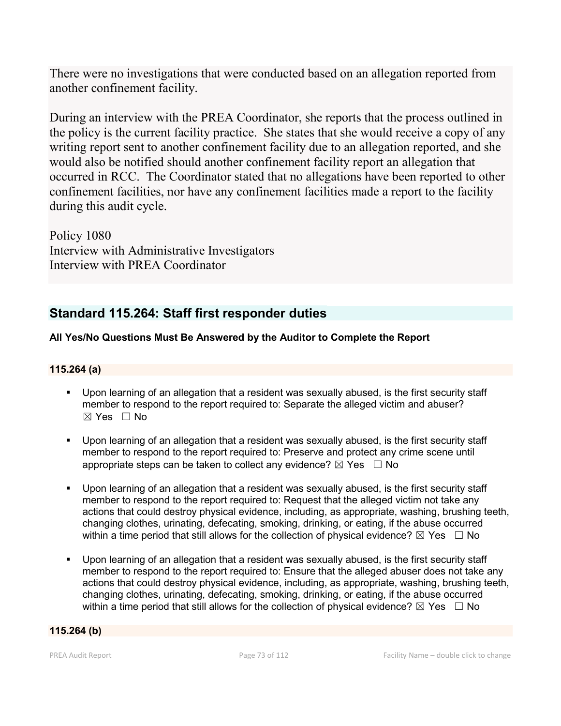There were no investigations that were conducted based on an allegation reported from another confinement facility.

During an interview with the PREA Coordinator, she reports that the process outlined in the policy is the current facility practice. She states that she would receive a copy of any writing report sent to another confinement facility due to an allegation reported, and she would also be notified should another confinement facility report an allegation that occurred in RCC. The Coordinator stated that no allegations have been reported to other confinement facilities, nor have any confinement facilities made a report to the facility during this audit cycle.

Policy 1080 Interview with Administrative Investigators Interview with PREA Coordinator

# **Standard 115.264: Staff first responder duties**

# **All Yes/No Questions Must Be Answered by the Auditor to Complete the Report**

## **115.264 (a)**

- Upon learning of an allegation that a resident was sexually abused, is the first security staff member to respond to the report required to: Separate the alleged victim and abuser?  $\boxtimes$  Yes  $\Box$  No
- Upon learning of an allegation that a resident was sexually abused, is the first security staff member to respond to the report required to: Preserve and protect any crime scene until appropriate steps can be taken to collect any evidence?  $\boxtimes$  Yes  $\Box$  No
- Upon learning of an allegation that a resident was sexually abused, is the first security staff member to respond to the report required to: Request that the alleged victim not take any actions that could destroy physical evidence, including, as appropriate, washing, brushing teeth, changing clothes, urinating, defecating, smoking, drinking, or eating, if the abuse occurred within a time period that still allows for the collection of physical evidence?  $\boxtimes$  Yes  $\Box$  No
- Upon learning of an allegation that a resident was sexually abused, is the first security staff member to respond to the report required to: Ensure that the alleged abuser does not take any actions that could destroy physical evidence, including, as appropriate, washing, brushing teeth, changing clothes, urinating, defecating, smoking, drinking, or eating, if the abuse occurred within a time period that still allows for the collection of physical evidence?  $\boxtimes$  Yes  $\Box$  No

#### **115.264 (b)**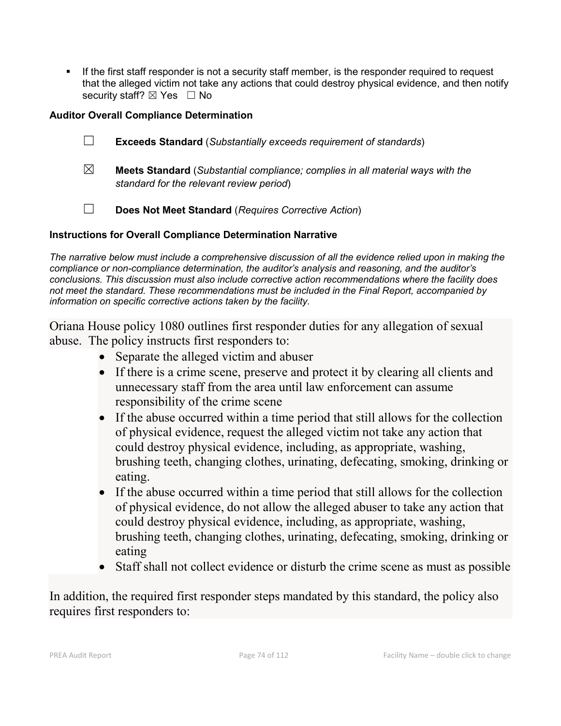If the first staff responder is not a security staff member, is the responder required to request that the alleged victim not take any actions that could destroy physical evidence, and then notify security staff? ⊠ Yes □ No

## **Auditor Overall Compliance Determination**

- ☐ **Exceeds Standard** (*Substantially exceeds requirement of standards*)
- ☒ **Meets Standard** (*Substantial compliance; complies in all material ways with the standard for the relevant review period*)
- ☐ **Does Not Meet Standard** (*Requires Corrective Action*)

# **Instructions for Overall Compliance Determination Narrative**

*The narrative below must include a comprehensive discussion of all the evidence relied upon in making the compliance or non-compliance determination, the auditor's analysis and reasoning, and the auditor's conclusions. This discussion must also include corrective action recommendations where the facility does not meet the standard. These recommendations must be included in the Final Report, accompanied by information on specific corrective actions taken by the facility.*

Oriana House policy 1080 outlines first responder duties for any allegation of sexual abuse. The policy instructs first responders to:

- Separate the alleged victim and abuser
- If there is a crime scene, preserve and protect it by clearing all clients and unnecessary staff from the area until law enforcement can assume responsibility of the crime scene
- If the abuse occurred within a time period that still allows for the collection of physical evidence, request the alleged victim not take any action that could destroy physical evidence, including, as appropriate, washing, brushing teeth, changing clothes, urinating, defecating, smoking, drinking or eating.
- If the abuse occurred within a time period that still allows for the collection of physical evidence, do not allow the alleged abuser to take any action that could destroy physical evidence, including, as appropriate, washing, brushing teeth, changing clothes, urinating, defecating, smoking, drinking or eating
- Staff shall not collect evidence or disturb the crime scene as must as possible

In addition, the required first responder steps mandated by this standard, the policy also requires first responders to: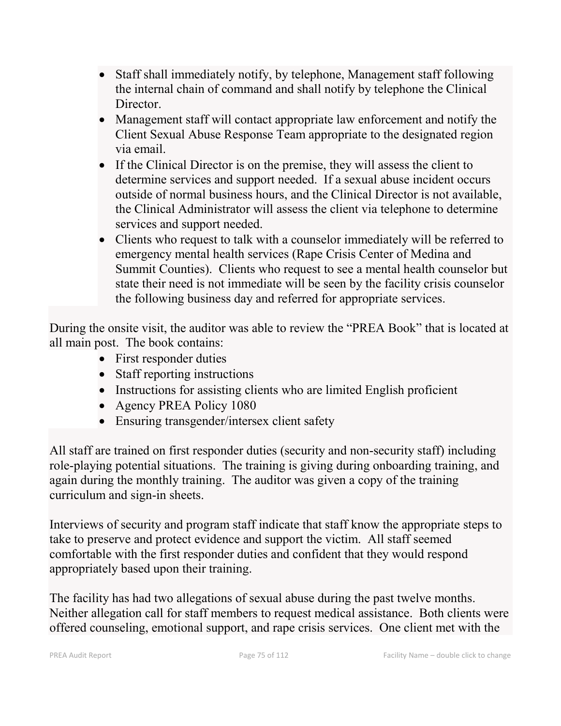- Staff shall immediately notify, by telephone, Management staff following the internal chain of command and shall notify by telephone the Clinical Director.
- Management staff will contact appropriate law enforcement and notify the Client Sexual Abuse Response Team appropriate to the designated region via email.
- If the Clinical Director is on the premise, they will assess the client to determine services and support needed. If a sexual abuse incident occurs outside of normal business hours, and the Clinical Director is not available, the Clinical Administrator will assess the client via telephone to determine services and support needed.
- Clients who request to talk with a counselor immediately will be referred to emergency mental health services (Rape Crisis Center of Medina and Summit Counties). Clients who request to see a mental health counselor but state their need is not immediate will be seen by the facility crisis counselor the following business day and referred for appropriate services.

During the onsite visit, the auditor was able to review the "PREA Book" that is located at all main post. The book contains:

- First responder duties
- Staff reporting instructions
- Instructions for assisting clients who are limited English proficient
- Agency PREA Policy 1080
- Ensuring transgender/intersex client safety

All staff are trained on first responder duties (security and non-security staff) including role-playing potential situations. The training is giving during onboarding training, and again during the monthly training. The auditor was given a copy of the training curriculum and sign-in sheets.

Interviews of security and program staff indicate that staff know the appropriate steps to take to preserve and protect evidence and support the victim. All staff seemed comfortable with the first responder duties and confident that they would respond appropriately based upon their training.

The facility has had two allegations of sexual abuse during the past twelve months. Neither allegation call for staff members to request medical assistance. Both clients were offered counseling, emotional support, and rape crisis services. One client met with the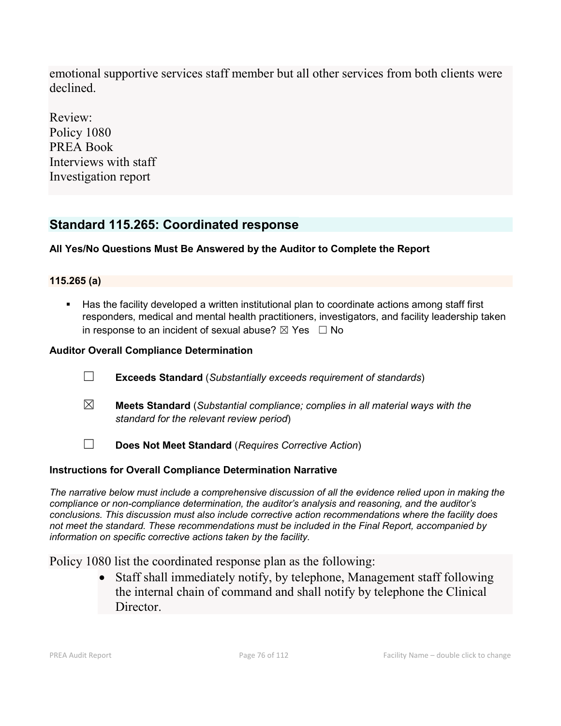emotional supportive services staff member but all other services from both clients were declined.

Review: Policy 1080 PREA Book Interviews with staff Investigation report

# **Standard 115.265: Coordinated response**

# **All Yes/No Questions Must Be Answered by the Auditor to Complete the Report**

## **115.265 (a)**

 Has the facility developed a written institutional plan to coordinate actions among staff first responders, medical and mental health practitioners, investigators, and facility leadership taken in response to an incident of sexual abuse?  $\boxtimes$  Yes  $\Box$  No

# **Auditor Overall Compliance Determination**

- ☐ **Exceeds Standard** (*Substantially exceeds requirement of standards*)
- ☒ **Meets Standard** (*Substantial compliance; complies in all material ways with the standard for the relevant review period*)
- ☐ **Does Not Meet Standard** (*Requires Corrective Action*)

## **Instructions for Overall Compliance Determination Narrative**

*The narrative below must include a comprehensive discussion of all the evidence relied upon in making the compliance or non-compliance determination, the auditor's analysis and reasoning, and the auditor's conclusions. This discussion must also include corrective action recommendations where the facility does not meet the standard. These recommendations must be included in the Final Report, accompanied by information on specific corrective actions taken by the facility.*

Policy 1080 list the coordinated response plan as the following:

• Staff shall immediately notify, by telephone, Management staff following the internal chain of command and shall notify by telephone the Clinical Director.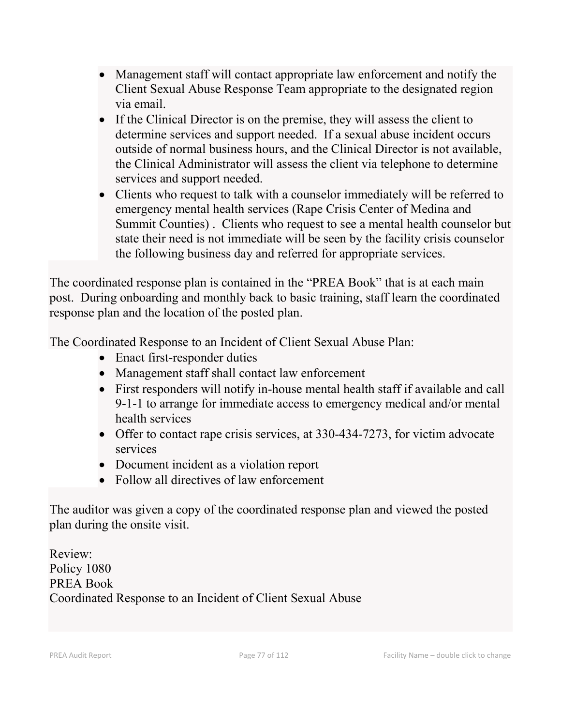- Management staff will contact appropriate law enforcement and notify the Client Sexual Abuse Response Team appropriate to the designated region via email.
- If the Clinical Director is on the premise, they will assess the client to determine services and support needed. If a sexual abuse incident occurs outside of normal business hours, and the Clinical Director is not available, the Clinical Administrator will assess the client via telephone to determine services and support needed.
- Clients who request to talk with a counselor immediately will be referred to emergency mental health services (Rape Crisis Center of Medina and Summit Counties) . Clients who request to see a mental health counselor but state their need is not immediate will be seen by the facility crisis counselor the following business day and referred for appropriate services.

The coordinated response plan is contained in the "PREA Book" that is at each main post. During onboarding and monthly back to basic training, staff learn the coordinated response plan and the location of the posted plan.

The Coordinated Response to an Incident of Client Sexual Abuse Plan:

- Enact first-responder duties
- Management staff shall contact law enforcement
- First responders will notify in-house mental health staff if available and call 9-1-1 to arrange for immediate access to emergency medical and/or mental health services
- Offer to contact rape crisis services, at 330-434-7273, for victim advocate services
- Document incident as a violation report
- Follow all directives of law enforcement

The auditor was given a copy of the coordinated response plan and viewed the posted plan during the onsite visit.

Review: Policy 1080 PREA Book Coordinated Response to an Incident of Client Sexual Abuse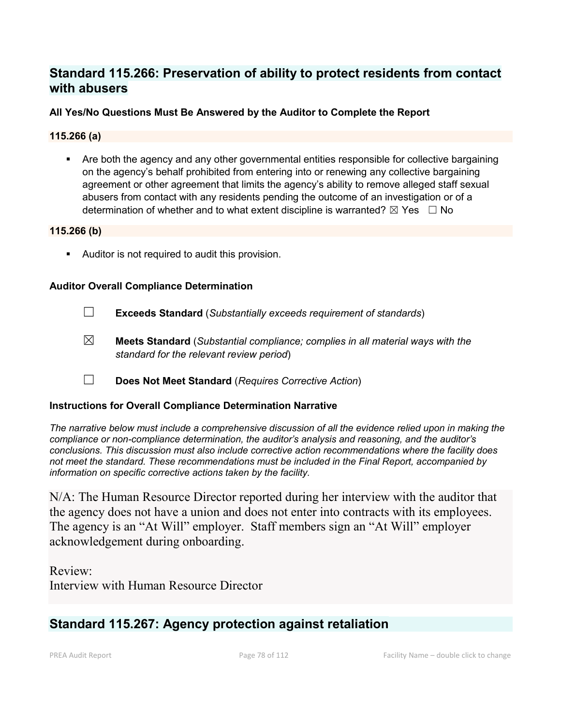# **Standard 115.266: Preservation of ability to protect residents from contact with abusers**

### **All Yes/No Questions Must Be Answered by the Auditor to Complete the Report**

#### **115.266 (a)**

 Are both the agency and any other governmental entities responsible for collective bargaining on the agency's behalf prohibited from entering into or renewing any collective bargaining agreement or other agreement that limits the agency's ability to remove alleged staff sexual abusers from contact with any residents pending the outcome of an investigation or of a determination of whether and to what extent discipline is warranted?  $\boxtimes$  Yes  $\Box$  No

#### **115.266 (b)**

**Auditor is not required to audit this provision.** 

#### **Auditor Overall Compliance Determination**

- ☐ **Exceeds Standard** (*Substantially exceeds requirement of standards*)
- ☒ **Meets Standard** (*Substantial compliance; complies in all material ways with the standard for the relevant review period*)
- ☐ **Does Not Meet Standard** (*Requires Corrective Action*)

#### **Instructions for Overall Compliance Determination Narrative**

*The narrative below must include a comprehensive discussion of all the evidence relied upon in making the compliance or non-compliance determination, the auditor's analysis and reasoning, and the auditor's conclusions. This discussion must also include corrective action recommendations where the facility does not meet the standard. These recommendations must be included in the Final Report, accompanied by information on specific corrective actions taken by the facility.*

N/A: The Human Resource Director reported during her interview with the auditor that the agency does not have a union and does not enter into contracts with its employees. The agency is an "At Will" employer. Staff members sign an "At Will" employer acknowledgement during onboarding.

Review: Interview with Human Resource Director

# **Standard 115.267: Agency protection against retaliation**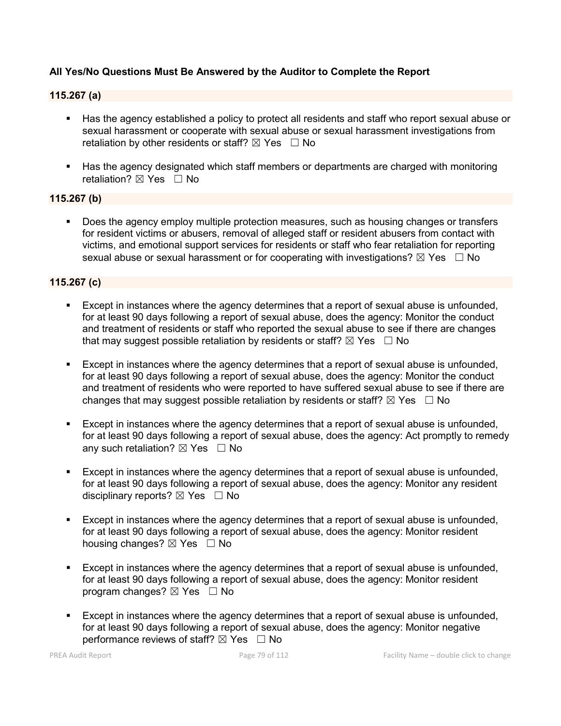### **All Yes/No Questions Must Be Answered by the Auditor to Complete the Report**

#### **115.267 (a)**

- Has the agency established a policy to protect all residents and staff who report sexual abuse or sexual harassment or cooperate with sexual abuse or sexual harassment investigations from retaliation by other residents or staff?  $\boxtimes$  Yes  $\Box$  No
- Has the agency designated which staff members or departments are charged with monitoring retaliation?  $\boxtimes$  Yes  $\Box$  No

### **115.267 (b)**

Does the agency employ multiple protection measures, such as housing changes or transfers for resident victims or abusers, removal of alleged staff or resident abusers from contact with victims, and emotional support services for residents or staff who fear retaliation for reporting sexual abuse or sexual harassment or for cooperating with investigations?  $\boxtimes$  Yes  $\Box$  No

#### **115.267 (c)**

- Except in instances where the agency determines that a report of sexual abuse is unfounded, for at least 90 days following a report of sexual abuse, does the agency: Monitor the conduct and treatment of residents or staff who reported the sexual abuse to see if there are changes that may suggest possible retaliation by residents or staff?  $\boxtimes$  Yes  $\Box$  No
- Except in instances where the agency determines that a report of sexual abuse is unfounded, for at least 90 days following a report of sexual abuse, does the agency: Monitor the conduct and treatment of residents who were reported to have suffered sexual abuse to see if there are changes that may suggest possible retaliation by residents or staff?  $\boxtimes$  Yes  $\Box$  No
- Except in instances where the agency determines that a report of sexual abuse is unfounded, for at least 90 days following a report of sexual abuse, does the agency: Act promptly to remedy any such retaliation?  $\boxtimes$  Yes  $\Box$  No
- **Except in instances where the agency determines that a report of sexual abuse is unfounded,** for at least 90 days following a report of sexual abuse, does the agency: Monitor any resident disciplinary reports?  $\boxtimes$  Yes  $\Box$  No
- Except in instances where the agency determines that a report of sexual abuse is unfounded, for at least 90 days following a report of sexual abuse, does the agency: Monitor resident housing changes?  $\boxtimes$  Yes  $\Box$  No
- Except in instances where the agency determines that a report of sexual abuse is unfounded, for at least 90 days following a report of sexual abuse, does the agency: Monitor resident program changes?  $\boxtimes$  Yes  $\Box$  No
- Except in instances where the agency determines that a report of sexual abuse is unfounded, for at least 90 days following a report of sexual abuse, does the agency: Monitor negative performance reviews of staff?  $\boxtimes$  Yes  $\Box$  No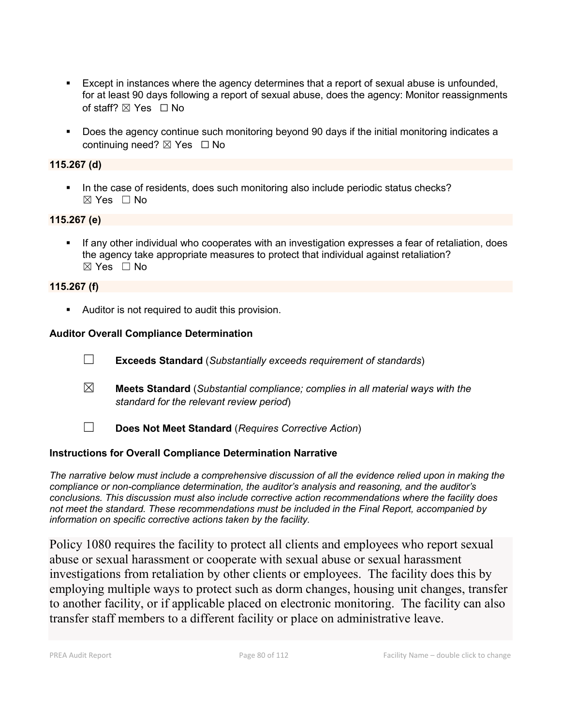- Except in instances where the agency determines that a report of sexual abuse is unfounded, for at least 90 days following a report of sexual abuse, does the agency: Monitor reassignments of staff?  $\boxtimes$  Yes  $\Box$  No
- Does the agency continue such monitoring beyond 90 days if the initial monitoring indicates a continuing need? ⊠ Yes □ No

## **115.267 (d)**

In the case of residents, does such monitoring also include periodic status checks?  $\boxtimes$  Yes  $\Box$  No

### **115.267 (e)**

 If any other individual who cooperates with an investigation expresses a fear of retaliation, does the agency take appropriate measures to protect that individual against retaliation?  $\boxtimes$  Yes  $\Box$  No

### **115.267 (f)**

Auditor is not required to audit this provision.

### **Auditor Overall Compliance Determination**

- ☐ **Exceeds Standard** (*Substantially exceeds requirement of standards*)
- ☒ **Meets Standard** (*Substantial compliance; complies in all material ways with the standard for the relevant review period*)
- ☐ **Does Not Meet Standard** (*Requires Corrective Action*)

# **Instructions for Overall Compliance Determination Narrative**

*The narrative below must include a comprehensive discussion of all the evidence relied upon in making the compliance or non-compliance determination, the auditor's analysis and reasoning, and the auditor's conclusions. This discussion must also include corrective action recommendations where the facility does not meet the standard. These recommendations must be included in the Final Report, accompanied by information on specific corrective actions taken by the facility.*

Policy 1080 requires the facility to protect all clients and employees who report sexual abuse or sexual harassment or cooperate with sexual abuse or sexual harassment investigations from retaliation by other clients or employees. The facility does this by employing multiple ways to protect such as dorm changes, housing unit changes, transfer to another facility, or if applicable placed on electronic monitoring. The facility can also transfer staff members to a different facility or place on administrative leave.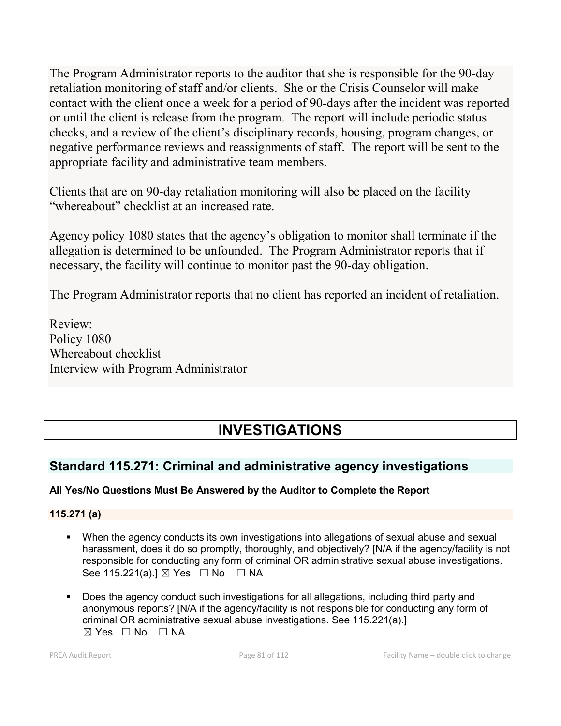The Program Administrator reports to the auditor that she is responsible for the 90-day retaliation monitoring of staff and/or clients. She or the Crisis Counselor will make contact with the client once a week for a period of 90-days after the incident was reported or until the client is release from the program. The report will include periodic status checks, and a review of the client's disciplinary records, housing, program changes, or negative performance reviews and reassignments of staff. The report will be sent to the appropriate facility and administrative team members.

Clients that are on 90-day retaliation monitoring will also be placed on the facility "whereabout" checklist at an increased rate.

Agency policy 1080 states that the agency's obligation to monitor shall terminate if the allegation is determined to be unfounded. The Program Administrator reports that if necessary, the facility will continue to monitor past the 90-day obligation.

The Program Administrator reports that no client has reported an incident of retaliation.

Review: Policy 1080 Whereabout checklist Interview with Program Administrator

# **INVESTIGATIONS**

# **Standard 115.271: Criminal and administrative agency investigations**

# **All Yes/No Questions Must Be Answered by the Auditor to Complete the Report**

# **115.271 (a)**

- When the agency conducts its own investigations into allegations of sexual abuse and sexual harassment, does it do so promptly, thoroughly, and objectively? [N/A if the agency/facility is not responsible for conducting any form of criminal OR administrative sexual abuse investigations. See 115.221(a).]  $\boxtimes$  Yes  $\Box$  No  $\Box$  NA
- Does the agency conduct such investigations for all allegations, including third party and anonymous reports? [N/A if the agency/facility is not responsible for conducting any form of criminal OR administrative sexual abuse investigations. See 115.221(a).]  $\boxtimes$  Yes  $\Box$  No  $\Box$  NA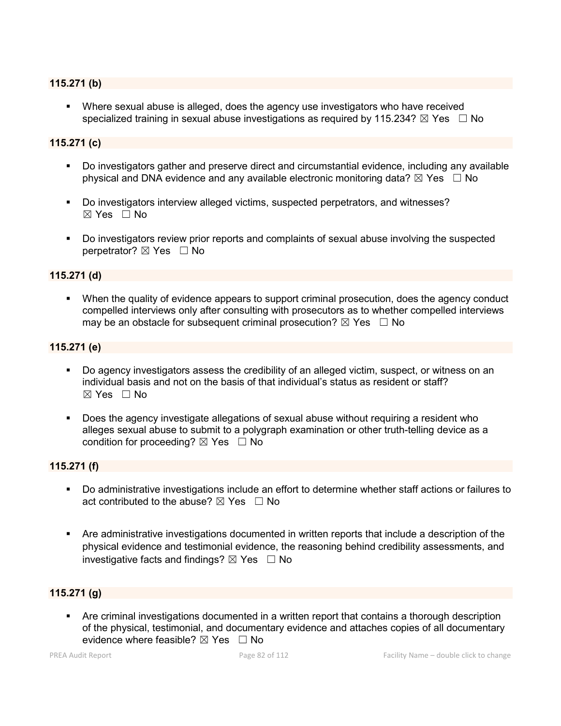#### **115.271 (b)**

 Where sexual abuse is alleged, does the agency use investigators who have received specialized training in sexual abuse investigations as required by 115.234?  $\boxtimes$  Yes  $\Box$  No

#### **115.271 (c)**

- Do investigators gather and preserve direct and circumstantial evidence, including any available physical and DNA evidence and any available electronic monitoring data?  $\boxtimes$  Yes  $\Box$  No
- Do investigators interview alleged victims, suspected perpetrators, and witnesses?  $\boxtimes$  Yes  $\Box$  No
- Do investigators review prior reports and complaints of sexual abuse involving the suspected perpetrator? ⊠ Yes □ No

#### **115.271 (d)**

 When the quality of evidence appears to support criminal prosecution, does the agency conduct compelled interviews only after consulting with prosecutors as to whether compelled interviews may be an obstacle for subsequent criminal prosecution?  $\boxtimes$  Yes  $\Box$  No

#### **115.271 (e)**

- Do agency investigators assess the credibility of an alleged victim, suspect, or witness on an individual basis and not on the basis of that individual's status as resident or staff?  $\boxtimes$  Yes  $\Box$  No
- **Does the agency investigate allegations of sexual abuse without requiring a resident who** alleges sexual abuse to submit to a polygraph examination or other truth-telling device as a condition for proceeding?  $\boxtimes$  Yes  $\Box$  No

#### **115.271 (f)**

- Do administrative investigations include an effort to determine whether staff actions or failures to act contributed to the abuse?  $\nabla$  Yes  $\Box$  No
- Are administrative investigations documented in written reports that include a description of the physical evidence and testimonial evidence, the reasoning behind credibility assessments, and investigative facts and findings?  $\boxtimes$  Yes  $\Box$  No

#### **115.271 (g)**

 Are criminal investigations documented in a written report that contains a thorough description of the physical, testimonial, and documentary evidence and attaches copies of all documentary evidence where feasible?  $\boxtimes$  Yes  $\Box$  No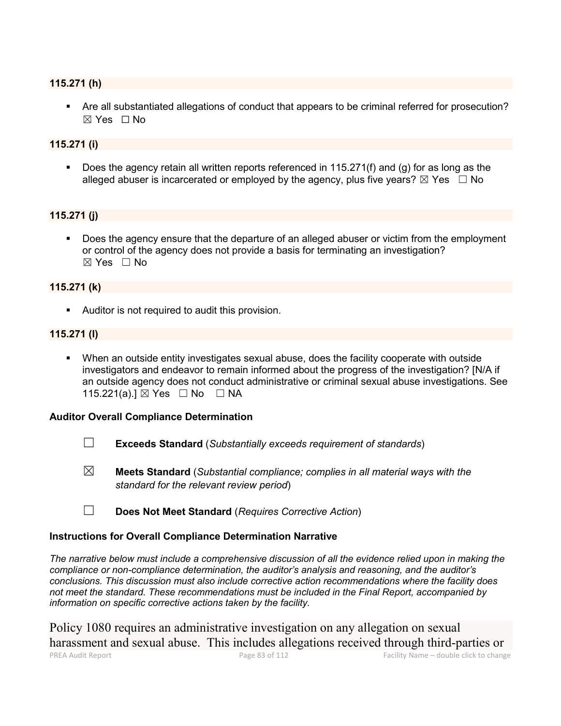#### **115.271 (h)**

 Are all substantiated allegations of conduct that appears to be criminal referred for prosecution?  $\boxtimes$  Yes  $\Box$  No

#### **115.271 (i)**

Does the agency retain all written reports referenced in 115.271(f) and (g) for as long as the alleged abuser is incarcerated or employed by the agency, plus five years?  $\boxtimes$  Yes  $\Box$  No

#### **115.271 (j)**

 Does the agency ensure that the departure of an alleged abuser or victim from the employment or control of the agency does not provide a basis for terminating an investigation? ☒ Yes ☐ No

#### **115.271 (k)**

**Auditor is not required to audit this provision.** 

## **115.271 (l)**

 When an outside entity investigates sexual abuse, does the facility cooperate with outside investigators and endeavor to remain informed about the progress of the investigation? [N/A if an outside agency does not conduct administrative or criminal sexual abuse investigations. See 115.221(a).] ⊠ Yes □ No □ NA

#### **Auditor Overall Compliance Determination**

- ☐ **Exceeds Standard** (*Substantially exceeds requirement of standards*)
- ☒ **Meets Standard** (*Substantial compliance; complies in all material ways with the standard for the relevant review period*)
- ☐ **Does Not Meet Standard** (*Requires Corrective Action*)

#### **Instructions for Overall Compliance Determination Narrative**

*The narrative below must include a comprehensive discussion of all the evidence relied upon in making the compliance or non-compliance determination, the auditor's analysis and reasoning, and the auditor's conclusions. This discussion must also include corrective action recommendations where the facility does not meet the standard. These recommendations must be included in the Final Report, accompanied by information on specific corrective actions taken by the facility.*

PREA Audit Report Page 83 of 112 Facility Name – double click to change Policy 1080 requires an administrative investigation on any allegation on sexual harassment and sexual abuse. This includes allegations received through third-parties or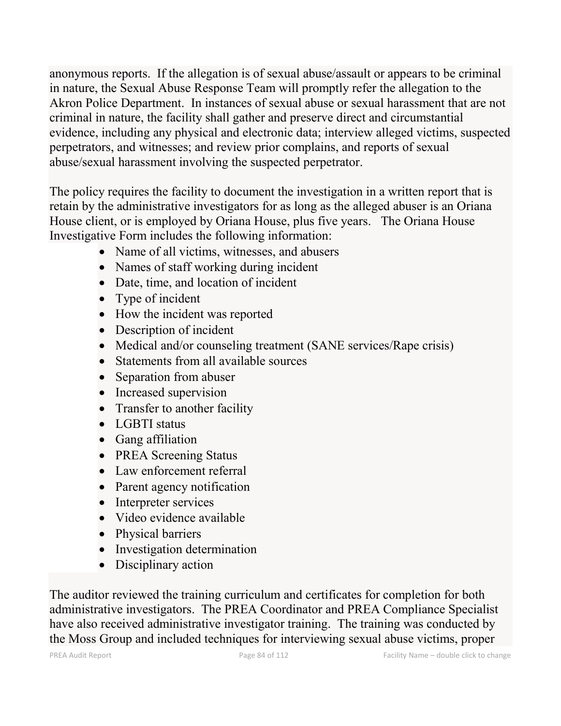anonymous reports. If the allegation is of sexual abuse/assault or appears to be criminal in nature, the Sexual Abuse Response Team will promptly refer the allegation to the Akron Police Department. In instances of sexual abuse or sexual harassment that are not criminal in nature, the facility shall gather and preserve direct and circumstantial evidence, including any physical and electronic data; interview alleged victims, suspected perpetrators, and witnesses; and review prior complains, and reports of sexual abuse/sexual harassment involving the suspected perpetrator.

The policy requires the facility to document the investigation in a written report that is retain by the administrative investigators for as long as the alleged abuser is an Oriana House client, or is employed by Oriana House, plus five years. The Oriana House Investigative Form includes the following information:

- Name of all victims, witnesses, and abusers
- Names of staff working during incident
- Date, time, and location of incident
- Type of incident
- How the incident was reported
- Description of incident
- Medical and/or counseling treatment (SANE services/Rape crisis)
- Statements from all available sources
- Separation from abuser
- Increased supervision
- Transfer to another facility
- LGBTI status
- Gang affiliation
- PREA Screening Status
- Law enforcement referral
- Parent agency notification
- Interpreter services
- Video evidence available
- Physical barriers
- Investigation determination
- Disciplinary action

The auditor reviewed the training curriculum and certificates for completion for both administrative investigators. The PREA Coordinator and PREA Compliance Specialist have also received administrative investigator training. The training was conducted by the Moss Group and included techniques for interviewing sexual abuse victims, proper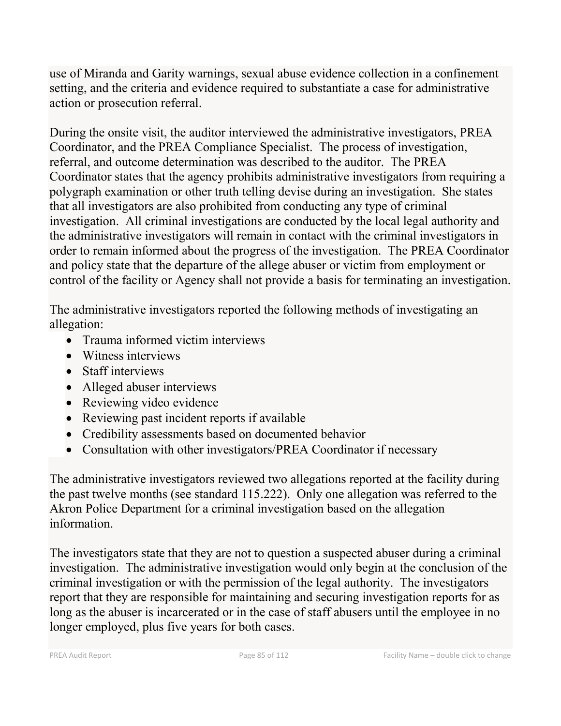use of Miranda and Garity warnings, sexual abuse evidence collection in a confinement setting, and the criteria and evidence required to substantiate a case for administrative action or prosecution referral.

During the onsite visit, the auditor interviewed the administrative investigators, PREA Coordinator, and the PREA Compliance Specialist. The process of investigation, referral, and outcome determination was described to the auditor. The PREA Coordinator states that the agency prohibits administrative investigators from requiring a polygraph examination or other truth telling devise during an investigation. She states that all investigators are also prohibited from conducting any type of criminal investigation. All criminal investigations are conducted by the local legal authority and the administrative investigators will remain in contact with the criminal investigators in order to remain informed about the progress of the investigation. The PREA Coordinator and policy state that the departure of the allege abuser or victim from employment or control of the facility or Agency shall not provide a basis for terminating an investigation.

The administrative investigators reported the following methods of investigating an allegation:

- Trauma informed victim interviews
- Witness interviews
- Staff interviews
- Alleged abuser interviews
- Reviewing video evidence
- Reviewing past incident reports if available
- Credibility assessments based on documented behavior
- Consultation with other investigators/PREA Coordinator if necessary

The administrative investigators reviewed two allegations reported at the facility during the past twelve months (see standard 115.222). Only one allegation was referred to the Akron Police Department for a criminal investigation based on the allegation information.

The investigators state that they are not to question a suspected abuser during a criminal investigation. The administrative investigation would only begin at the conclusion of the criminal investigation or with the permission of the legal authority. The investigators report that they are responsible for maintaining and securing investigation reports for as long as the abuser is incarcerated or in the case of staff abusers until the employee in no longer employed, plus five years for both cases.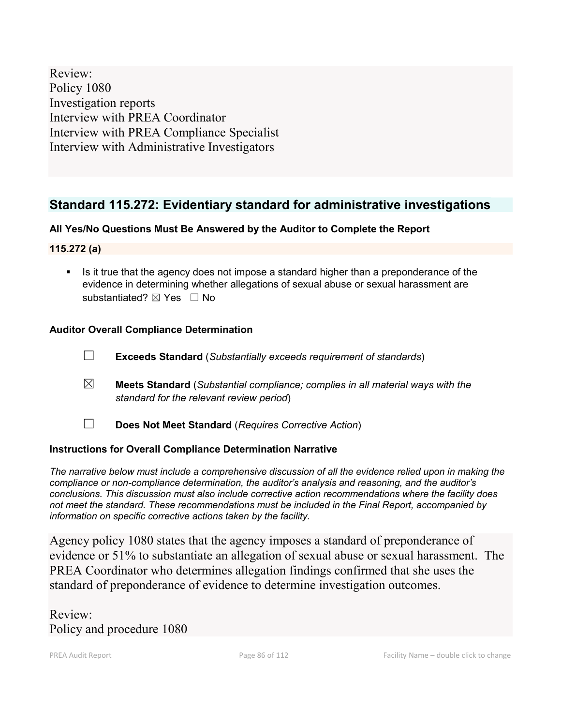Review: Policy 1080 Investigation reports Interview with PREA Coordinator Interview with PREA Compliance Specialist Interview with Administrative Investigators

# **Standard 115.272: Evidentiary standard for administrative investigations**

## **All Yes/No Questions Must Be Answered by the Auditor to Complete the Report**

**115.272 (a)**

Is it true that the agency does not impose a standard higher than a preponderance of the evidence in determining whether allegations of sexual abuse or sexual harassment are substantiated? ⊠ Yes □ No

## **Auditor Overall Compliance Determination**

- ☐ **Exceeds Standard** (*Substantially exceeds requirement of standards*)
- ☒ **Meets Standard** (*Substantial compliance; complies in all material ways with the standard for the relevant review period*)
- ☐ **Does Not Meet Standard** (*Requires Corrective Action*)

## **Instructions for Overall Compliance Determination Narrative**

*The narrative below must include a comprehensive discussion of all the evidence relied upon in making the compliance or non-compliance determination, the auditor's analysis and reasoning, and the auditor's conclusions. This discussion must also include corrective action recommendations where the facility does not meet the standard. These recommendations must be included in the Final Report, accompanied by information on specific corrective actions taken by the facility.*

Agency policy 1080 states that the agency imposes a standard of preponderance of evidence or 51% to substantiate an allegation of sexual abuse or sexual harassment. The PREA Coordinator who determines allegation findings confirmed that she uses the standard of preponderance of evidence to determine investigation outcomes.

Review: Policy and procedure 1080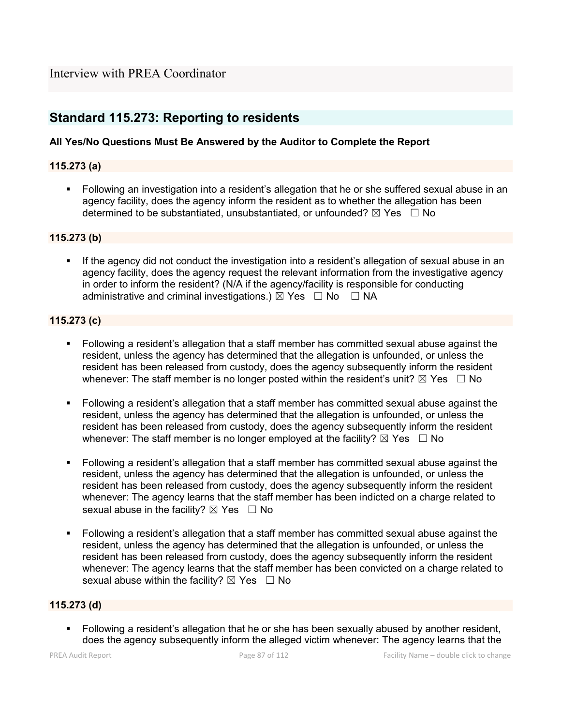# **Standard 115.273: Reporting to residents**

### **All Yes/No Questions Must Be Answered by the Auditor to Complete the Report**

### **115.273 (a)**

 Following an investigation into a resident's allegation that he or she suffered sexual abuse in an agency facility, does the agency inform the resident as to whether the allegation has been determined to be substantiated, unsubstantiated, or unfounded?  $\boxtimes$  Yes  $\Box$  No

#### **115.273 (b)**

 If the agency did not conduct the investigation into a resident's allegation of sexual abuse in an agency facility, does the agency request the relevant information from the investigative agency in order to inform the resident? (N/A if the agency/facility is responsible for conducting administrative and criminal investigations.)  $\boxtimes$  Yes  $\Box$  No  $\Box$  NA

### **115.273 (c)**

- Following a resident's allegation that a staff member has committed sexual abuse against the resident, unless the agency has determined that the allegation is unfounded, or unless the resident has been released from custody, does the agency subsequently inform the resident whenever: The staff member is no longer posted within the resident's unit?  $\boxtimes$  Yes  $\Box$  No
- Following a resident's allegation that a staff member has committed sexual abuse against the resident, unless the agency has determined that the allegation is unfounded, or unless the resident has been released from custody, does the agency subsequently inform the resident whenever: The staff member is no longer employed at the facility?  $\boxtimes$  Yes  $\Box$  No
- Following a resident's allegation that a staff member has committed sexual abuse against the resident, unless the agency has determined that the allegation is unfounded, or unless the resident has been released from custody, does the agency subsequently inform the resident whenever: The agency learns that the staff member has been indicted on a charge related to sexual abuse in the facility?  $\boxtimes$  Yes  $\Box$  No
- Following a resident's allegation that a staff member has committed sexual abuse against the resident, unless the agency has determined that the allegation is unfounded, or unless the resident has been released from custody, does the agency subsequently inform the resident whenever: The agency learns that the staff member has been convicted on a charge related to sexual abuse within the facility?  $\boxtimes$  Yes  $\Box$  No

#### **115.273 (d)**

 Following a resident's allegation that he or she has been sexually abused by another resident, does the agency subsequently inform the alleged victim whenever: The agency learns that the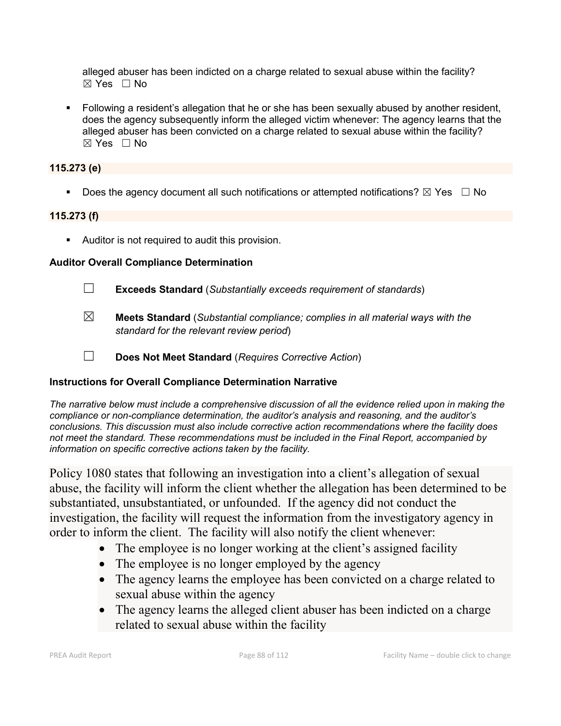alleged abuser has been indicted on a charge related to sexual abuse within the facility? ☒ Yes ☐ No

 Following a resident's allegation that he or she has been sexually abused by another resident, does the agency subsequently inform the alleged victim whenever: The agency learns that the alleged abuser has been convicted on a charge related to sexual abuse within the facility?  $\boxtimes$  Yes  $\Box$  No

### **115.273 (e)**

Does the agency document all such notifications or attempted notifications?  $\boxtimes$  Yes  $\Box$  No

#### **115.273 (f)**

Auditor is not required to audit this provision.

#### **Auditor Overall Compliance Determination**

- ☐ **Exceeds Standard** (*Substantially exceeds requirement of standards*)
- ☒ **Meets Standard** (*Substantial compliance; complies in all material ways with the standard for the relevant review period*)
- ☐ **Does Not Meet Standard** (*Requires Corrective Action*)

#### **Instructions for Overall Compliance Determination Narrative**

*The narrative below must include a comprehensive discussion of all the evidence relied upon in making the compliance or non-compliance determination, the auditor's analysis and reasoning, and the auditor's conclusions. This discussion must also include corrective action recommendations where the facility does not meet the standard. These recommendations must be included in the Final Report, accompanied by information on specific corrective actions taken by the facility.*

Policy 1080 states that following an investigation into a client's allegation of sexual abuse, the facility will inform the client whether the allegation has been determined to be substantiated, unsubstantiated, or unfounded. If the agency did not conduct the investigation, the facility will request the information from the investigatory agency in order to inform the client. The facility will also notify the client whenever:

- The employee is no longer working at the client's assigned facility
- The employee is no longer employed by the agency
- The agency learns the employee has been convicted on a charge related to sexual abuse within the agency
- The agency learns the alleged client abuser has been indicted on a charge related to sexual abuse within the facility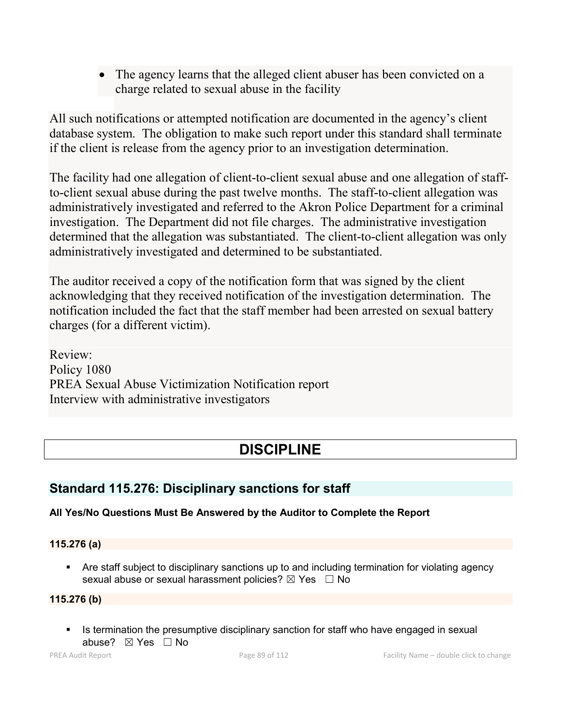• The agency learns that the alleged client abuser has been convicted on a charge related to sexual abuse in the facility

All such notifications or attempted notification are documented in the agency's client database system. The obligation to make such report under this standard shall terminate if the client is release from the agency prior to an investigation determination.

The facility had one allegation of client-to-client sexual abuse and one allegation of staffto-client sexual abuse during the past twelve months. The staff-to-client allegation was administratively investigated and referred to the Akron Police Department for a criminal investigation. The Department did not file charges. The administrative investigation determined that the allegation was substantiated. The client-to-client allegation was only administratively investigated and determined to be substantiated.

The auditor received a copy of the notification form that was signed by the client acknowledging that they received notification of the investigation determination. The notification included the fact that the staff member had been arrested on sexual battery charges (for a different victim).

Review: Policy 1080 PREA Sexual Abuse Victimization Notification report Interview with administrative investigators

# **DISCIPLINE**

# **Standard 115.276: Disciplinary sanctions for staff**

# **All Yes/No Questions Must Be Answered by the Auditor to Complete the Report**

# **115.276 (a)**

 Are staff subject to disciplinary sanctions up to and including termination for violating agency sexual abuse or sexual harassment policies?  $\boxtimes$  Yes  $\Box$  No

# **115.276 (b)**

Is termination the presumptive disciplinary sanction for staff who have engaged in sexual abuse? ⊠ Yes □ No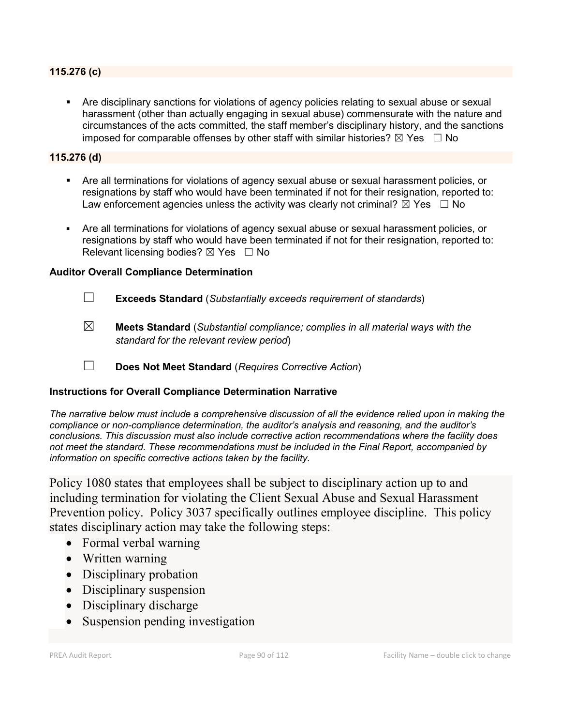#### **115.276 (c)**

 Are disciplinary sanctions for violations of agency policies relating to sexual abuse or sexual harassment (other than actually engaging in sexual abuse) commensurate with the nature and circumstances of the acts committed, the staff member's disciplinary history, and the sanctions imposed for comparable offenses by other staff with similar histories?  $\boxtimes$  Yes  $\Box$  No

#### **115.276 (d)**

- Are all terminations for violations of agency sexual abuse or sexual harassment policies, or resignations by staff who would have been terminated if not for their resignation, reported to: Law enforcement agencies unless the activity was clearly not criminal?  $\boxtimes$  Yes  $\Box$  No
- Are all terminations for violations of agency sexual abuse or sexual harassment policies, or resignations by staff who would have been terminated if not for their resignation, reported to: Relevant licensing bodies?  $\boxtimes$  Yes  $\Box$  No

#### **Auditor Overall Compliance Determination**

- ☐ **Exceeds Standard** (*Substantially exceeds requirement of standards*)
- ☒ **Meets Standard** (*Substantial compliance; complies in all material ways with the standard for the relevant review period*)
- ☐ **Does Not Meet Standard** (*Requires Corrective Action*)

#### **Instructions for Overall Compliance Determination Narrative**

*The narrative below must include a comprehensive discussion of all the evidence relied upon in making the compliance or non-compliance determination, the auditor's analysis and reasoning, and the auditor's conclusions. This discussion must also include corrective action recommendations where the facility does not meet the standard. These recommendations must be included in the Final Report, accompanied by information on specific corrective actions taken by the facility.*

Policy 1080 states that employees shall be subject to disciplinary action up to and including termination for violating the Client Sexual Abuse and Sexual Harassment Prevention policy. Policy 3037 specifically outlines employee discipline. This policy states disciplinary action may take the following steps:

- Formal verbal warning
- Written warning
- Disciplinary probation
- Disciplinary suspension
- Disciplinary discharge
- Suspension pending investigation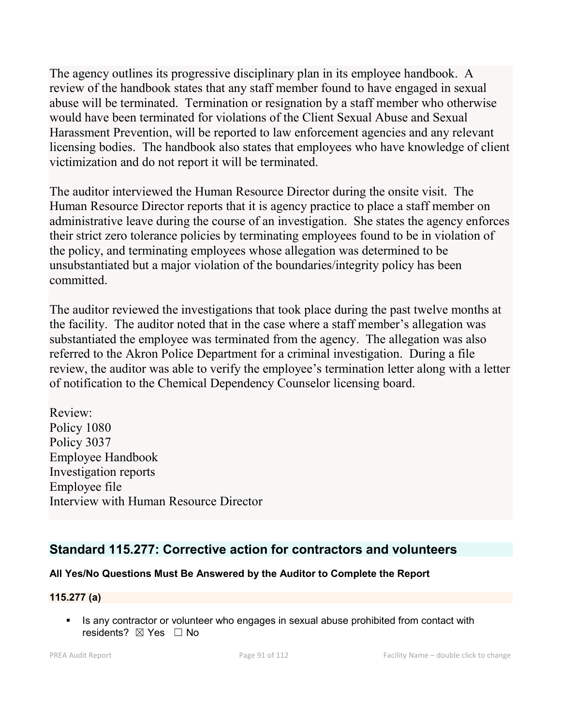The agency outlines its progressive disciplinary plan in its employee handbook. A review of the handbook states that any staff member found to have engaged in sexual abuse will be terminated. Termination or resignation by a staff member who otherwise would have been terminated for violations of the Client Sexual Abuse and Sexual Harassment Prevention, will be reported to law enforcement agencies and any relevant licensing bodies. The handbook also states that employees who have knowledge of client victimization and do not report it will be terminated.

The auditor interviewed the Human Resource Director during the onsite visit. The Human Resource Director reports that it is agency practice to place a staff member on administrative leave during the course of an investigation. She states the agency enforces their strict zero tolerance policies by terminating employees found to be in violation of the policy, and terminating employees whose allegation was determined to be unsubstantiated but a major violation of the boundaries/integrity policy has been committed.

The auditor reviewed the investigations that took place during the past twelve months at the facility. The auditor noted that in the case where a staff member's allegation was substantiated the employee was terminated from the agency. The allegation was also referred to the Akron Police Department for a criminal investigation. During a file review, the auditor was able to verify the employee's termination letter along with a letter of notification to the Chemical Dependency Counselor licensing board.

Review: Policy 1080 Policy 3037 Employee Handbook Investigation reports Employee file Interview with Human Resource Director

# **Standard 115.277: Corrective action for contractors and volunteers**

## **All Yes/No Questions Must Be Answered by the Auditor to Complete the Report**

## **115.277 (a)**

 Is any contractor or volunteer who engages in sexual abuse prohibited from contact with residents? ⊠ Yes □ No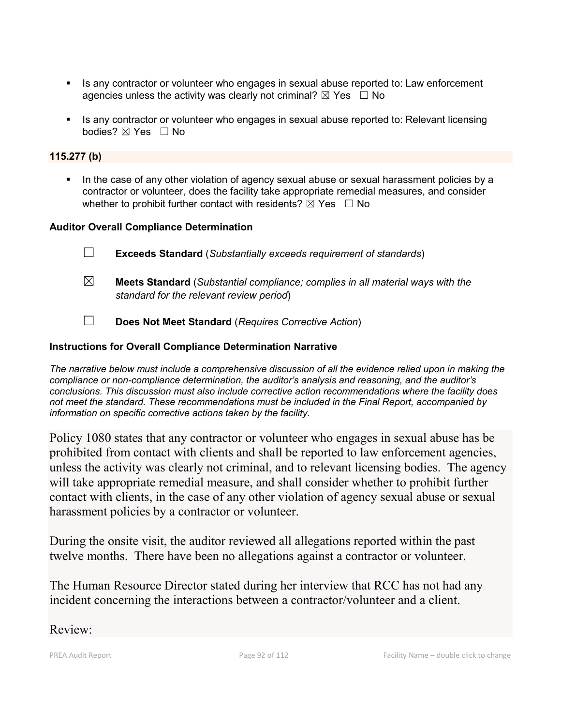- Is any contractor or volunteer who engages in sexual abuse reported to: Law enforcement agencies unless the activity was clearly not criminal?  $\boxtimes$  Yes  $\Box$  No
- **IS any contractor or volunteer who engages in sexual abuse reported to: Relevant licensing** bodies? ⊠ Yes □ No

#### **115.277 (b)**

In the case of any other violation of agency sexual abuse or sexual harassment policies by a contractor or volunteer, does the facility take appropriate remedial measures, and consider whether to prohibit further contact with residents?  $\boxtimes$  Yes  $\Box$  No

### **Auditor Overall Compliance Determination**

- ☐ **Exceeds Standard** (*Substantially exceeds requirement of standards*)
- ☒ **Meets Standard** (*Substantial compliance; complies in all material ways with the standard for the relevant review period*)
- ☐ **Does Not Meet Standard** (*Requires Corrective Action*)

### **Instructions for Overall Compliance Determination Narrative**

*The narrative below must include a comprehensive discussion of all the evidence relied upon in making the compliance or non-compliance determination, the auditor's analysis and reasoning, and the auditor's conclusions. This discussion must also include corrective action recommendations where the facility does not meet the standard. These recommendations must be included in the Final Report, accompanied by information on specific corrective actions taken by the facility.*

Policy 1080 states that any contractor or volunteer who engages in sexual abuse has be prohibited from contact with clients and shall be reported to law enforcement agencies, unless the activity was clearly not criminal, and to relevant licensing bodies. The agency will take appropriate remedial measure, and shall consider whether to prohibit further contact with clients, in the case of any other violation of agency sexual abuse or sexual harassment policies by a contractor or volunteer.

During the onsite visit, the auditor reviewed all allegations reported within the past twelve months. There have been no allegations against a contractor or volunteer.

The Human Resource Director stated during her interview that RCC has not had any incident concerning the interactions between a contractor/volunteer and a client.

## Review: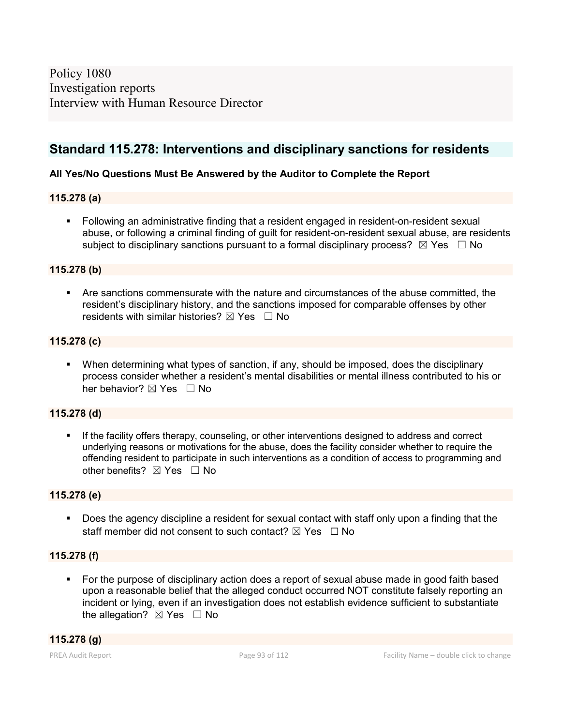Policy 1080 Investigation reports Interview with Human Resource Director

# **Standard 115.278: Interventions and disciplinary sanctions for residents**

#### **All Yes/No Questions Must Be Answered by the Auditor to Complete the Report**

#### **115.278 (a)**

 Following an administrative finding that a resident engaged in resident-on-resident sexual abuse, or following a criminal finding of guilt for resident-on-resident sexual abuse, are residents subject to disciplinary sanctions pursuant to a formal disciplinary process?  $\boxtimes$  Yes  $\Box$  No

#### **115.278 (b)**

 Are sanctions commensurate with the nature and circumstances of the abuse committed, the resident's disciplinary history, and the sanctions imposed for comparable offenses by other residents with similar histories?  $\boxtimes$  Yes  $\Box$  No

#### **115.278 (c)**

 When determining what types of sanction, if any, should be imposed, does the disciplinary process consider whether a resident's mental disabilities or mental illness contributed to his or her behavior?  $\nabla$  Yes  $\Box$  No

#### **115.278 (d)**

 If the facility offers therapy, counseling, or other interventions designed to address and correct underlying reasons or motivations for the abuse, does the facility consider whether to require the offending resident to participate in such interventions as a condition of access to programming and other benefits? ⊠ Yes □ No

#### **115.278 (e)**

 Does the agency discipline a resident for sexual contact with staff only upon a finding that the staff member did not consent to such contact?  $\boxtimes$  Yes  $\Box$  No

#### **115.278 (f)**

 For the purpose of disciplinary action does a report of sexual abuse made in good faith based upon a reasonable belief that the alleged conduct occurred NOT constitute falsely reporting an incident or lying, even if an investigation does not establish evidence sufficient to substantiate the allegation?  $\boxtimes$  Yes  $\Box$  No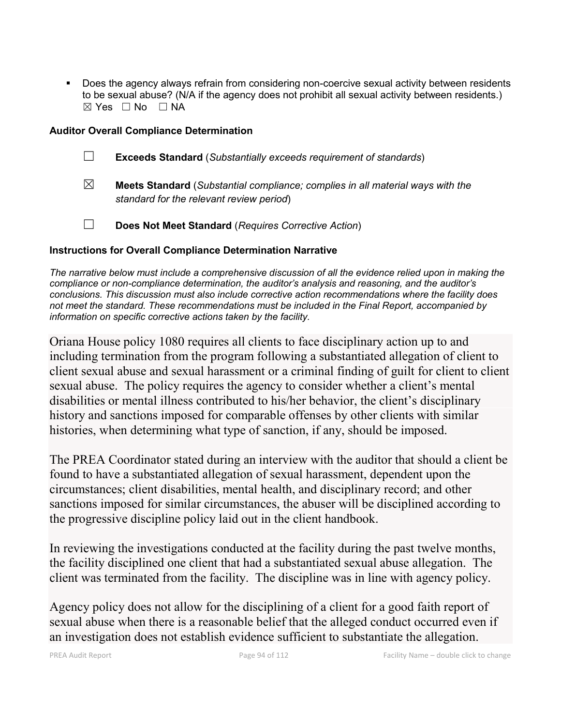Does the agency always refrain from considering non-coercive sexual activity between residents to be sexual abuse? (N/A if the agency does not prohibit all sexual activity between residents.) ☒ Yes ☐ No ☐ NA

### **Auditor Overall Compliance Determination**

- ☐ **Exceeds Standard** (*Substantially exceeds requirement of standards*)
- ☒ **Meets Standard** (*Substantial compliance; complies in all material ways with the standard for the relevant review period*)
- ☐ **Does Not Meet Standard** (*Requires Corrective Action*)

### **Instructions for Overall Compliance Determination Narrative**

*The narrative below must include a comprehensive discussion of all the evidence relied upon in making the compliance or non-compliance determination, the auditor's analysis and reasoning, and the auditor's conclusions. This discussion must also include corrective action recommendations where the facility does not meet the standard. These recommendations must be included in the Final Report, accompanied by information on specific corrective actions taken by the facility.*

Oriana House policy 1080 requires all clients to face disciplinary action up to and including termination from the program following a substantiated allegation of client to client sexual abuse and sexual harassment or a criminal finding of guilt for client to client sexual abuse. The policy requires the agency to consider whether a client's mental disabilities or mental illness contributed to his/her behavior, the client's disciplinary history and sanctions imposed for comparable offenses by other clients with similar histories, when determining what type of sanction, if any, should be imposed.

The PREA Coordinator stated during an interview with the auditor that should a client be found to have a substantiated allegation of sexual harassment, dependent upon the circumstances; client disabilities, mental health, and disciplinary record; and other sanctions imposed for similar circumstances, the abuser will be disciplined according to the progressive discipline policy laid out in the client handbook.

In reviewing the investigations conducted at the facility during the past twelve months, the facility disciplined one client that had a substantiated sexual abuse allegation. The client was terminated from the facility. The discipline was in line with agency policy.

Agency policy does not allow for the disciplining of a client for a good faith report of sexual abuse when there is a reasonable belief that the alleged conduct occurred even if an investigation does not establish evidence sufficient to substantiate the allegation.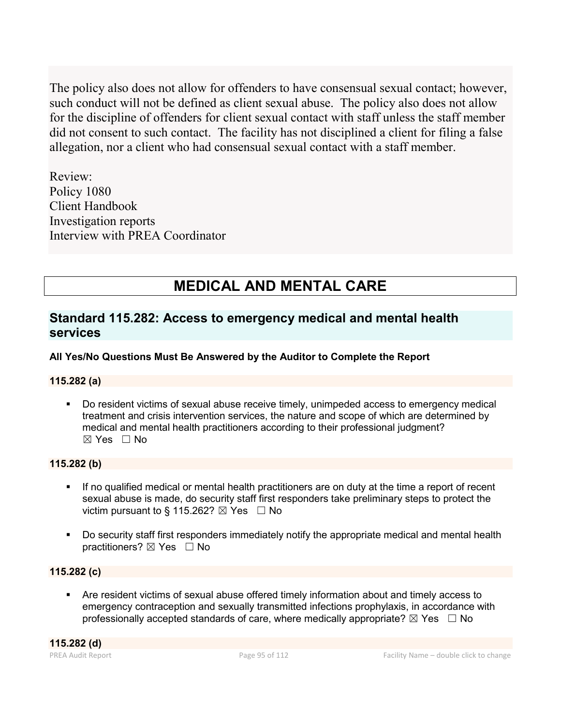The policy also does not allow for offenders to have consensual sexual contact; however, such conduct will not be defined as client sexual abuse. The policy also does not allow for the discipline of offenders for client sexual contact with staff unless the staff member did not consent to such contact. The facility has not disciplined a client for filing a false allegation, nor a client who had consensual sexual contact with a staff member.

Review: Policy 1080 Client Handbook Investigation reports Interview with PREA Coordinator

# **MEDICAL AND MENTAL CARE**

# **Standard 115.282: Access to emergency medical and mental health services**

## **All Yes/No Questions Must Be Answered by the Auditor to Complete the Report**

## **115.282 (a)**

 Do resident victims of sexual abuse receive timely, unimpeded access to emergency medical treatment and crisis intervention services, the nature and scope of which are determined by medical and mental health practitioners according to their professional judgment? ☒ Yes ☐ No

### **115.282 (b)**

- If no qualified medical or mental health practitioners are on duty at the time a report of recent sexual abuse is made, do security staff first responders take preliminary steps to protect the victim pursuant to § 115.262?  $\boxtimes$  Yes  $\Box$  No
- Do security staff first responders immediately notify the appropriate medical and mental health practitioners? ⊠ Yes □ No

#### **115.282 (c)**

 Are resident victims of sexual abuse offered timely information about and timely access to emergency contraception and sexually transmitted infections prophylaxis, in accordance with professionally accepted standards of care, where medically appropriate?  $\boxtimes$  Yes  $\Box$  No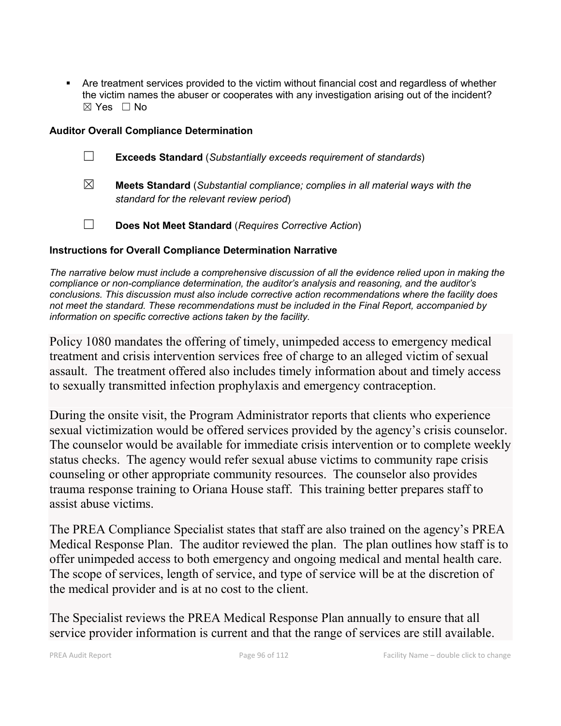Are treatment services provided to the victim without financial cost and regardless of whether the victim names the abuser or cooperates with any investigation arising out of the incident?  $\boxtimes$  Yes  $\Box$  No

### **Auditor Overall Compliance Determination**

- ☐ **Exceeds Standard** (*Substantially exceeds requirement of standards*)
- ☒ **Meets Standard** (*Substantial compliance; complies in all material ways with the standard for the relevant review period*)
- ☐ **Does Not Meet Standard** (*Requires Corrective Action*)

### **Instructions for Overall Compliance Determination Narrative**

*The narrative below must include a comprehensive discussion of all the evidence relied upon in making the compliance or non-compliance determination, the auditor's analysis and reasoning, and the auditor's conclusions. This discussion must also include corrective action recommendations where the facility does not meet the standard. These recommendations must be included in the Final Report, accompanied by information on specific corrective actions taken by the facility.*

Policy 1080 mandates the offering of timely, unimpeded access to emergency medical treatment and crisis intervention services free of charge to an alleged victim of sexual assault. The treatment offered also includes timely information about and timely access to sexually transmitted infection prophylaxis and emergency contraception.

During the onsite visit, the Program Administrator reports that clients who experience sexual victimization would be offered services provided by the agency's crisis counselor. The counselor would be available for immediate crisis intervention or to complete weekly status checks. The agency would refer sexual abuse victims to community rape crisis counseling or other appropriate community resources. The counselor also provides trauma response training to Oriana House staff. This training better prepares staff to assist abuse victims.

The PREA Compliance Specialist states that staff are also trained on the agency's PREA Medical Response Plan. The auditor reviewed the plan. The plan outlines how staff is to offer unimpeded access to both emergency and ongoing medical and mental health care. The scope of services, length of service, and type of service will be at the discretion of the medical provider and is at no cost to the client.

The Specialist reviews the PREA Medical Response Plan annually to ensure that all service provider information is current and that the range of services are still available.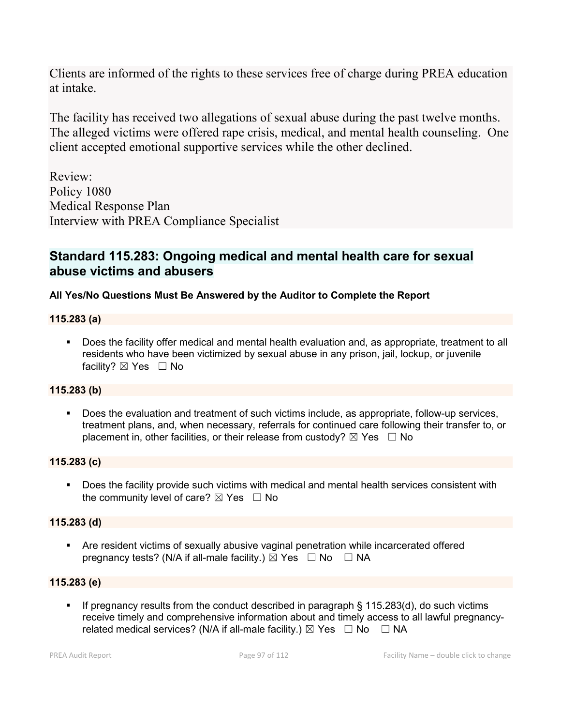Clients are informed of the rights to these services free of charge during PREA education at intake.

The facility has received two allegations of sexual abuse during the past twelve months. The alleged victims were offered rape crisis, medical, and mental health counseling. One client accepted emotional supportive services while the other declined.

Review: Policy 1080 Medical Response Plan Interview with PREA Compliance Specialist

# **Standard 115.283: Ongoing medical and mental health care for sexual abuse victims and abusers**

# **All Yes/No Questions Must Be Answered by the Auditor to Complete the Report**

### **115.283 (a)**

 Does the facility offer medical and mental health evaluation and, as appropriate, treatment to all residents who have been victimized by sexual abuse in any prison, jail, lockup, or juvenile facility?  $\boxtimes$  Yes  $\Box$  No

## **115.283 (b)**

 Does the evaluation and treatment of such victims include, as appropriate, follow-up services, treatment plans, and, when necessary, referrals for continued care following their transfer to, or placement in, other facilities, or their release from custody?  $\boxtimes$  Yes  $\Box$  No

#### **115.283 (c)**

 Does the facility provide such victims with medical and mental health services consistent with the community level of care?  $\boxtimes$  Yes  $\Box$  No

#### **115.283 (d)**

 Are resident victims of sexually abusive vaginal penetration while incarcerated offered pregnancy tests? (N/A if all-male facility.)  $\boxtimes$  Yes  $\Box$  No  $\Box$  NA

#### **115.283 (e)**

If pregnancy results from the conduct described in paragraph  $\S$  115.283(d), do such victims receive timely and comprehensive information about and timely access to all lawful pregnancyrelated medical services? (N/A if all-male facility.)  $\boxtimes$  Yes  $\Box$  No  $\Box$  NA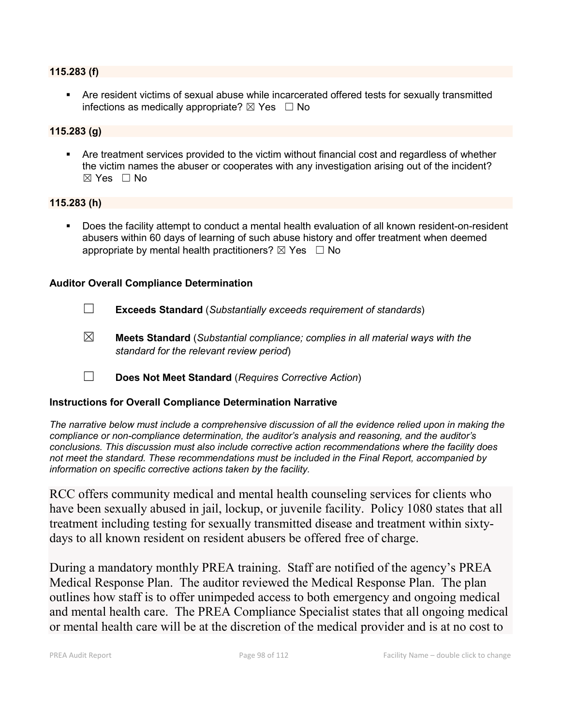#### **115.283 (f)**

 Are resident victims of sexual abuse while incarcerated offered tests for sexually transmitted infections as medically appropriate?  $\boxtimes$  Yes  $\Box$  No

#### **115.283 (g)**

 Are treatment services provided to the victim without financial cost and regardless of whether the victim names the abuser or cooperates with any investigation arising out of the incident?  $\boxtimes$  Yes  $\Box$  No

#### **115.283 (h)**

 Does the facility attempt to conduct a mental health evaluation of all known resident-on-resident abusers within 60 days of learning of such abuse history and offer treatment when deemed appropriate by mental health practitioners?  $\boxtimes$  Yes  $\Box$  No

#### **Auditor Overall Compliance Determination**

- ☐ **Exceeds Standard** (*Substantially exceeds requirement of standards*)
- ☒ **Meets Standard** (*Substantial compliance; complies in all material ways with the standard for the relevant review period*)
- ☐ **Does Not Meet Standard** (*Requires Corrective Action*)

#### **Instructions for Overall Compliance Determination Narrative**

*The narrative below must include a comprehensive discussion of all the evidence relied upon in making the compliance or non-compliance determination, the auditor's analysis and reasoning, and the auditor's conclusions. This discussion must also include corrective action recommendations where the facility does not meet the standard. These recommendations must be included in the Final Report, accompanied by information on specific corrective actions taken by the facility.*

RCC offers community medical and mental health counseling services for clients who have been sexually abused in jail, lockup, or juvenile facility. Policy 1080 states that all treatment including testing for sexually transmitted disease and treatment within sixtydays to all known resident on resident abusers be offered free of charge.

During a mandatory monthly PREA training. Staff are notified of the agency's PREA Medical Response Plan. The auditor reviewed the Medical Response Plan. The plan outlines how staff is to offer unimpeded access to both emergency and ongoing medical and mental health care. The PREA Compliance Specialist states that all ongoing medical or mental health care will be at the discretion of the medical provider and is at no cost to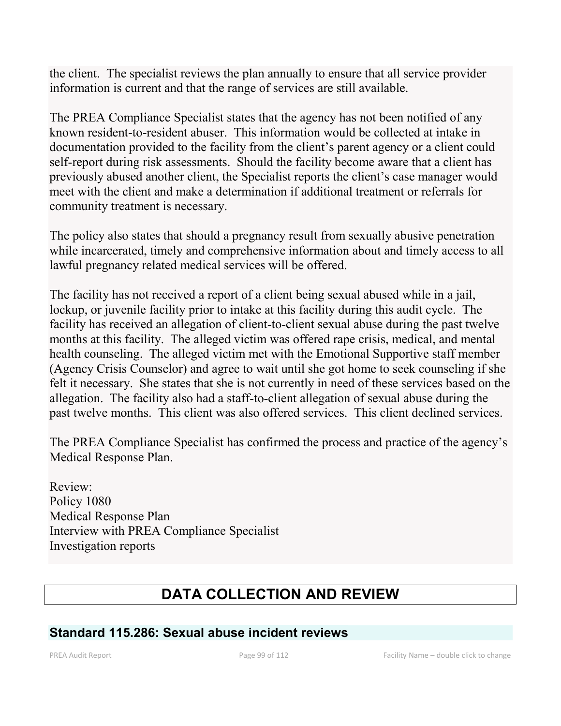the client. The specialist reviews the plan annually to ensure that all service provider information is current and that the range of services are still available.

The PREA Compliance Specialist states that the agency has not been notified of any known resident-to-resident abuser. This information would be collected at intake in documentation provided to the facility from the client's parent agency or a client could self-report during risk assessments. Should the facility become aware that a client has previously abused another client, the Specialist reports the client's case manager would meet with the client and make a determination if additional treatment or referrals for community treatment is necessary.

The policy also states that should a pregnancy result from sexually abusive penetration while incarcerated, timely and comprehensive information about and timely access to all lawful pregnancy related medical services will be offered.

The facility has not received a report of a client being sexual abused while in a jail, lockup, or juvenile facility prior to intake at this facility during this audit cycle. The facility has received an allegation of client-to-client sexual abuse during the past twelve months at this facility. The alleged victim was offered rape crisis, medical, and mental health counseling. The alleged victim met with the Emotional Supportive staff member (Agency Crisis Counselor) and agree to wait until she got home to seek counseling if she felt it necessary. She states that she is not currently in need of these services based on the allegation. The facility also had a staff-to-client allegation of sexual abuse during the past twelve months. This client was also offered services. This client declined services.

The PREA Compliance Specialist has confirmed the process and practice of the agency's Medical Response Plan.

Review: Policy 1080 Medical Response Plan Interview with PREA Compliance Specialist Investigation reports

# **DATA COLLECTION AND REVIEW**

# **Standard 115.286: Sexual abuse incident reviews**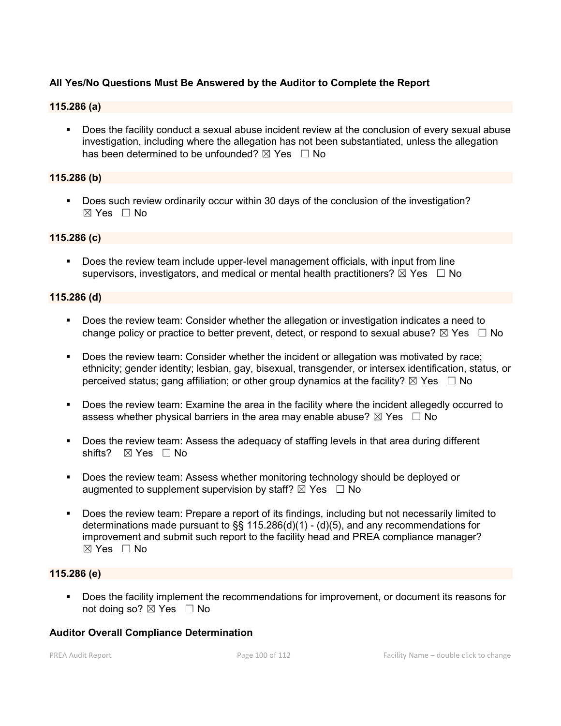#### **All Yes/No Questions Must Be Answered by the Auditor to Complete the Report**

## **115.286 (a)**

 Does the facility conduct a sexual abuse incident review at the conclusion of every sexual abuse investigation, including where the allegation has not been substantiated, unless the allegation has been determined to be unfounded?  $\boxtimes$  Yes  $\Box$  No

#### **115.286 (b)**

**Does such review ordinarily occur within 30 days of the conclusion of the investigation?** ☒ Yes ☐ No

#### **115.286 (c)**

 Does the review team include upper-level management officials, with input from line supervisors, investigators, and medical or mental health practitioners?  $\boxtimes$  Yes  $\Box$  No

#### **115.286 (d)**

- Does the review team: Consider whether the allegation or investigation indicates a need to change policy or practice to better prevent, detect, or respond to sexual abuse?  $\boxtimes$  Yes  $\Box$  No
- Does the review team: Consider whether the incident or allegation was motivated by race; ethnicity; gender identity; lesbian, gay, bisexual, transgender, or intersex identification, status, or perceived status; gang affiliation; or other group dynamics at the facility?  $\boxtimes$  Yes  $\Box$  No
- Does the review team: Examine the area in the facility where the incident allegedly occurred to assess whether physical barriers in the area may enable abuse?  $\boxtimes$  Yes  $\Box$  No
- Does the review team: Assess the adequacy of staffing levels in that area during different shifts? ⊠ Yes □ No
- **Does the review team: Assess whether monitoring technology should be deployed or** augmented to supplement supervision by staff?  $\boxtimes$  Yes  $\Box$  No
- Does the review team: Prepare a report of its findings, including but not necessarily limited to determinations made pursuant to  $\S$ § 115.286(d)(1) - (d)(5), and any recommendations for improvement and submit such report to the facility head and PREA compliance manager? ☒ Yes ☐ No

#### **115.286 (e)**

 Does the facility implement the recommendations for improvement, or document its reasons for not doing so?  $\boxtimes$  Yes  $\Box$  No

#### **Auditor Overall Compliance Determination**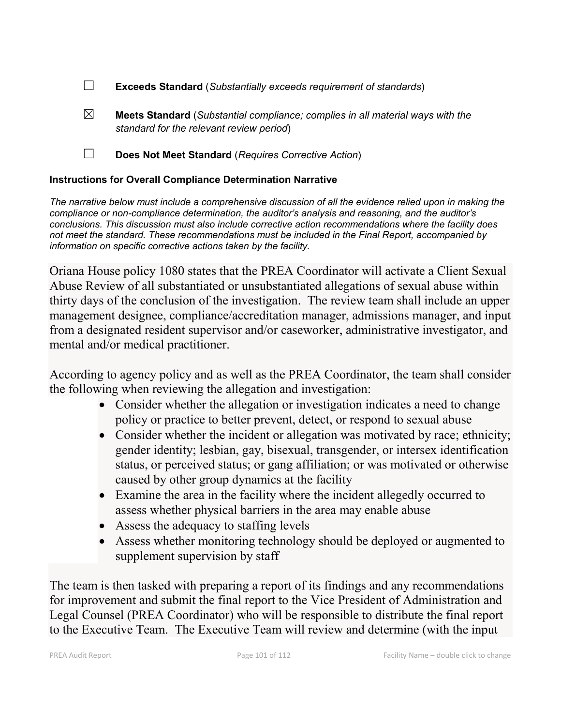- ☐ **Exceeds Standard** (*Substantially exceeds requirement of standards*)
- ☒ **Meets Standard** (*Substantial compliance; complies in all material ways with the standard for the relevant review period*)
- ☐ **Does Not Meet Standard** (*Requires Corrective Action*)

# **Instructions for Overall Compliance Determination Narrative**

*The narrative below must include a comprehensive discussion of all the evidence relied upon in making the compliance or non-compliance determination, the auditor's analysis and reasoning, and the auditor's conclusions. This discussion must also include corrective action recommendations where the facility does not meet the standard. These recommendations must be included in the Final Report, accompanied by information on specific corrective actions taken by the facility.*

Oriana House policy 1080 states that the PREA Coordinator will activate a Client Sexual Abuse Review of all substantiated or unsubstantiated allegations of sexual abuse within thirty days of the conclusion of the investigation. The review team shall include an upper management designee, compliance/accreditation manager, admissions manager, and input from a designated resident supervisor and/or caseworker, administrative investigator, and mental and/or medical practitioner.

According to agency policy and as well as the PREA Coordinator, the team shall consider the following when reviewing the allegation and investigation:

- Consider whether the allegation or investigation indicates a need to change policy or practice to better prevent, detect, or respond to sexual abuse
- Consider whether the incident or allegation was motivated by race; ethnicity; gender identity; lesbian, gay, bisexual, transgender, or intersex identification status, or perceived status; or gang affiliation; or was motivated or otherwise caused by other group dynamics at the facility
- Examine the area in the facility where the incident allegedly occurred to assess whether physical barriers in the area may enable abuse
- Assess the adequacy to staffing levels
- Assess whether monitoring technology should be deployed or augmented to supplement supervision by staff

The team is then tasked with preparing a report of its findings and any recommendations for improvement and submit the final report to the Vice President of Administration and Legal Counsel (PREA Coordinator) who will be responsible to distribute the final report to the Executive Team. The Executive Team will review and determine (with the input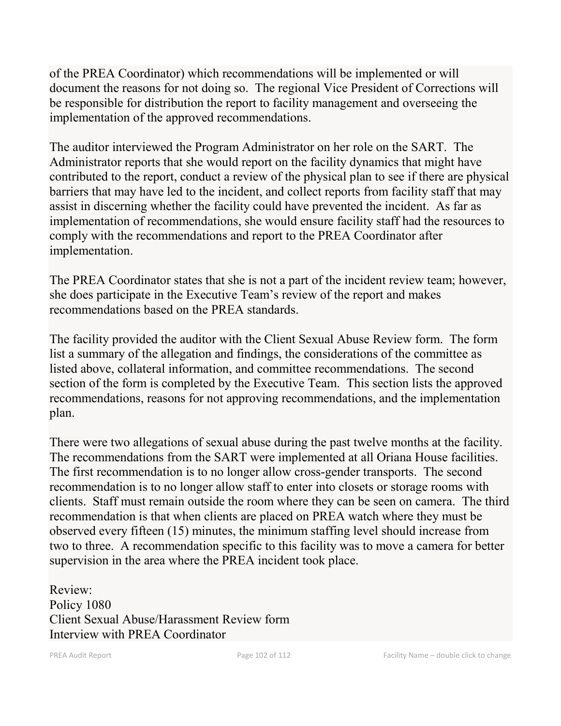of the PREA Coordinator) which recommendations will be implemented or will document the reasons for not doing so. The regional Vice President of Corrections will be responsible for distribution the report to facility management and overseeing the implementation of the approved recommendations.

The auditor interviewed the Program Administrator on her role on the SART. The Administrator reports that she would report on the facility dynamics that might have contributed to the report, conduct a review of the physical plan to see if there are physical barriers that may have led to the incident, and collect reports from facility staff that may assist in discerning whether the facility could have prevented the incident. As far as implementation of recommendations, she would ensure facility staff had the resources to comply with the recommendations and report to the PREA Coordinator after implementation.

The PREA Coordinator states that she is not a part of the incident review team; however, she does participate in the Executive Team's review of the report and makes recommendations based on the PREA standards.

The facility provided the auditor with the Client Sexual Abuse Review form. The form list a summary of the allegation and findings, the considerations of the committee as listed above, collateral information, and committee recommendations. The second section of the form is completed by the Executive Team. This section lists the approved recommendations, reasons for not approving recommendations, and the implementation plan.

There were two allegations of sexual abuse during the past twelve months at the facility. The recommendations from the SART were implemented at all Oriana House facilities. The first recommendation is to no longer allow cross-gender transports. The second recommendation is to no longer allow staff to enter into closets or storage rooms with clients. Staff must remain outside the room where they can be seen on camera. The third recommendation is that when clients are placed on PREA watch where they must be observed every fifteen (15) minutes, the minimum staffing level should increase from two to three. A recommendation specific to this facility was to move a camera for better supervision in the area where the PREA incident took place.

Review: Policy 1080 Client Sexual Abuse/Harassment Review form Interview with PREA Coordinator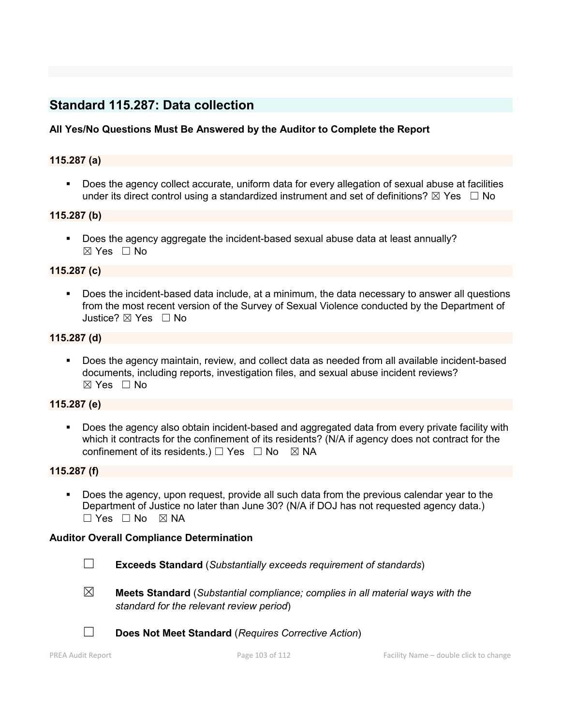# **Standard 115.287: Data collection**

## **All Yes/No Questions Must Be Answered by the Auditor to Complete the Report**

#### **115.287 (a)**

 Does the agency collect accurate, uniform data for every allegation of sexual abuse at facilities under its direct control using a standardized instrument and set of definitions?  $\boxtimes$  Yes  $\Box$  No

#### **115.287 (b)**

 Does the agency aggregate the incident-based sexual abuse data at least annually? ☒ Yes ☐ No

#### **115.287 (c)**

 Does the incident-based data include, at a minimum, the data necessary to answer all questions from the most recent version of the Survey of Sexual Violence conducted by the Department of Justice? ⊠ Yes □ No

#### **115.287 (d)**

 Does the agency maintain, review, and collect data as needed from all available incident-based documents, including reports, investigation files, and sexual abuse incident reviews?  $\boxtimes$  Yes  $\Box$  No

#### **115.287 (e)**

 Does the agency also obtain incident-based and aggregated data from every private facility with which it contracts for the confinement of its residents? (N/A if agency does not contract for the confinement of its residents.)  $\Box$  Yes  $\Box$  No  $\boxtimes$  NA

#### **115.287 (f)**

 Does the agency, upon request, provide all such data from the previous calendar year to the Department of Justice no later than June 30? (N/A if DOJ has not requested agency data.)  $\Box$  Yes  $\Box$  No  $\boxtimes$  NA

#### **Auditor Overall Compliance Determination**

- ☐ **Exceeds Standard** (*Substantially exceeds requirement of standards*)
- ☒ **Meets Standard** (*Substantial compliance; complies in all material ways with the standard for the relevant review period*)
- 
- ☐ **Does Not Meet Standard** (*Requires Corrective Action*)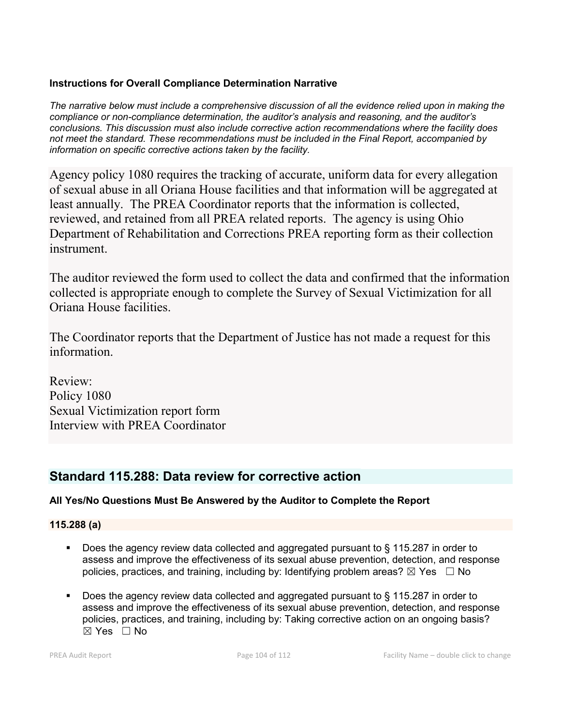## **Instructions for Overall Compliance Determination Narrative**

*The narrative below must include a comprehensive discussion of all the evidence relied upon in making the compliance or non-compliance determination, the auditor's analysis and reasoning, and the auditor's conclusions. This discussion must also include corrective action recommendations where the facility does not meet the standard. These recommendations must be included in the Final Report, accompanied by information on specific corrective actions taken by the facility.*

Agency policy 1080 requires the tracking of accurate, uniform data for every allegation of sexual abuse in all Oriana House facilities and that information will be aggregated at least annually. The PREA Coordinator reports that the information is collected, reviewed, and retained from all PREA related reports. The agency is using Ohio Department of Rehabilitation and Corrections PREA reporting form as their collection instrument.

The auditor reviewed the form used to collect the data and confirmed that the information collected is appropriate enough to complete the Survey of Sexual Victimization for all Oriana House facilities.

The Coordinator reports that the Department of Justice has not made a request for this information.

Review: Policy 1080 Sexual Victimization report form Interview with PREA Coordinator

# **Standard 115.288: Data review for corrective action**

# **All Yes/No Questions Must Be Answered by the Auditor to Complete the Report**

**115.288 (a)**

- Does the agency review data collected and aggregated pursuant to § 115.287 in order to assess and improve the effectiveness of its sexual abuse prevention, detection, and response policies, practices, and training, including by: Identifying problem areas?  $\boxtimes$  Yes  $\Box$  No
- Does the agency review data collected and aggregated pursuant to § 115.287 in order to assess and improve the effectiveness of its sexual abuse prevention, detection, and response policies, practices, and training, including by: Taking corrective action on an ongoing basis? ☒ Yes ☐ No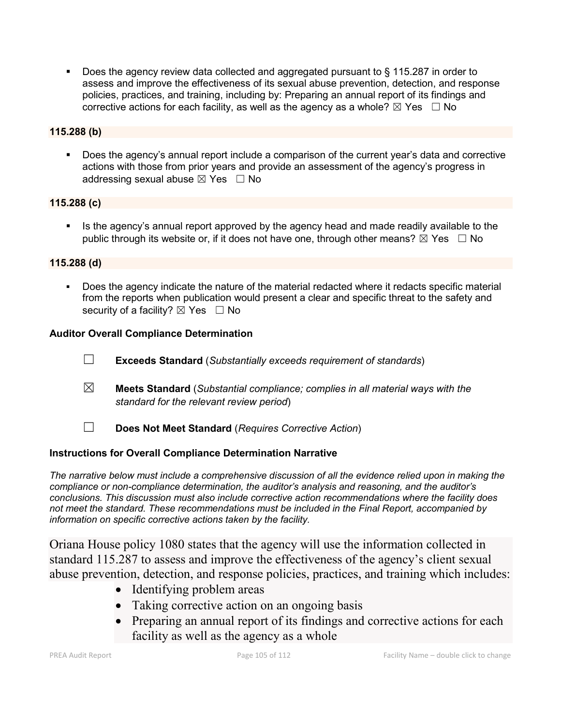■ Does the agency review data collected and aggregated pursuant to § 115.287 in order to assess and improve the effectiveness of its sexual abuse prevention, detection, and response policies, practices, and training, including by: Preparing an annual report of its findings and corrective actions for each facility, as well as the agency as a whole?  $\boxtimes$  Yes  $\Box$  No

### **115.288 (b)**

 Does the agency's annual report include a comparison of the current year's data and corrective actions with those from prior years and provide an assessment of the agency's progress in addressing sexual abuse  $\boxtimes$  Yes  $\Box$  No

### **115.288 (c)**

 Is the agency's annual report approved by the agency head and made readily available to the public through its website or, if it does not have one, through other means?  $\boxtimes$  Yes  $\Box$  No

### **115.288 (d)**

 Does the agency indicate the nature of the material redacted where it redacts specific material from the reports when publication would present a clear and specific threat to the safety and security of a facility?  $\boxtimes$  Yes  $\Box$  No

### **Auditor Overall Compliance Determination**

- ☐ **Exceeds Standard** (*Substantially exceeds requirement of standards*)
- ☒ **Meets Standard** (*Substantial compliance; complies in all material ways with the standard for the relevant review period*)
- ☐ **Does Not Meet Standard** (*Requires Corrective Action*)

# **Instructions for Overall Compliance Determination Narrative**

*The narrative below must include a comprehensive discussion of all the evidence relied upon in making the compliance or non-compliance determination, the auditor's analysis and reasoning, and the auditor's conclusions. This discussion must also include corrective action recommendations where the facility does not meet the standard. These recommendations must be included in the Final Report, accompanied by information on specific corrective actions taken by the facility.*

Oriana House policy 1080 states that the agency will use the information collected in standard 115.287 to assess and improve the effectiveness of the agency's client sexual abuse prevention, detection, and response policies, practices, and training which includes:

- Identifying problem areas
- Taking corrective action on an ongoing basis
- Preparing an annual report of its findings and corrective actions for each facility as well as the agency as a whole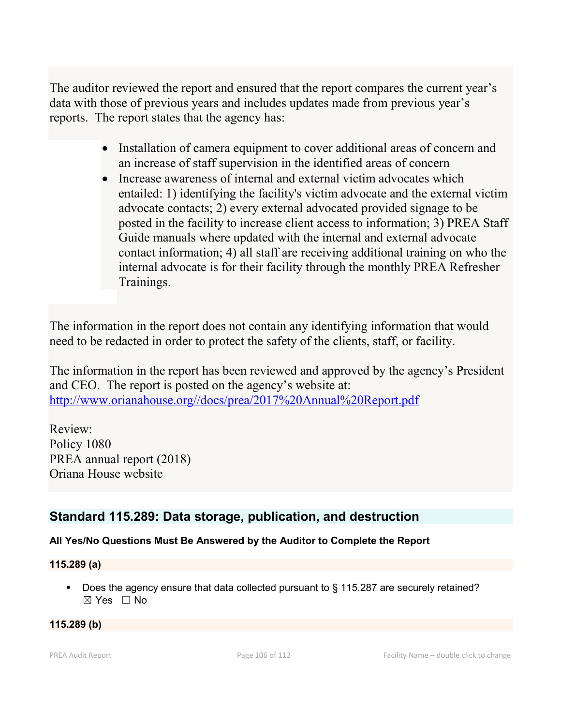The auditor reviewed the report and ensured that the report compares the current year's data with those of previous years and includes updates made from previous year's reports. The report states that the agency has:

- Installation of camera equipment to cover additional areas of concern and an increase of staff supervision in the identified areas of concern
- Increase awareness of internal and external victim advocates which entailed: 1) identifying the facility's victim advocate and the external victim advocate contacts; 2) every external advocated provided signage to be posted in the facility to increase client access to information; 3) PREA Staff Guide manuals where updated with the internal and external advocate contact information; 4) all staff are receiving additional training on who the internal advocate is for their facility through the monthly PREA Refresher Trainings.

The information in the report does not contain any identifying information that would need to be redacted in order to protect the safety of the clients, staff, or facility.

The information in the report has been reviewed and approved by the agency's President and CEO. The report is posted on the agency's website at: [http://www.orianahouse.org//docs/prea/2017%20Annual%20Report.pdf](http://www.orianahouse.org/docs/prea/2017%20Annual%20Report.pdf)

Review: Policy 1080 PREA annual report (2018) Oriana House website

# **Standard 115.289: Data storage, publication, and destruction**

# **All Yes/No Questions Must Be Answered by the Auditor to Complete the Report**

## **115.289 (a)**

■ Does the agency ensure that data collected pursuant to § 115.287 are securely retained? ☒ Yes ☐ No

#### **115.289 (b)**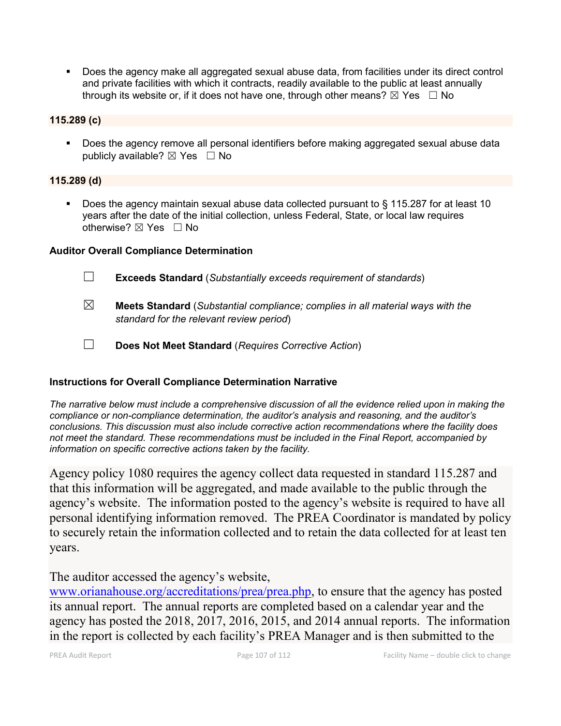Does the agency make all aggregated sexual abuse data, from facilities under its direct control and private facilities with which it contracts, readily available to the public at least annually through its website or, if it does not have one, through other means?  $\boxtimes$  Yes  $\Box$  No

#### **115.289 (c)**

 Does the agency remove all personal identifiers before making aggregated sexual abuse data publicly available?  $\boxtimes$  Yes  $\Box$  No

#### **115.289 (d)**

 Does the agency maintain sexual abuse data collected pursuant to § 115.287 for at least 10 years after the date of the initial collection, unless Federal, State, or local law requires otherwise? ⊠ Yes □ No

#### **Auditor Overall Compliance Determination**

- ☐ **Exceeds Standard** (*Substantially exceeds requirement of standards*)
- ☒ **Meets Standard** (*Substantial compliance; complies in all material ways with the standard for the relevant review period*)
- ☐ **Does Not Meet Standard** (*Requires Corrective Action*)

#### **Instructions for Overall Compliance Determination Narrative**

*The narrative below must include a comprehensive discussion of all the evidence relied upon in making the compliance or non-compliance determination, the auditor's analysis and reasoning, and the auditor's conclusions. This discussion must also include corrective action recommendations where the facility does not meet the standard. These recommendations must be included in the Final Report, accompanied by information on specific corrective actions taken by the facility.*

Agency policy 1080 requires the agency collect data requested in standard 115.287 and that this information will be aggregated, and made available to the public through the agency's website. The information posted to the agency's website is required to have all personal identifying information removed. The PREA Coordinator is mandated by policy to securely retain the information collected and to retain the data collected for at least ten years.

## The auditor accessed the agency's website,

[www.orianahouse.org/accreditations/prea/prea.php,](http://www.orianahouse.org/accreditations/prea/prea.php) to ensure that the agency has posted its annual report. The annual reports are completed based on a calendar year and the agency has posted the 2018, 2017, 2016, 2015, and 2014 annual reports. The information in the report is collected by each facility's PREA Manager and is then submitted to the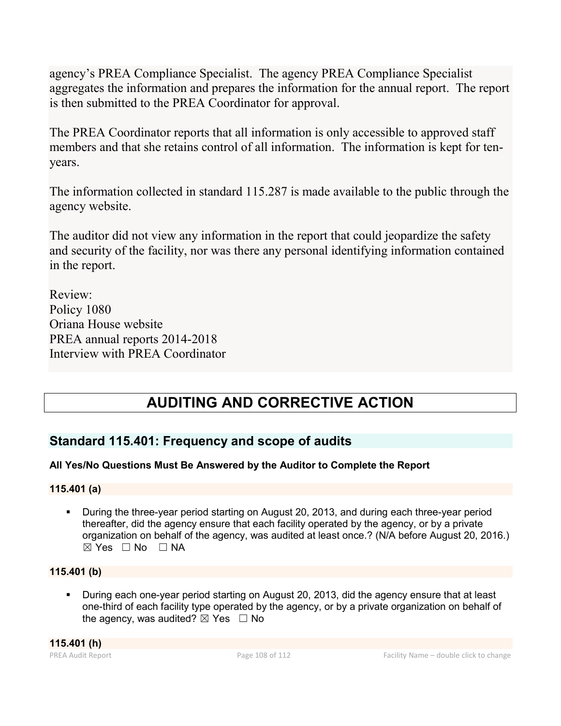agency's PREA Compliance Specialist. The agency PREA Compliance Specialist aggregates the information and prepares the information for the annual report. The report is then submitted to the PREA Coordinator for approval.

The PREA Coordinator reports that all information is only accessible to approved staff members and that she retains control of all information. The information is kept for tenyears.

The information collected in standard 115.287 is made available to the public through the agency website.

The auditor did not view any information in the report that could jeopardize the safety and security of the facility, nor was there any personal identifying information contained in the report.

Review: Policy 1080 Oriana House website PREA annual reports 2014-2018 Interview with PREA Coordinator

# **AUDITING AND CORRECTIVE ACTION**

# **Standard 115.401: Frequency and scope of audits**

# **All Yes/No Questions Must Be Answered by the Auditor to Complete the Report**

# **115.401 (a)**

 During the three-year period starting on August 20, 2013, and during each three-year period thereafter, did the agency ensure that each facility operated by the agency, or by a private organization on behalf of the agency, was audited at least once.? (N/A before August 20, 2016.)  $⊠ Yes ⊡ No ⊡ NA$ 

# **115.401 (b)**

 During each one-year period starting on August 20, 2013, did the agency ensure that at least one-third of each facility type operated by the agency, or by a private organization on behalf of the agency, was audited?  $\boxtimes$  Yes  $\Box$  No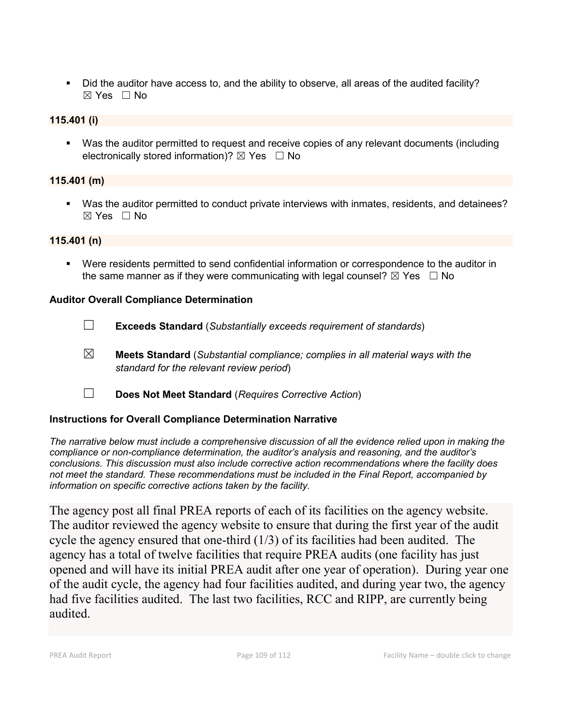Did the auditor have access to, and the ability to observe, all areas of the audited facility?  $\boxtimes$  Yes  $\Box$  No

## **115.401 (i)**

 Was the auditor permitted to request and receive copies of any relevant documents (including electronically stored information)?  $\boxtimes$  Yes  $\Box$  No

## **115.401 (m)**

 Was the auditor permitted to conduct private interviews with inmates, residents, and detainees?  $\boxtimes$  Yes  $\Box$  No

### **115.401 (n)**

 Were residents permitted to send confidential information or correspondence to the auditor in the same manner as if they were communicating with legal counsel?  $\boxtimes$  Yes  $\Box$  No

## **Auditor Overall Compliance Determination**

- ☐ **Exceeds Standard** (*Substantially exceeds requirement of standards*)
- ☒ **Meets Standard** (*Substantial compliance; complies in all material ways with the standard for the relevant review period*)
- ☐ **Does Not Meet Standard** (*Requires Corrective Action*)

## **Instructions for Overall Compliance Determination Narrative**

*The narrative below must include a comprehensive discussion of all the evidence relied upon in making the compliance or non-compliance determination, the auditor's analysis and reasoning, and the auditor's conclusions. This discussion must also include corrective action recommendations where the facility does not meet the standard. These recommendations must be included in the Final Report, accompanied by information on specific corrective actions taken by the facility.*

The agency post all final PREA reports of each of its facilities on the agency website. The auditor reviewed the agency website to ensure that during the first year of the audit cycle the agency ensured that one-third (1/3) of its facilities had been audited. The agency has a total of twelve facilities that require PREA audits (one facility has just opened and will have its initial PREA audit after one year of operation). During year one of the audit cycle, the agency had four facilities audited, and during year two, the agency had five facilities audited. The last two facilities, RCC and RIPP, are currently being audited.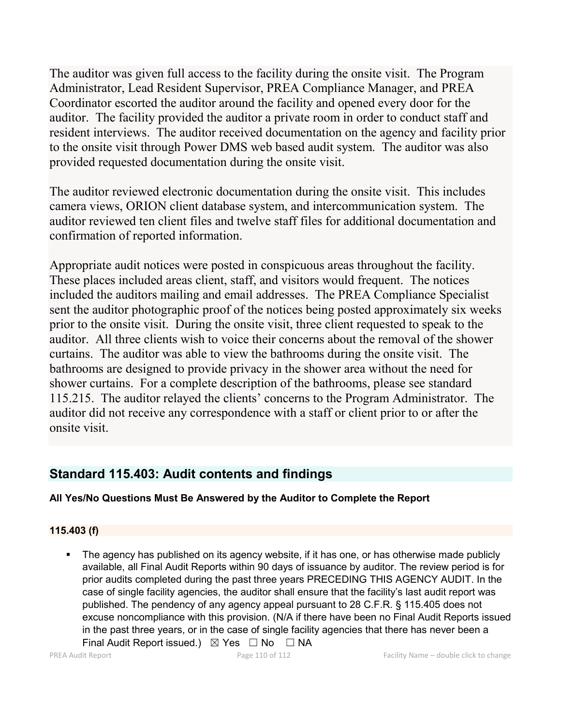The auditor was given full access to the facility during the onsite visit. The Program Administrator, Lead Resident Supervisor, PREA Compliance Manager, and PREA Coordinator escorted the auditor around the facility and opened every door for the auditor. The facility provided the auditor a private room in order to conduct staff and resident interviews. The auditor received documentation on the agency and facility prior to the onsite visit through Power DMS web based audit system. The auditor was also provided requested documentation during the onsite visit.

The auditor reviewed electronic documentation during the onsite visit. This includes camera views, ORION client database system, and intercommunication system. The auditor reviewed ten client files and twelve staff files for additional documentation and confirmation of reported information.

Appropriate audit notices were posted in conspicuous areas throughout the facility. These places included areas client, staff, and visitors would frequent. The notices included the auditors mailing and email addresses. The PREA Compliance Specialist sent the auditor photographic proof of the notices being posted approximately six weeks prior to the onsite visit. During the onsite visit, three client requested to speak to the auditor. All three clients wish to voice their concerns about the removal of the shower curtains. The auditor was able to view the bathrooms during the onsite visit. The bathrooms are designed to provide privacy in the shower area without the need for shower curtains. For a complete description of the bathrooms, please see standard 115.215. The auditor relayed the clients' concerns to the Program Administrator. The auditor did not receive any correspondence with a staff or client prior to or after the onsite visit.

## **Standard 115.403: Audit contents and findings**

## **All Yes/No Questions Must Be Answered by the Auditor to Complete the Report**

## **115.403 (f)**

 The agency has published on its agency website, if it has one, or has otherwise made publicly available, all Final Audit Reports within 90 days of issuance by auditor. The review period is for prior audits completed during the past three years PRECEDING THIS AGENCY AUDIT. In the case of single facility agencies, the auditor shall ensure that the facility's last audit report was published. The pendency of any agency appeal pursuant to 28 C.F.R. § 115.405 does not excuse noncompliance with this provision. (N/A if there have been no Final Audit Reports issued in the past three years, or in the case of single facility agencies that there has never been a Final Audit Report issued.)  $\boxtimes$  Yes  $\Box$  No  $\Box$  NA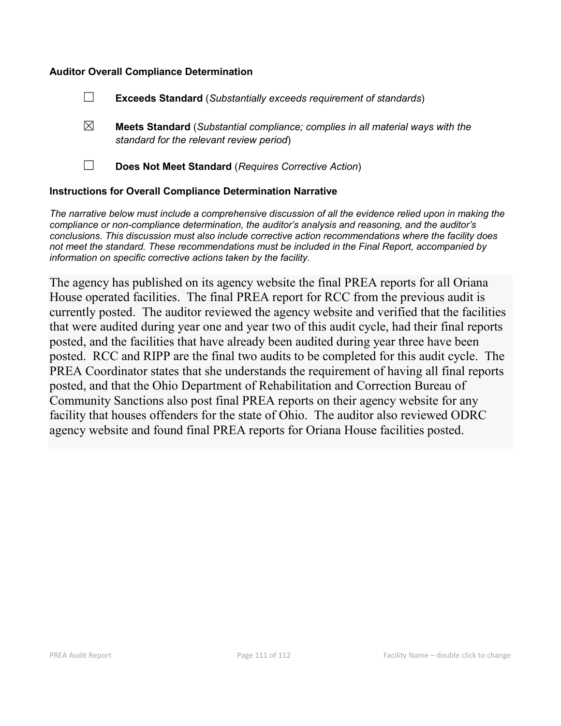### **Auditor Overall Compliance Determination**

- ☐ **Exceeds Standard** (*Substantially exceeds requirement of standards*)
- ☒ **Meets Standard** (*Substantial compliance; complies in all material ways with the standard for the relevant review period*)
- 

☐ **Does Not Meet Standard** (*Requires Corrective Action*)

#### **Instructions for Overall Compliance Determination Narrative**

*The narrative below must include a comprehensive discussion of all the evidence relied upon in making the compliance or non-compliance determination, the auditor's analysis and reasoning, and the auditor's conclusions. This discussion must also include corrective action recommendations where the facility does not meet the standard. These recommendations must be included in the Final Report, accompanied by information on specific corrective actions taken by the facility.*

The agency has published on its agency website the final PREA reports for all Oriana House operated facilities. The final PREA report for RCC from the previous audit is currently posted. The auditor reviewed the agency website and verified that the facilities that were audited during year one and year two of this audit cycle, had their final reports posted, and the facilities that have already been audited during year three have been posted. RCC and RIPP are the final two audits to be completed for this audit cycle. The PREA Coordinator states that she understands the requirement of having all final reports posted, and that the Ohio Department of Rehabilitation and Correction Bureau of Community Sanctions also post final PREA reports on their agency website for any facility that houses offenders for the state of Ohio. The auditor also reviewed ODRC agency website and found final PREA reports for Oriana House facilities posted.